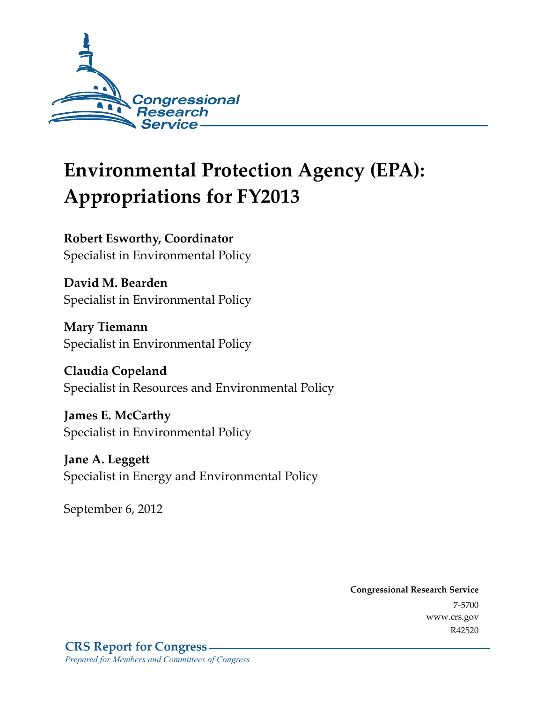

# **Environmental Protection Agency (EPA): Appropriations for FY2013**

**Robert Esworthy, Coordinator**  Specialist in Environmental Policy

**David M. Bearden**  Specialist in Environmental Policy

**Mary Tiemann**  Specialist in Environmental Policy

**Claudia Copeland**  Specialist in Resources and Environmental Policy

**James E. McCarthy**  Specialist in Environmental Policy

**Jane A. Leggett**  Specialist in Energy and Environmental Policy

September 6, 2012

**Congressional Research Service**  7-5700 www.crs.gov R42520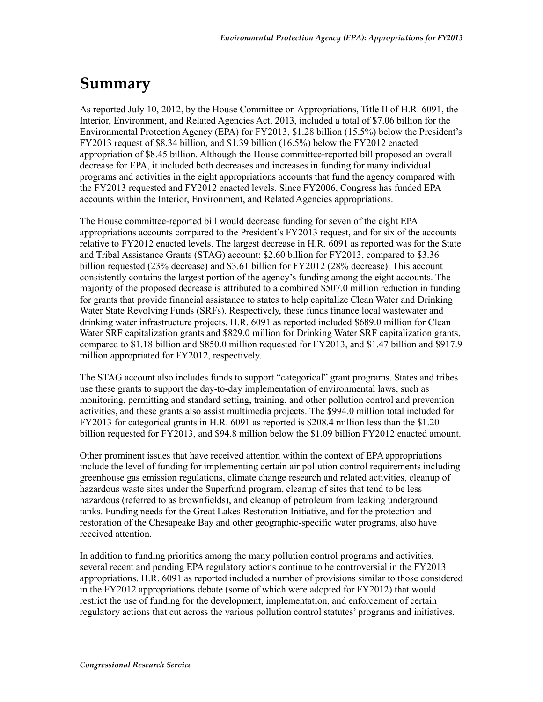## **Summary**

As reported July 10, 2012, by the House Committee on Appropriations, Title II of H.R. 6091, the Interior, Environment, and Related Agencies Act, 2013, included a total of \$7.06 billion for the Environmental Protection Agency (EPA) for FY2013, \$1.28 billion (15.5%) below the President's FY2013 request of \$8.34 billion, and \$1.39 billion (16.5%) below the FY2012 enacted appropriation of \$8.45 billion. Although the House committee-reported bill proposed an overall decrease for EPA, it included both decreases and increases in funding for many individual programs and activities in the eight appropriations accounts that fund the agency compared with the FY2013 requested and FY2012 enacted levels. Since FY2006, Congress has funded EPA accounts within the Interior, Environment, and Related Agencies appropriations.

The House committee-reported bill would decrease funding for seven of the eight EPA appropriations accounts compared to the President's FY2013 request, and for six of the accounts relative to FY2012 enacted levels. The largest decrease in H.R. 6091 as reported was for the State and Tribal Assistance Grants (STAG) account: \$2.60 billion for FY2013, compared to \$3.36 billion requested (23% decrease) and \$3.61 billion for FY2012 (28% decrease). This account consistently contains the largest portion of the agency's funding among the eight accounts. The majority of the proposed decrease is attributed to a combined \$507.0 million reduction in funding for grants that provide financial assistance to states to help capitalize Clean Water and Drinking Water State Revolving Funds (SRFs). Respectively, these funds finance local wastewater and drinking water infrastructure projects. H.R. 6091 as reported included \$689.0 million for Clean Water SRF capitalization grants and \$829.0 million for Drinking Water SRF capitalization grants, compared to \$1.18 billion and \$850.0 million requested for FY2013, and \$1.47 billion and \$917.9 million appropriated for FY2012, respectively.

The STAG account also includes funds to support "categorical" grant programs. States and tribes use these grants to support the day-to-day implementation of environmental laws, such as monitoring, permitting and standard setting, training, and other pollution control and prevention activities, and these grants also assist multimedia projects. The \$994.0 million total included for FY2013 for categorical grants in H.R. 6091 as reported is \$208.4 million less than the \$1.20 billion requested for FY2013, and \$94.8 million below the \$1.09 billion FY2012 enacted amount.

Other prominent issues that have received attention within the context of EPA appropriations include the level of funding for implementing certain air pollution control requirements including greenhouse gas emission regulations, climate change research and related activities, cleanup of hazardous waste sites under the Superfund program, cleanup of sites that tend to be less hazardous (referred to as brownfields), and cleanup of petroleum from leaking underground tanks. Funding needs for the Great Lakes Restoration Initiative, and for the protection and restoration of the Chesapeake Bay and other geographic-specific water programs, also have received attention.

In addition to funding priorities among the many pollution control programs and activities, several recent and pending EPA regulatory actions continue to be controversial in the FY2013 appropriations. H.R. 6091 as reported included a number of provisions similar to those considered in the FY2012 appropriations debate (some of which were adopted for FY2012) that would restrict the use of funding for the development, implementation, and enforcement of certain regulatory actions that cut across the various pollution control statutes' programs and initiatives.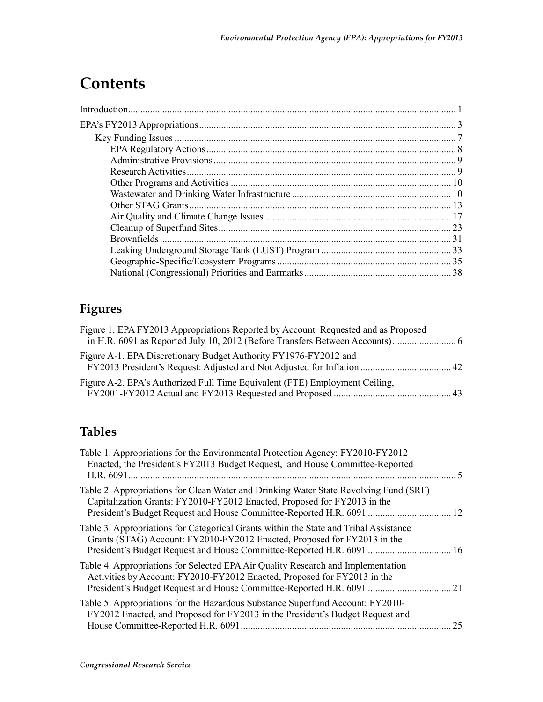# **Contents**

## **Figures**

| Figure 1. EPA FY2013 Appropriations Reported by Account Requested and as Proposed |  |
|-----------------------------------------------------------------------------------|--|
| Figure A-1. EPA Discretionary Budget Authority FY1976-FY2012 and                  |  |
| Figure A-2. EPA's Authorized Full Time Equivalent (FTE) Employment Ceiling,       |  |

## **Tables**

| Table 1. Appropriations for the Environmental Protection Agency: FY2010-FY2012<br>Enacted, the President's FY2013 Budget Request, and House Committee-Reported                                                                             | $\sim$ |
|--------------------------------------------------------------------------------------------------------------------------------------------------------------------------------------------------------------------------------------------|--------|
| Table 2. Appropriations for Clean Water and Drinking Water State Revolving Fund (SRF)<br>Capitalization Grants: FY2010-FY2012 Enacted, Proposed for FY2013 in the<br>President's Budget Request and House Committee-Reported H.R. 6091  12 |        |
| Table 3. Appropriations for Categorical Grants within the State and Tribal Assistance<br>Grants (STAG) Account: FY2010-FY2012 Enacted, Proposed for FY2013 in the<br>President's Budget Request and House Committee-Reported H.R. 6091  16 |        |
| Table 4. Appropriations for Selected EPA Air Quality Research and Implementation<br>Activities by Account: FY2010-FY2012 Enacted, Proposed for FY2013 in the<br>President's Budget Request and House Committee-Reported H.R. 6091  21      |        |
| Table 5. Appropriations for the Hazardous Substance Superfund Account: FY2010-<br>FY2012 Enacted, and Proposed for FY2013 in the President's Budget Request and                                                                            | 25     |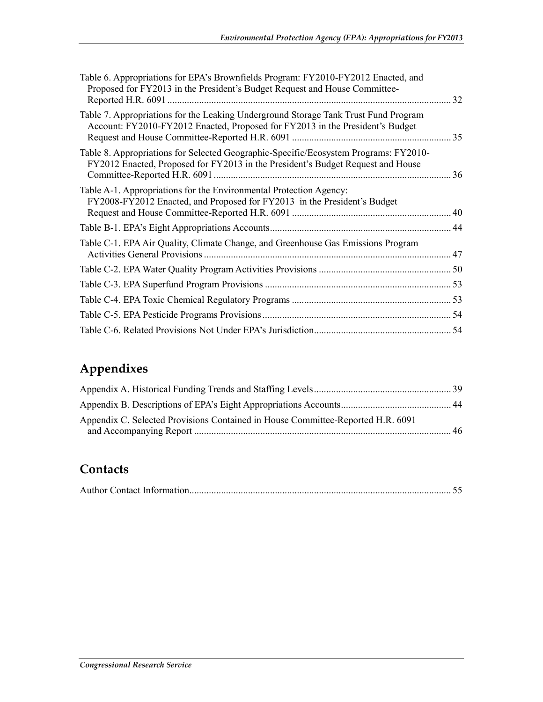| Table 6. Appropriations for EPA's Brownfields Program: FY2010-FY2012 Enacted, and<br>Proposed for FY2013 in the President's Budget Request and House Committee-         | 32 |
|-------------------------------------------------------------------------------------------------------------------------------------------------------------------------|----|
| Table 7. Appropriations for the Leaking Underground Storage Tank Trust Fund Program<br>Account: FY2010-FY2012 Enacted, Proposed for FY2013 in the President's Budget    |    |
| Table 8. Appropriations for Selected Geographic-Specific/Ecosystem Programs: FY2010-<br>FY2012 Enacted, Proposed for FY2013 in the President's Budget Request and House |    |
| Table A-1. Appropriations for the Environmental Protection Agency:<br>FY2008-FY2012 Enacted, and Proposed for FY2013 in the President's Budget                          |    |
|                                                                                                                                                                         |    |
| Table C-1. EPA Air Quality, Climate Change, and Greenhouse Gas Emissions Program                                                                                        |    |
|                                                                                                                                                                         |    |
|                                                                                                                                                                         |    |
|                                                                                                                                                                         |    |
|                                                                                                                                                                         |    |
|                                                                                                                                                                         |    |

## **Appendixes**

| Appendix C. Selected Provisions Contained in House Committee-Reported H.R. 6091 |      |
|---------------------------------------------------------------------------------|------|
|                                                                                 | - 46 |

## **Contacts**

|--|--|--|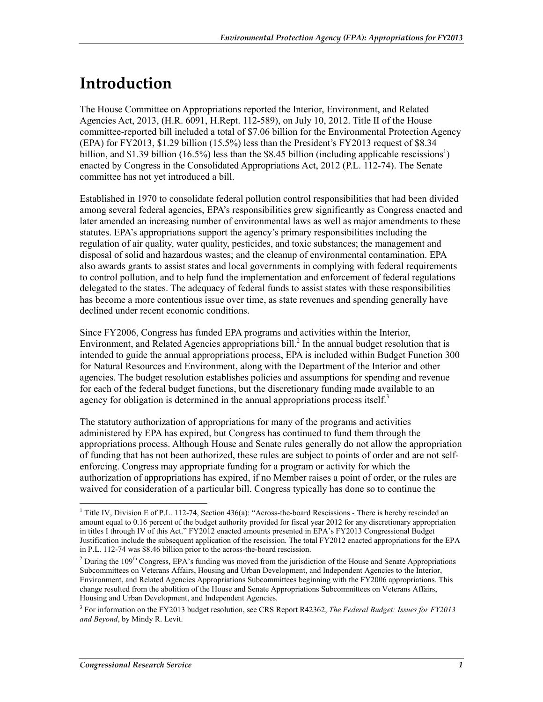## **Introduction**

The House Committee on Appropriations reported the Interior, Environment, and Related Agencies Act, 2013, (H.R. 6091, H.Rept. 112-589), on July 10, 2012. Title II of the House committee-reported bill included a total of \$7.06 billion for the Environmental Protection Agency (EPA) for FY2013, \$1.29 billion (15.5%) less than the President's FY2013 request of \$8.34 billion, and \$1.39 billion (16.5%) less than the \$8.45 billion (including applicable rescissions<sup>1</sup>) enacted by Congress in the Consolidated Appropriations Act, 2012 (P.L. 112-74). The Senate committee has not yet introduced a bill.

Established in 1970 to consolidate federal pollution control responsibilities that had been divided among several federal agencies, EPA's responsibilities grew significantly as Congress enacted and later amended an increasing number of environmental laws as well as major amendments to these statutes. EPA's appropriations support the agency's primary responsibilities including the regulation of air quality, water quality, pesticides, and toxic substances; the management and disposal of solid and hazardous wastes; and the cleanup of environmental contamination. EPA also awards grants to assist states and local governments in complying with federal requirements to control pollution, and to help fund the implementation and enforcement of federal regulations delegated to the states. The adequacy of federal funds to assist states with these responsibilities has become a more contentious issue over time, as state revenues and spending generally have declined under recent economic conditions.

Since FY2006, Congress has funded EPA programs and activities within the Interior, Environment, and Related Agencies appropriations bill. $<sup>2</sup>$  In the annual budget resolution that is</sup> intended to guide the annual appropriations process, EPA is included within Budget Function 300 for Natural Resources and Environment, along with the Department of the Interior and other agencies. The budget resolution establishes policies and assumptions for spending and revenue for each of the federal budget functions, but the discretionary funding made available to an agency for obligation is determined in the annual appropriations process itself. $3$ 

The statutory authorization of appropriations for many of the programs and activities administered by EPA has expired, but Congress has continued to fund them through the appropriations process. Although House and Senate rules generally do not allow the appropriation of funding that has not been authorized, these rules are subject to points of order and are not selfenforcing. Congress may appropriate funding for a program or activity for which the authorization of appropriations has expired, if no Member raises a point of order, or the rules are waived for consideration of a particular bill. Congress typically has done so to continue the

<sup>&</sup>lt;sup>1</sup> Title IV, Division E of P.L. 112-74, Section 436(a): "Across-the-board Rescissions - There is hereby rescinded an amount equal to 0.16 percent of the budget authority provided for fiscal year 2012 for any discretionary appropriation in titles I through IV of this Act." FY2012 enacted amounts presented in EPA's FY2013 Congressional Budget Justification include the subsequent application of the rescission. The total FY2012 enacted appropriations for the EPA in P.L. 112-74 was \$8.46 billion prior to the across-the-board rescission.

<sup>&</sup>lt;sup>2</sup> During the 109<sup>th</sup> Congress, EPA's funding was moved from the jurisdiction of the House and Senate Appropriations Subcommittees on Veterans Affairs, Housing and Urban Development, and Independent Agencies to the Interior, Environment, and Related Agencies Appropriations Subcommittees beginning with the FY2006 appropriations. This change resulted from the abolition of the House and Senate Appropriations Subcommittees on Veterans Affairs, Housing and Urban Development, and Independent Agencies.

<sup>3</sup> For information on the FY2013 budget resolution, see CRS Report R42362, *The Federal Budget: Issues for FY2013 and Beyond*, by Mindy R. Levit.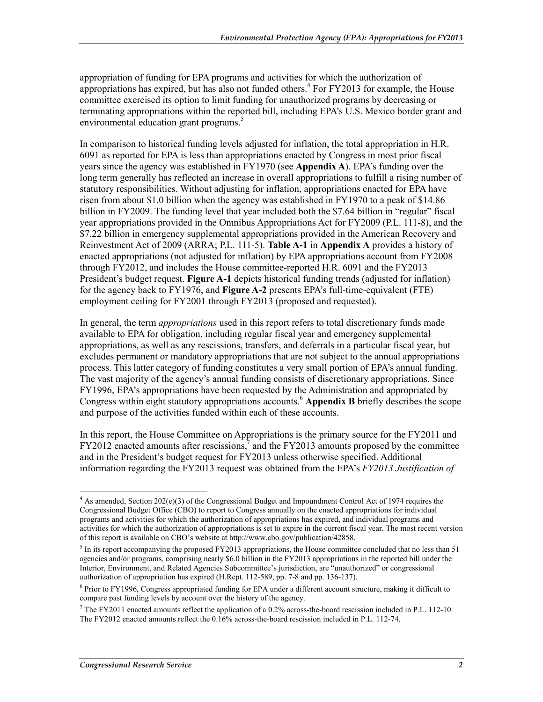appropriation of funding for EPA programs and activities for which the authorization of appropriations has expired, but has also not funded others.<sup>4</sup> For FY2013 for example, the House committee exercised its option to limit funding for unauthorized programs by decreasing or terminating appropriations within the reported bill, including EPA's U.S. Mexico border grant and environmental education grant programs.<sup>5</sup>

In comparison to historical funding levels adjusted for inflation, the total appropriation in H.R. 6091 as reported for EPA is less than appropriations enacted by Congress in most prior fiscal years since the agency was established in FY1970 (see **Appendix A**). EPA's funding over the long term generally has reflected an increase in overall appropriations to fulfill a rising number of statutory responsibilities. Without adjusting for inflation, appropriations enacted for EPA have risen from about \$1.0 billion when the agency was established in FY1970 to a peak of \$14.86 billion in FY2009. The funding level that year included both the \$7.64 billion in "regular" fiscal year appropriations provided in the Omnibus Appropriations Act for FY2009 (P.L. 111-8), and the \$7.22 billion in emergency supplemental appropriations provided in the American Recovery and Reinvestment Act of 2009 (ARRA; P.L. 111-5). **Table A-1** in **Appendix A** provides a history of enacted appropriations (not adjusted for inflation) by EPA appropriations account from FY2008 through FY2012, and includes the House committee-reported H.R. 6091 and the FY2013 President's budget request. **Figure A-1** depicts historical funding trends (adjusted for inflation) for the agency back to FY1976, and **Figure A-2** presents EPA's full-time-equivalent (FTE) employment ceiling for FY2001 through FY2013 (proposed and requested).

In general, the term *appropriations* used in this report refers to total discretionary funds made available to EPA for obligation, including regular fiscal year and emergency supplemental appropriations, as well as any rescissions, transfers, and deferrals in a particular fiscal year, but excludes permanent or mandatory appropriations that are not subject to the annual appropriations process. This latter category of funding constitutes a very small portion of EPA's annual funding. The vast majority of the agency's annual funding consists of discretionary appropriations. Since FY1996, EPA's appropriations have been requested by the Administration and appropriated by Congress within eight statutory appropriations accounts.<sup>6</sup> Appendix B briefly describes the scope and purpose of the activities funded within each of these accounts.

In this report, the House Committee on Appropriations is the primary source for the FY2011 and  $FY2012$  enacted amounts after rescissions,<sup>7</sup> and the  $FY2013$  amounts proposed by the committee and in the President's budget request for FY2013 unless otherwise specified. Additional information regarding the FY2013 request was obtained from the EPA's *FY2013 Justification of* 

<u>.</u>

<sup>&</sup>lt;sup>4</sup> As amended, Section 202(e)(3) of the Congressional Budget and Impoundment Control Act of 1974 requires the Congressional Budget Office (CBO) to report to Congress annually on the enacted appropriations for individual programs and activities for which the authorization of appropriations has expired, and individual programs and activities for which the authorization of appropriations is set to expire in the current fiscal year. The most recent version of this report is available on CBO's website at http://www.cbo.gov/publication/42858.

<sup>&</sup>lt;sup>5</sup> In its report accompanying the proposed FY2013 appropriations, the House committee concluded that no less than 51 agencies and/or programs, comprising nearly \$6.0 billion in the FY2013 appropriations in the reported bill under the Interior, Environment, and Related Agencies Subcommittee's jurisdiction, are "unauthorized" or congressional authorization of appropriation has expired (H.Rept. 112-589, pp. 7-8 and pp. 136-137).

<sup>&</sup>lt;sup>6</sup> Prior to FY1996, Congress appropriated funding for EPA under a different account structure, making it difficult to compare past funding levels by account over the history of the agency.

<sup>&</sup>lt;sup>7</sup> The FY2011 enacted amounts reflect the application of a 0.2% across-the-board rescission included in P.L. 112-10. The FY2012 enacted amounts reflect the 0.16% across-the-board rescission included in P.L. 112-74.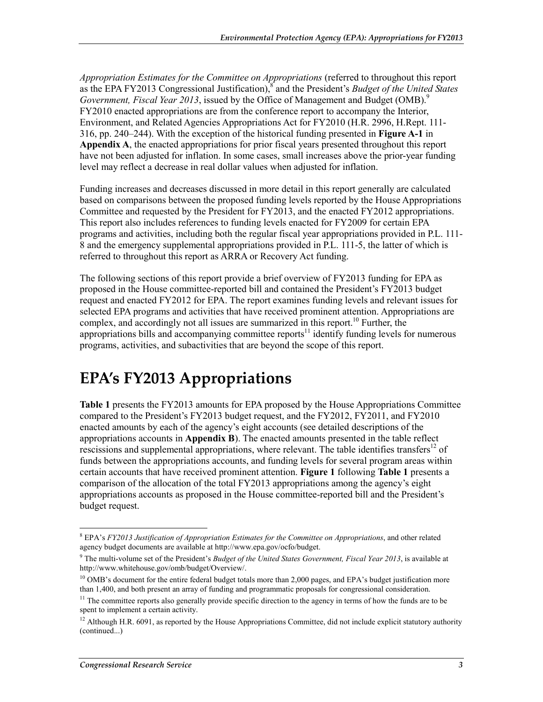*Appropriation Estimates for the Committee on Appropriations* (referred to throughout this report as the EPA FY2013 Congressional Justification),<sup>8</sup> and the President's *Budget of the United States Government, Fiscal Year 2013*, issued by the Office of Management and Budget (OMB).<sup>9</sup> FY2010 enacted appropriations are from the conference report to accompany the Interior, Environment, and Related Agencies Appropriations Act for FY2010 (H.R. 2996, H.Rept. 111- 316, pp. 240–244). With the exception of the historical funding presented in **Figure A-1** in **Appendix A**, the enacted appropriations for prior fiscal years presented throughout this report have not been adjusted for inflation. In some cases, small increases above the prior-year funding level may reflect a decrease in real dollar values when adjusted for inflation.

Funding increases and decreases discussed in more detail in this report generally are calculated based on comparisons between the proposed funding levels reported by the House Appropriations Committee and requested by the President for FY2013, and the enacted FY2012 appropriations. This report also includes references to funding levels enacted for FY2009 for certain EPA programs and activities, including both the regular fiscal year appropriations provided in P.L. 111- 8 and the emergency supplemental appropriations provided in P.L. 111-5, the latter of which is referred to throughout this report as ARRA or Recovery Act funding.

The following sections of this report provide a brief overview of FY2013 funding for EPA as proposed in the House committee-reported bill and contained the President's FY2013 budget request and enacted FY2012 for EPA. The report examines funding levels and relevant issues for selected EPA programs and activities that have received prominent attention. Appropriations are complex, and accordingly not all issues are summarized in this report.<sup>10</sup> Further, the appropriations bills and accompanying committee reports<sup>11</sup> identify funding levels for numerous programs, activities, and subactivities that are beyond the scope of this report.

# **EPA's FY2013 Appropriations**

**Table 1** presents the FY2013 amounts for EPA proposed by the House Appropriations Committee compared to the President's FY2013 budget request, and the FY2012, FY2011, and FY2010 enacted amounts by each of the agency's eight accounts (see detailed descriptions of the appropriations accounts in **Appendix B**). The enacted amounts presented in the table reflect rescissions and supplemental appropriations, where relevant. The table identifies transfers<sup>12</sup> of funds between the appropriations accounts, and funding levels for several program areas within certain accounts that have received prominent attention. **Figure 1** following **Table 1** presents a comparison of the allocation of the total FY2013 appropriations among the agency's eight appropriations accounts as proposed in the House committee-reported bill and the President's budget request.

<sup>8</sup> EPA's *FY2013 Justification of Appropriation Estimates for the Committee on Appropriations*, and other related agency budget documents are available at http://www.epa.gov/ocfo/budget.

<sup>9</sup> The multi-volume set of the President's *Budget of the United States Government, Fiscal Year 2013*, is available at http://www.whitehouse.gov/omb/budget/Overview/.

<sup>&</sup>lt;sup>10</sup> OMB's document for the entire federal budget totals more than 2,000 pages, and EPA's budget justification more than 1,400, and both present an array of funding and programmatic proposals for congressional consideration.

<sup>&</sup>lt;sup>11</sup> The committee reports also generally provide specific direction to the agency in terms of how the funds are to be spent to implement a certain activity.

 $12$  Although H.R. 6091, as reported by the House Appropriations Committee, did not include explicit statutory authority (continued...)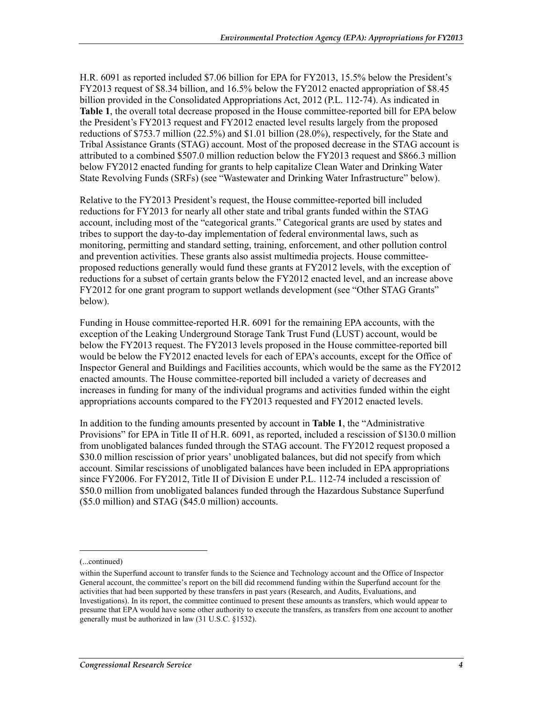H.R. 6091 as reported included \$7.06 billion for EPA for FY2013, 15.5% below the President's FY2013 request of \$8.34 billion, and 16.5% below the FY2012 enacted appropriation of \$8.45 billion provided in the Consolidated Appropriations Act, 2012 (P.L. 112-74). As indicated in **Table 1**, the overall total decrease proposed in the House committee-reported bill for EPA below the President's FY2013 request and FY2012 enacted level results largely from the proposed reductions of \$753.7 million (22.5%) and \$1.01 billion (28.0%), respectively, for the State and Tribal Assistance Grants (STAG) account. Most of the proposed decrease in the STAG account is attributed to a combined \$507.0 million reduction below the FY2013 request and \$866.3 million below FY2012 enacted funding for grants to help capitalize Clean Water and Drinking Water State Revolving Funds (SRFs) (see "Wastewater and Drinking Water Infrastructure" below).

Relative to the FY2013 President's request, the House committee-reported bill included reductions for FY2013 for nearly all other state and tribal grants funded within the STAG account, including most of the "categorical grants." Categorical grants are used by states and tribes to support the day-to-day implementation of federal environmental laws, such as monitoring, permitting and standard setting, training, enforcement, and other pollution control and prevention activities. These grants also assist multimedia projects. House committeeproposed reductions generally would fund these grants at FY2012 levels, with the exception of reductions for a subset of certain grants below the FY2012 enacted level, and an increase above FY2012 for one grant program to support wetlands development (see "Other STAG Grants" below).

Funding in House committee-reported H.R. 6091 for the remaining EPA accounts, with the exception of the Leaking Underground Storage Tank Trust Fund (LUST) account, would be below the FY2013 request. The FY2013 levels proposed in the House committee-reported bill would be below the FY2012 enacted levels for each of EPA's accounts, except for the Office of Inspector General and Buildings and Facilities accounts, which would be the same as the FY2012 enacted amounts. The House committee-reported bill included a variety of decreases and increases in funding for many of the individual programs and activities funded within the eight appropriations accounts compared to the FY2013 requested and FY2012 enacted levels.

In addition to the funding amounts presented by account in **Table 1**, the "Administrative Provisions" for EPA in Title II of H.R. 6091, as reported, included a rescission of \$130.0 million from unobligated balances funded through the STAG account. The FY2012 request proposed a \$30.0 million rescission of prior years' unobligated balances, but did not specify from which account. Similar rescissions of unobligated balances have been included in EPA appropriations since FY2006. For FY2012, Title II of Division E under P.L. 112-74 included a rescission of \$50.0 million from unobligated balances funded through the Hazardous Substance Superfund (\$5.0 million) and STAG (\$45.0 million) accounts.

<sup>(...</sup>continued)

within the Superfund account to transfer funds to the Science and Technology account and the Office of Inspector General account, the committee's report on the bill did recommend funding within the Superfund account for the activities that had been supported by these transfers in past years (Research, and Audits, Evaluations, and Investigations). In its report, the committee continued to present these amounts as transfers, which would appear to presume that EPA would have some other authority to execute the transfers, as transfers from one account to another generally must be authorized in law (31 U.S.C. §1532).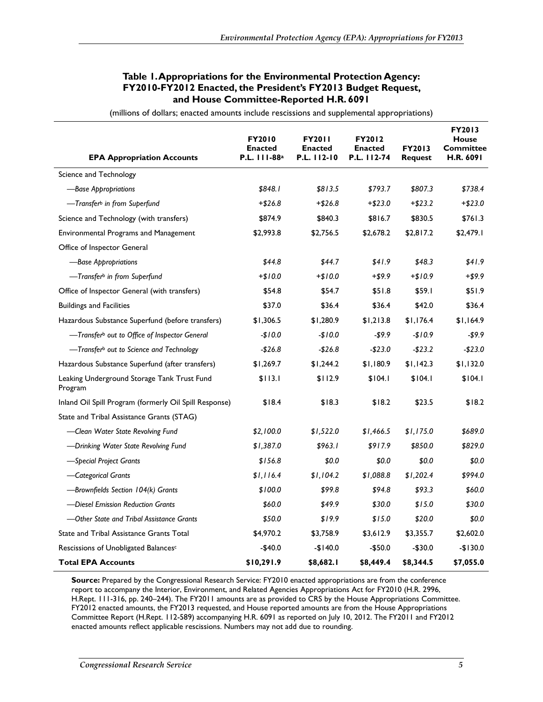#### **Table 1. Appropriations for the Environmental Protection Agency: FY2010-FY2012 Enacted, the President's FY2013 Budget Request, and House Committee-Reported H.R. 6091**

| (millions of dollars; enacted amounts include rescissions and supplemental appropriations) |  |  |  |  |  |
|--------------------------------------------------------------------------------------------|--|--|--|--|--|
|--------------------------------------------------------------------------------------------|--|--|--|--|--|

| <b>EPA Appropriation Accounts</b>                         | <b>FY2010</b><br><b>Enacted</b><br>P.L. 111-88 <sup>a</sup> | <b>FY2011</b><br><b>Enacted</b><br>P.L. 112-10 | <b>FY2012</b><br><b>Enacted</b><br>P.L. 112-74 | <b>FY2013</b><br><b>Request</b> | <b>FY2013</b><br>House<br>Committee<br>H.R. 6091 |
|-----------------------------------------------------------|-------------------------------------------------------------|------------------------------------------------|------------------------------------------------|---------------------------------|--------------------------------------------------|
| Science and Technology                                    |                                                             |                                                |                                                |                                 |                                                  |
| -Base Appropriations                                      | \$848.1                                                     | \$813.5                                        | \$793.7                                        | \$807.3                         | \$738.4                                          |
| —Transfer <sup>b</sup> in from Superfund                  | $+ $26.8$                                                   | $+ $26.8$                                      | $+ $23.0$                                      | $+ $23.2$                       | $+ $23.0$                                        |
| Science and Technology (with transfers)                   | \$874.9                                                     | \$840.3                                        | \$816.7                                        | \$830.5                         | \$761.3                                          |
| Environmental Programs and Management                     | \$2,993.8                                                   | \$2,756.5                                      | \$2,678.2                                      | \$2,817.2                       | \$2,479.1                                        |
| Office of Inspector General                               |                                                             |                                                |                                                |                                 |                                                  |
| -Base Appropriations                                      | \$44.8                                                      | \$44.7                                         | \$41.9                                         | \$48.3                          | \$41.9                                           |
| -Transfer <sup>b</sup> in from Superfund                  | $+ $10.0$                                                   | $+$10.0$                                       | $+ $9.9$                                       | $+ $10.9$                       | $+ $9.9$                                         |
| Office of Inspector General (with transfers)              | \$54.8                                                      | \$54.7                                         | \$51.8                                         | \$59.1                          | \$51.9                                           |
| <b>Buildings and Facilities</b>                           | \$37.0                                                      | \$36.4                                         | \$36.4                                         | \$42.0                          | \$36.4                                           |
| Hazardous Substance Superfund (before transfers)          | \$1,306.5                                                   | \$1,280.9                                      | \$1,213.8                                      | \$1,176.4                       | \$1,164.9                                        |
| -Transfer <sup>b</sup> out to Office of Inspector General | $-$10.0$                                                    | $-$10.0$                                       | $-59.9$                                        | $-$10.9$                        | $-$ \$9.9                                        |
| -Transferb out to Science and Technology                  | $-$26.8$                                                    | $-$26.8$                                       | $-$23.0$                                       | $-$23.2$                        | $-$23.0$                                         |
| Hazardous Substance Superfund (after transfers)           | \$1,269.7                                                   | \$1,244.2                                      | \$1,180.9                                      | \$1,142.3                       | \$1,132.0                                        |
| Leaking Underground Storage Tank Trust Fund<br>Program    | \$113.1                                                     | \$112.9                                        | \$104.1                                        | \$104.1                         | \$104.1                                          |
| Inland Oil Spill Program (formerly Oil Spill Response)    | \$18.4                                                      | \$18.3                                         | \$18.2                                         | \$23.5                          | \$18.2                                           |
| State and Tribal Assistance Grants (STAG)                 |                                                             |                                                |                                                |                                 |                                                  |
| -Clean Water State Revolving Fund                         | \$2,100.0                                                   | \$1,522.0                                      | \$1,466.5                                      | \$1,175.0                       | \$689.0                                          |
| -Drinking Water State Revolving Fund                      | \$1,387.0                                                   | \$963.1                                        | \$917.9                                        | \$850.0                         | \$829.0                                          |
| -Special Project Grants                                   | \$156.8                                                     | \$0.0                                          | \$0.0                                          | \$0.0                           | \$0.0                                            |
| -Categorical Grants                                       | \$1,116.4                                                   | \$1,104.2                                      | \$1,088.8                                      | \$1,202.4                       | \$994.0                                          |
| -Brownfields Section 104(k) Grants                        | \$100.0                                                     | \$99.8                                         | \$94.8                                         | \$93.3                          | \$60.0                                           |
| -Diesel Emission Reduction Grants                         | \$60.0                                                      | \$49.9                                         | \$30.0                                         | \$15.0                          | \$30.0                                           |
| -Other State and Tribal Assistance Grants                 | \$50.0                                                      | \$19.9                                         | \$15.0                                         | \$20.0                          | \$0.0                                            |
| <b>State and Tribal Assistance Grants Total</b>           | \$4,970.2                                                   | \$3,758.9                                      | \$3,612.9                                      | \$3,355.7                       | \$2,602.0                                        |
| Rescissions of Unobligated Balancesc                      | $-$40.0$                                                    | $-$140.0$                                      | $-$50.0$                                       | $-$30.0$                        | $-$130.0$                                        |
| <b>Total EPA Accounts</b>                                 | \$10,291.9                                                  | \$8,682.1                                      | \$8,449.4                                      | \$8,344.5                       | \$7,055.0                                        |

**Source:** Prepared by the Congressional Research Service: FY2010 enacted appropriations are from the conference report to accompany the Interior, Environment, and Related Agencies Appropriations Act for FY2010 (H.R. 2996, H.Rept. 111-316, pp. 240–244). The FY2011 amounts are as provided to CRS by the House Appropriations Committee. FY2012 enacted amounts, the FY2013 requested, and House reported amounts are from the House Appropriations Committee Report (H.Rept. 112-589) accompanying H.R. 6091 as reported on July 10, 2012. The FY2011 and FY2012 enacted amounts reflect applicable rescissions. Numbers may not add due to rounding.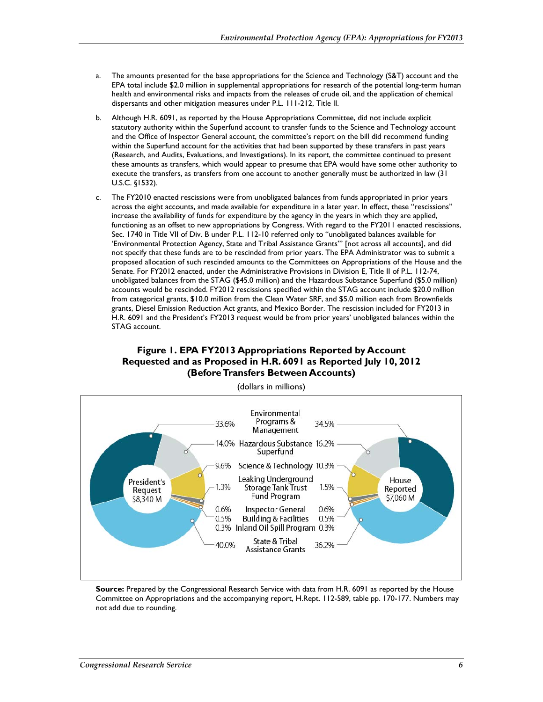- a. The amounts presented for the base appropriations for the Science and Technology (S&T) account and the EPA total include \$2.0 million in supplemental appropriations for research of the potential long-term human health and environmental risks and impacts from the releases of crude oil, and the application of chemical dispersants and other mitigation measures under P.L. 111-212, Title II.
- b. Although H.R. 6091, as reported by the House Appropriations Committee, did not include explicit statutory authority within the Superfund account to transfer funds to the Science and Technology account and the Office of Inspector General account, the committee's report on the bill did recommend funding within the Superfund account for the activities that had been supported by these transfers in past years (Research, and Audits, Evaluations, and Investigations). In its report, the committee continued to present these amounts as transfers, which would appear to presume that EPA would have some other authority to execute the transfers, as transfers from one account to another generally must be authorized in law (31 U.S.C. §1532).
- c. The FY2010 enacted rescissions were from unobligated balances from funds appropriated in prior years across the eight accounts, and made available for expenditure in a later year. In effect, these "rescissions" increase the availability of funds for expenditure by the agency in the years in which they are applied, functioning as an offset to new appropriations by Congress. With regard to the FY2011 enacted rescissions, Sec. 1740 in Title VII of Div. B under P.L. 112-10 referred only to "unobligated balances available for 'Environmental Protection Agency, State and Tribal Assistance Grants'" [not across all accounts], and did not specify that these funds are to be rescinded from prior years. The EPA Administrator was to submit a proposed allocation of such rescinded amounts to the Committees on Appropriations of the House and the Senate. For FY2012 enacted, under the Administrative Provisions in Division E, Title II of P.L. 112-74, unobligated balances from the STAG (\$45.0 million) and the Hazardous Substance Superfund (\$5.0 million) accounts would be rescinded. FY2012 rescissions specified within the STAG account include \$20.0 million from categorical grants, \$10.0 million from the Clean Water SRF, and \$5.0 million each from Brownfields grants, Diesel Emission Reduction Act grants, and Mexico Border. The rescission included for FY2013 in H.R. 6091 and the President's FY2013 request would be from prior years' unobligated balances within the STAG account.

#### **Figure 1. EPA FY2013 Appropriations Reported by Account Requested and as Proposed in H.R. 6091 as Reported July 10, 2012 (Before Transfers Between Accounts)**



(dollars in millions)

**Source:** Prepared by the Congressional Research Service with data from H.R. 6091 as reported by the House Committee on Appropriations and the accompanying report, H.Rept. 112-589, table pp. 170-177. Numbers may not add due to rounding.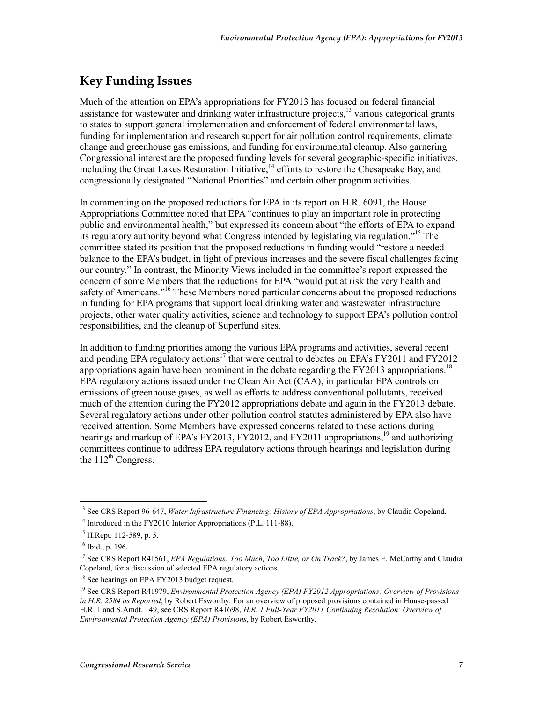## **Key Funding Issues**

Much of the attention on EPA's appropriations for FY2013 has focused on federal financial assistance for wastewater and drinking water infrastructure projects,  $^{13}$  various categorical grants to states to support general implementation and enforcement of federal environmental laws, funding for implementation and research support for air pollution control requirements, climate change and greenhouse gas emissions, and funding for environmental cleanup. Also garnering Congressional interest are the proposed funding levels for several geographic-specific initiatives, including the Great Lakes Restoration Initiative,<sup>14</sup> efforts to restore the Chesapeake Bay, and congressionally designated "National Priorities" and certain other program activities.

In commenting on the proposed reductions for EPA in its report on H.R. 6091, the House Appropriations Committee noted that EPA "continues to play an important role in protecting public and environmental health," but expressed its concern about "the efforts of EPA to expand its regulatory authority beyond what Congress intended by legislating via regulation."15 The committee stated its position that the proposed reductions in funding would "restore a needed balance to the EPA's budget, in light of previous increases and the severe fiscal challenges facing our country." In contrast, the Minority Views included in the committee's report expressed the concern of some Members that the reductions for EPA "would put at risk the very health and safety of Americans."<sup>16</sup> These Members noted particular concerns about the proposed reductions in funding for EPA programs that support local drinking water and wastewater infrastructure projects, other water quality activities, science and technology to support EPA's pollution control responsibilities, and the cleanup of Superfund sites.

In addition to funding priorities among the various EPA programs and activities, several recent and pending EPA regulatory actions<sup>17</sup> that were central to debates on EPA's FY2011 and FY2012 appropriations again have been prominent in the debate regarding the  $FY2013$  appropriations.<sup>18</sup> EPA regulatory actions issued under the Clean Air Act (CAA), in particular EPA controls on emissions of greenhouse gases, as well as efforts to address conventional pollutants, received much of the attention during the FY2012 appropriations debate and again in the FY2013 debate. Several regulatory actions under other pollution control statutes administered by EPA also have received attention. Some Members have expressed concerns related to these actions during hearings and markup of EPA's FY2013, FY2012, and FY2011 appropriations,<sup>19</sup> and authorizing committees continue to address EPA regulatory actions through hearings and legislation during the  $112^{th}$  Congress.

<u>.</u>

<sup>13</sup> See CRS Report 96-647, *Water Infrastructure Financing: History of EPA Appropriations*, by Claudia Copeland.

<sup>&</sup>lt;sup>14</sup> Introduced in the FY2010 Interior Appropriations (P.L. 111-88).

<sup>15</sup> H.Rept. 112-589, p. 5.

<sup>16</sup> Ibid., p. 196.

<sup>&</sup>lt;sup>17</sup> See CRS Report R41561, *EPA Regulations: Too Much, Too Little, or On Track?*, by James E. McCarthy and Claudia Copeland, for a discussion of selected EPA regulatory actions.

<sup>&</sup>lt;sup>18</sup> See hearings on EPA FY2013 budget request.

<sup>19</sup> See CRS Report R41979, *Environmental Protection Agency (EPA) FY2012 Appropriations: Overview of Provisions in H.R. 2584 as Reported*, by Robert Esworthy. For an overview of proposed provisions contained in House-passed H.R. 1 and S.Amdt. 149, see CRS Report R41698, *H.R. 1 Full-Year FY2011 Continuing Resolution: Overview of Environmental Protection Agency (EPA) Provisions*, by Robert Esworthy.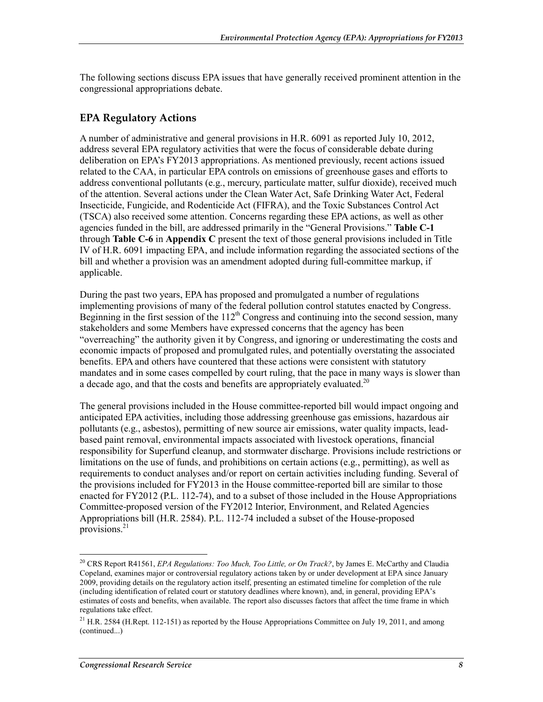The following sections discuss EPA issues that have generally received prominent attention in the congressional appropriations debate.

## **EPA Regulatory Actions**

A number of administrative and general provisions in H.R. 6091 as reported July 10, 2012, address several EPA regulatory activities that were the focus of considerable debate during deliberation on EPA's FY2013 appropriations. As mentioned previously, recent actions issued related to the CAA, in particular EPA controls on emissions of greenhouse gases and efforts to address conventional pollutants (e.g., mercury, particulate matter, sulfur dioxide), received much of the attention. Several actions under the Clean Water Act, Safe Drinking Water Act, Federal Insecticide, Fungicide, and Rodenticide Act (FIFRA), and the Toxic Substances Control Act (TSCA) also received some attention. Concerns regarding these EPA actions, as well as other agencies funded in the bill, are addressed primarily in the "General Provisions." **Table C-1** through **Table C-6** in **Appendix C** present the text of those general provisions included in Title IV of H.R. 6091 impacting EPA, and include information regarding the associated sections of the bill and whether a provision was an amendment adopted during full-committee markup, if applicable.

During the past two years, EPA has proposed and promulgated a number of regulations implementing provisions of many of the federal pollution control statutes enacted by Congress. Beginning in the first session of the  $112<sup>th</sup>$  Congress and continuing into the second session, many stakeholders and some Members have expressed concerns that the agency has been "overreaching" the authority given it by Congress, and ignoring or underestimating the costs and economic impacts of proposed and promulgated rules, and potentially overstating the associated benefits. EPA and others have countered that these actions were consistent with statutory mandates and in some cases compelled by court ruling, that the pace in many ways is slower than a decade ago, and that the costs and benefits are appropriately evaluated.<sup>20</sup>

The general provisions included in the House committee-reported bill would impact ongoing and anticipated EPA activities, including those addressing greenhouse gas emissions, hazardous air pollutants (e.g., asbestos), permitting of new source air emissions, water quality impacts, leadbased paint removal, environmental impacts associated with livestock operations, financial responsibility for Superfund cleanup, and stormwater discharge. Provisions include restrictions or limitations on the use of funds, and prohibitions on certain actions (e.g., permitting), as well as requirements to conduct analyses and/or report on certain activities including funding. Several of the provisions included for FY2013 in the House committee-reported bill are similar to those enacted for FY2012 (P.L. 112-74), and to a subset of those included in the House Appropriations Committee-proposed version of the FY2012 Interior, Environment, and Related Agencies Appropriations bill (H.R. 2584). P.L. 112-74 included a subset of the House-proposed provisions. $^{21}$ 

<sup>20</sup> CRS Report R41561, *EPA Regulations: Too Much, Too Little, or On Track?*, by James E. McCarthy and Claudia Copeland, examines major or controversial regulatory actions taken by or under development at EPA since January 2009, providing details on the regulatory action itself, presenting an estimated timeline for completion of the rule (including identification of related court or statutory deadlines where known), and, in general, providing EPA's estimates of costs and benefits, when available. The report also discusses factors that affect the time frame in which regulations take effect.

 $21$  H.R. 2584 (H.Rept. 112-151) as reported by the House Appropriations Committee on July 19, 2011, and among (continued...)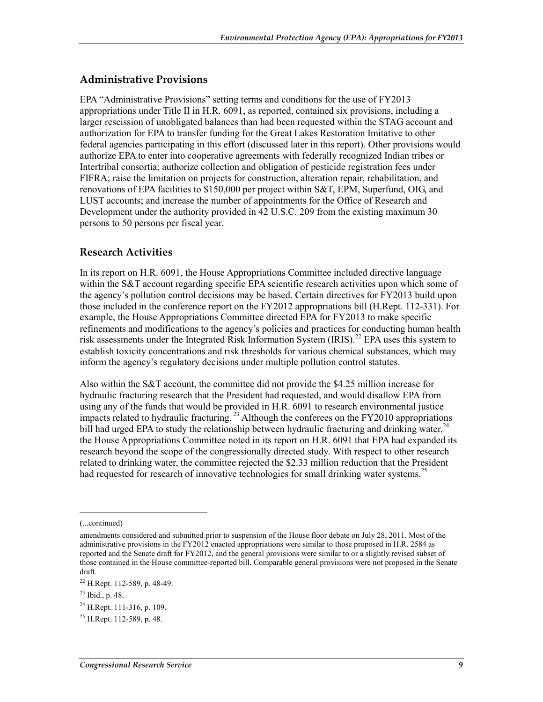## **Administrative Provisions**

EPA "Administrative Provisions" setting terms and conditions for the use of FY2013 appropriations under Title II in H.R. 6091, as reported, contained six provisions, including a larger rescission of unobligated balances than had been requested within the STAG account and authorization for EPA to transfer funding for the Great Lakes Restoration Imitative to other federal agencies participating in this effort (discussed later in this report). Other provisions would authorize EPA to enter into cooperative agreements with federally recognized Indian tribes or Intertribal consortia; authorize collection and obligation of pesticide registration fees under FIFRA; raise the limitation on projects for construction, alteration repair, rehabilitation, and renovations of EPA facilities to \$150,000 per project within S&T, EPM, Superfund, OIG, and LUST accounts; and increase the number of appointments for the Office of Research and Development under the authority provided in 42 U.S.C. 209 from the existing maximum 30 persons to 50 persons per fiscal year.

#### **Research Activities**

In its report on H.R. 6091, the House Appropriations Committee included directive language within the S&T account regarding specific EPA scientific research activities upon which some of the agency's pollution control decisions may be based. Certain directives for FY2013 build upon those included in the conference report on the FY2012 appropriations bill (H.Rept. 112-331). For example, the House Appropriations Committee directed EPA for FY2013 to make specific refinements and modifications to the agency's policies and practices for conducting human health risk assessments under the Integrated Risk Information System (IRIS).<sup>22</sup> EPA uses this system to establish toxicity concentrations and risk thresholds for various chemical substances, which may inform the agency's regulatory decisions under multiple pollution control statutes.

Also within the S&T account, the committee did not provide the \$4.25 million increase for hydraulic fracturing research that the President had requested, and would disallow EPA from using any of the funds that would be provided in H.R. 6091 to research environmental justice impacts related to hydraulic fracturing.<sup>23</sup> Although the conferees on the FY2010 appropriations bill had urged EPA to study the relationship between hydraulic fracturing and drinking water,  $24$ the House Appropriations Committee noted in its report on H.R. 6091 that EPA had expanded its research beyond the scope of the congressionally directed study. With respect to other research related to drinking water, the committee rejected the \$2.33 million reduction that the President had requested for research of innovative technologies for small drinking water systems.<sup>25</sup>

<sup>(...</sup>continued)

amendments considered and submitted prior to suspension of the House floor debate on July 28, 2011. Most of the administrative provisions in the FY2012 enacted appropriations were similar to those proposed in H.R. 2584 as reported and the Senate draft for FY2012, and the general provisions were similar to or a slightly revised subset of those contained in the House committee-reported bill. Comparable general provisions were not proposed in the Senate draft.

<sup>22</sup> H.Rept. 112-589, p. 48-49.

<sup>23</sup> Ibid., p. 48.

 $^{24}$  H.Rept. 111-316, p. 109.

 $^{25}$  H.Rept. 112-589, p. 48.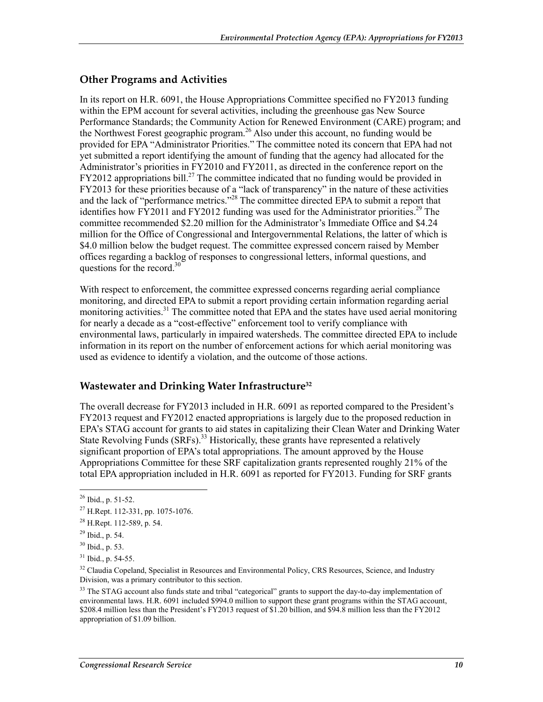### **Other Programs and Activities**

In its report on H.R. 6091, the House Appropriations Committee specified no FY2013 funding within the EPM account for several activities, including the greenhouse gas New Source Performance Standards; the Community Action for Renewed Environment (CARE) program; and the Northwest Forest geographic program.<sup>26</sup> Also under this account, no funding would be provided for EPA "Administrator Priorities." The committee noted its concern that EPA had not yet submitted a report identifying the amount of funding that the agency had allocated for the Administrator's priorities in FY2010 and FY2011, as directed in the conference report on the FY2012 appropriations bill.<sup>27</sup> The committee indicated that no funding would be provided in FY2013 for these priorities because of a "lack of transparency" in the nature of these activities and the lack of "performance metrics."<sup>28</sup> The committee directed EPA to submit a report that identifies how FY2011 and FY2012 funding was used for the Administrator priorities.<sup>29</sup> The committee recommended \$2.20 million for the Administrator's Immediate Office and \$4.24 million for the Office of Congressional and Intergovernmental Relations, the latter of which is \$4.0 million below the budget request. The committee expressed concern raised by Member offices regarding a backlog of responses to congressional letters, informal questions, and questions for the record. $30<sup>30</sup>$ 

With respect to enforcement, the committee expressed concerns regarding aerial compliance monitoring, and directed EPA to submit a report providing certain information regarding aerial monitoring activities.<sup>31</sup> The committee noted that EPA and the states have used aerial monitoring for nearly a decade as a "cost-effective" enforcement tool to verify compliance with environmental laws, particularly in impaired watersheds. The committee directed EPA to include information in its report on the number of enforcement actions for which aerial monitoring was used as evidence to identify a violation, and the outcome of those actions.

### **Wastewater and Drinking Water Infrastructure32**

The overall decrease for FY2013 included in H.R. 6091 as reported compared to the President's FY2013 request and FY2012 enacted appropriations is largely due to the proposed reduction in EPA's STAG account for grants to aid states in capitalizing their Clean Water and Drinking Water State Revolving Funds (SRFs).<sup>33</sup> Historically, these grants have represented a relatively significant proportion of EPA's total appropriations. The amount approved by the House Appropriations Committee for these SRF capitalization grants represented roughly 21% of the total EPA appropriation included in H.R. 6091 as reported for FY2013. Funding for SRF grants

 $^{26}$  Ibid., p. 51-52.

<sup>27</sup> H.Rept. 112-331, pp. 1075-1076.

<sup>28</sup> H.Rept. 112-589, p. 54.

 $^{29}$  Ibid., p. 54.

<sup>30</sup> Ibid., p. 53.

 $31$  Ibid., p. 54-55.

<sup>&</sup>lt;sup>32</sup> Claudia Copeland, Specialist in Resources and Environmental Policy, CRS Resources, Science, and Industry Division, was a primary contributor to this section.

<sup>&</sup>lt;sup>33</sup> The STAG account also funds state and tribal "categorical" grants to support the day-to-day implementation of environmental laws. H.R. 6091 included \$994.0 million to support these grant programs within the STAG account, \$208.4 million less than the President's FY2013 request of \$1.20 billion, and \$94.8 million less than the FY2012 appropriation of \$1.09 billion.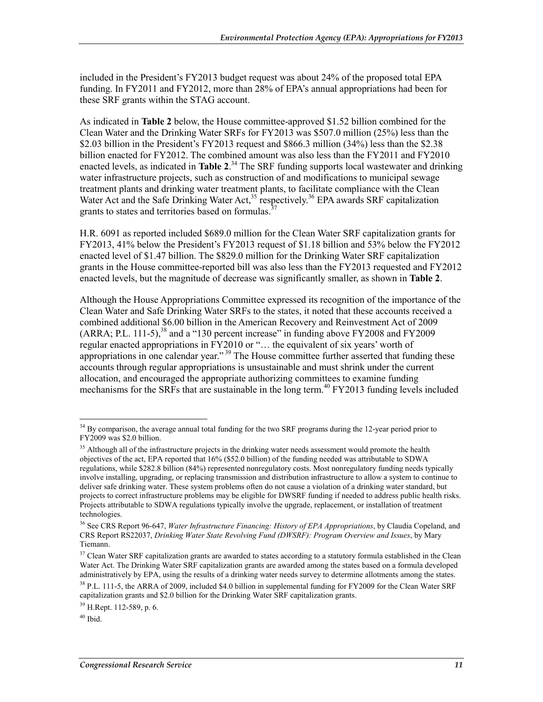included in the President's FY2013 budget request was about 24% of the proposed total EPA funding. In FY2011 and FY2012, more than 28% of EPA's annual appropriations had been for these SRF grants within the STAG account.

As indicated in **Table 2** below, the House committee-approved \$1.52 billion combined for the Clean Water and the Drinking Water SRFs for FY2013 was \$507.0 million (25%) less than the \$2.03 billion in the President's FY2013 request and \$866.3 million (34%) less than the \$2.38 billion enacted for FY2012. The combined amount was also less than the FY2011 and FY2010 enacted levels, as indicated in **Table 2**. 34 The SRF funding supports local wastewater and drinking water infrastructure projects, such as construction of and modifications to municipal sewage treatment plants and drinking water treatment plants, to facilitate compliance with the Clean Water Act and the Safe Drinking Water Act, $35$  respectively.<sup>36</sup> EPA awards SRF capitalization grants to states and territories based on formulas.<sup>3</sup>

H.R. 6091 as reported included \$689.0 million for the Clean Water SRF capitalization grants for FY2013, 41% below the President's FY2013 request of \$1.18 billion and 53% below the FY2012 enacted level of \$1.47 billion. The \$829.0 million for the Drinking Water SRF capitalization grants in the House committee-reported bill was also less than the FY2013 requested and FY2012 enacted levels, but the magnitude of decrease was significantly smaller, as shown in **Table 2**.

Although the House Appropriations Committee expressed its recognition of the importance of the Clean Water and Safe Drinking Water SRFs to the states, it noted that these accounts received a combined additional \$6.00 billion in the American Recovery and Reinvestment Act of 2009  $(ARRA; P.L. 111-5)$ ,<sup>38</sup> and a "130 percent increase" in funding above FY2008 and FY2009 regular enacted appropriations in FY2010 or "… the equivalent of six years' worth of appropriations in one calendar year." 39 The House committee further asserted that funding these accounts through regular appropriations is unsustainable and must shrink under the current allocation, and encouraged the appropriate authorizing committees to examine funding mechanisms for the SRFs that are sustainable in the long term.<sup>40</sup> FY2013 funding levels included

<sup>1</sup> <sup>34</sup> By comparison, the average annual total funding for the two SRF programs during the 12-year period prior to FY2009 was \$2.0 billion.

<sup>&</sup>lt;sup>35</sup> Although all of the infrastructure projects in the drinking water needs assessment would promote the health objectives of the act, EPA reported that 16% (\$52.0 billion) of the funding needed was attributable to SDWA regulations, while \$282.8 billion (84%) represented nonregulatory costs. Most nonregulatory funding needs typically involve installing, upgrading, or replacing transmission and distribution infrastructure to allow a system to continue to deliver safe drinking water. These system problems often do not cause a violation of a drinking water standard, but projects to correct infrastructure problems may be eligible for DWSRF funding if needed to address public health risks. Projects attributable to SDWA regulations typically involve the upgrade, replacement, or installation of treatment technologies.

<sup>36</sup> See CRS Report 96-647, *Water Infrastructure Financing: History of EPA Appropriations*, by Claudia Copeland, and CRS Report RS22037, *Drinking Water State Revolving Fund (DWSRF): Program Overview and Issues*, by Mary Tiemann.

 $37$  Clean Water SRF capitalization grants are awarded to states according to a statutory formula established in the Clean Water Act. The Drinking Water SRF capitalization grants are awarded among the states based on a formula developed administratively by EPA, using the results of a drinking water needs survey to determine allotments among the states.

<sup>&</sup>lt;sup>38</sup> P.L. 111-5, the ARRA of 2009, included \$4.0 billion in supplemental funding for FY2009 for the Clean Water SRF capitalization grants and \$2.0 billion for the Drinking Water SRF capitalization grants.

<sup>39</sup> H.Rept. 112-589, p. 6.

 $40$  Ibid.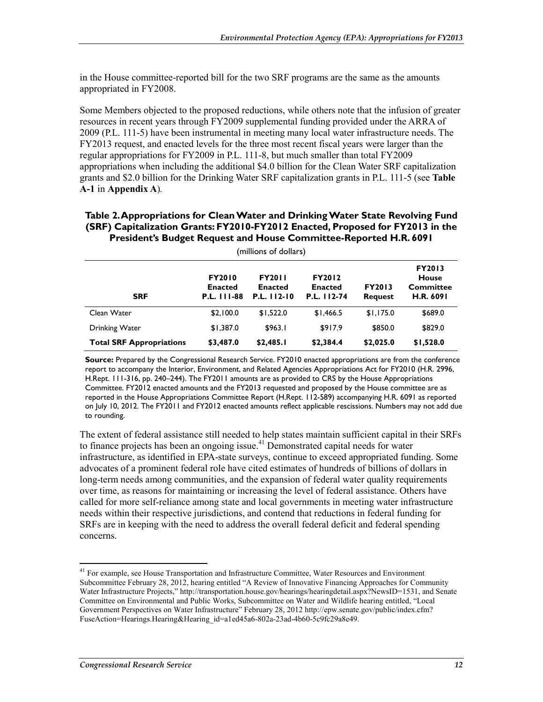in the House committee-reported bill for the two SRF programs are the same as the amounts appropriated in FY2008.

Some Members objected to the proposed reductions, while others note that the infusion of greater resources in recent years through FY2009 supplemental funding provided under the ARRA of 2009 (P.L. 111-5) have been instrumental in meeting many local water infrastructure needs. The FY2013 request, and enacted levels for the three most recent fiscal years were larger than the regular appropriations for FY2009 in P.L. 111-8, but much smaller than total FY2009 appropriations when including the additional \$4.0 billion for the Clean Water SRF capitalization grants and \$2.0 billion for the Drinking Water SRF capitalization grants in P.L. 111-5 (see **Table A-1** in **Appendix A**)*.* 

#### **Table 2. Appropriations for Clean Water and Drinking Water State Revolving Fund (SRF) Capitalization Grants: FY2010-FY2012 Enacted, Proposed for FY2013 in the President's Budget Request and House Committee-Reported H.R. 6091**

| (millions of dollars)           |                                                       |                                                |                                                |                                 |                                                                       |  |
|---------------------------------|-------------------------------------------------------|------------------------------------------------|------------------------------------------------|---------------------------------|-----------------------------------------------------------------------|--|
| <b>SRF</b>                      | <b>FY2010</b><br><b>Enacted</b><br><b>P.L. 111-88</b> | <b>FY2011</b><br><b>Enacted</b><br>P.L. 112-10 | <b>FY2012</b><br><b>Enacted</b><br>P.L. 112-74 | <b>FY2013</b><br><b>Request</b> | <b>FY2013</b><br><b>House</b><br><b>Committee</b><br><b>H.R. 6091</b> |  |
| Clean Water                     | \$2,100.0                                             | \$1,522.0                                      | \$1,466.5                                      | \$1,175.0                       | \$689.0                                                               |  |
| <b>Drinking Water</b>           | \$1,387.0                                             | \$963.1                                        | \$917.9                                        | \$850.0                         | \$829.0                                                               |  |
| <b>Total SRF Appropriations</b> | \$3,487.0                                             | \$2,485.1                                      | \$2,384.4                                      | \$2,025.0                       | \$1,528.0                                                             |  |

**Source:** Prepared by the Congressional Research Service. FY2010 enacted appropriations are from the conference report to accompany the Interior, Environment, and Related Agencies Appropriations Act for FY2010 (H.R. 2996, H.Rept. 111-316, pp. 240–244). The FY2011 amounts are as provided to CRS by the House Appropriations Committee. FY2012 enacted amounts and the FY2013 requested and proposed by the House committee are as reported in the House Appropriations Committee Report (H.Rept. 112-589) accompanying H.R. 6091 as reported on July 10, 2012. The FY2011 and FY2012 enacted amounts reflect applicable rescissions. Numbers may not add due to rounding.

The extent of federal assistance still needed to help states maintain sufficient capital in their SRFs to finance projects has been an ongoing issue.<sup>41</sup> Demonstrated capital needs for water infrastructure, as identified in EPA-state surveys, continue to exceed appropriated funding. Some advocates of a prominent federal role have cited estimates of hundreds of billions of dollars in long-term needs among communities, and the expansion of federal water quality requirements over time, as reasons for maintaining or increasing the level of federal assistance. Others have called for more self-reliance among state and local governments in meeting water infrastructure needs within their respective jurisdictions, and contend that reductions in federal funding for SRFs are in keeping with the need to address the overall federal deficit and federal spending concerns.

<sup>&</sup>lt;sup>41</sup> For example, see House Transportation and Infrastructure Committee, Water Resources and Environment Subcommittee February 28, 2012, hearing entitled "A Review of Innovative Financing Approaches for Community Water Infrastructure Projects," http://transportation.house.gov/hearings/hearingdetail.aspx?NewsID=1531, and Senate Committee on Environmental and Public Works, Subcommittee on Water and Wildlife hearing entitled, "Local Government Perspectives on Water Infrastructure" February 28, 2012 http://epw.senate.gov/public/index.cfm? FuseAction=Hearings.Hearing&Hearing\_id=a1ed45a6-802a-23ad-4b60-5c9fc29a8e49.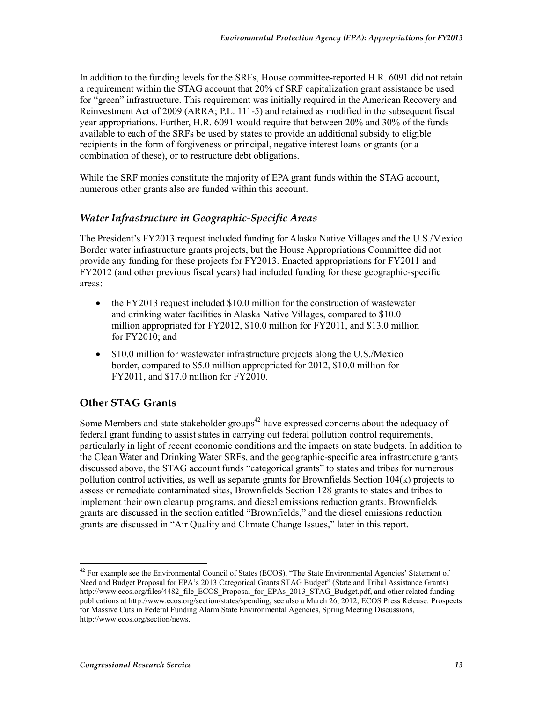In addition to the funding levels for the SRFs, House committee-reported H.R. 6091 did not retain a requirement within the STAG account that 20% of SRF capitalization grant assistance be used for "green" infrastructure. This requirement was initially required in the American Recovery and Reinvestment Act of 2009 (ARRA; P.L. 111-5) and retained as modified in the subsequent fiscal year appropriations. Further, H.R. 6091 would require that between 20% and 30% of the funds available to each of the SRFs be used by states to provide an additional subsidy to eligible recipients in the form of forgiveness or principal, negative interest loans or grants (or a combination of these), or to restructure debt obligations.

While the SRF monies constitute the majority of EPA grant funds within the STAG account, numerous other grants also are funded within this account.

#### *Water Infrastructure in Geographic-Specific Areas*

The President's FY2013 request included funding for Alaska Native Villages and the U.S./Mexico Border water infrastructure grants projects, but the House Appropriations Committee did not provide any funding for these projects for FY2013. Enacted appropriations for FY2011 and FY2012 (and other previous fiscal years) had included funding for these geographic-specific areas:

- the FY2013 request included \$10.0 million for the construction of wastewater and drinking water facilities in Alaska Native Villages, compared to \$10.0 million appropriated for FY2012, \$10.0 million for FY2011, and \$13.0 million for FY2010; and
- \$10.0 million for wastewater infrastructure projects along the U.S./Mexico border, compared to \$5.0 million appropriated for 2012, \$10.0 million for FY2011, and \$17.0 million for FY2010.

### **Other STAG Grants**

Some Members and state stakeholder groups<sup> $42$ </sup> have expressed concerns about the adequacy of federal grant funding to assist states in carrying out federal pollution control requirements, particularly in light of recent economic conditions and the impacts on state budgets. In addition to the Clean Water and Drinking Water SRFs, and the geographic-specific area infrastructure grants discussed above, the STAG account funds "categorical grants" to states and tribes for numerous pollution control activities, as well as separate grants for Brownfields Section 104(k) projects to assess or remediate contaminated sites, Brownfields Section 128 grants to states and tribes to implement their own cleanup programs, and diesel emissions reduction grants. Brownfields grants are discussed in the section entitled "Brownfields," and the diesel emissions reduction grants are discussed in "Air Quality and Climate Change Issues," later in this report.

<sup>&</sup>lt;sup>42</sup> For example see the Environmental Council of States (ECOS), "The State Environmental Agencies' Statement of Need and Budget Proposal for EPA's 2013 Categorical Grants STAG Budget" (State and Tribal Assistance Grants) http://www.ecos.org/files/4482\_file\_ECOS\_Proposal\_for\_EPAs\_2013\_STAG\_Budget.pdf, and other related funding publications at http://www.ecos.org/section/states/spending; see also a March 26, 2012, ECOS Press Release: Prospects for Massive Cuts in Federal Funding Alarm State Environmental Agencies, Spring Meeting Discussions, http://www.ecos.org/section/news.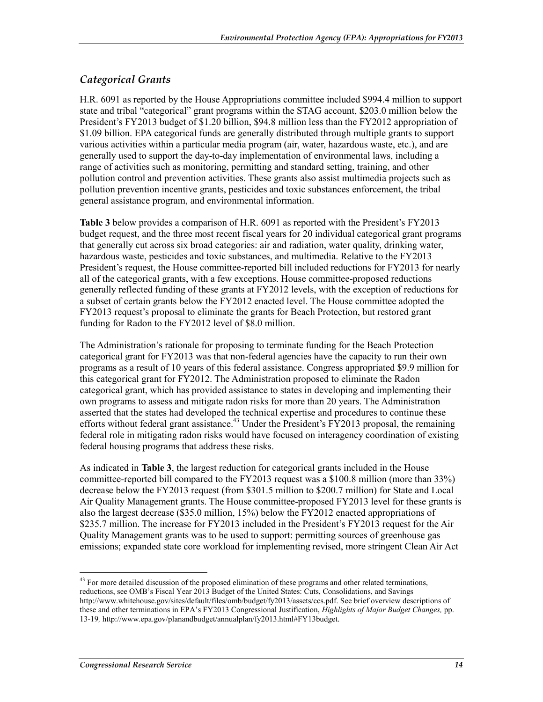## *Categorical Grants*

H.R. 6091 as reported by the House Appropriations committee included \$994.4 million to support state and tribal "categorical" grant programs within the STAG account, \$203.0 million below the President's FY2013 budget of \$1.20 billion, \$94.8 million less than the FY2012 appropriation of \$1.09 billion. EPA categorical funds are generally distributed through multiple grants to support various activities within a particular media program (air, water, hazardous waste, etc.), and are generally used to support the day-to-day implementation of environmental laws, including a range of activities such as monitoring, permitting and standard setting, training, and other pollution control and prevention activities. These grants also assist multimedia projects such as pollution prevention incentive grants, pesticides and toxic substances enforcement, the tribal general assistance program, and environmental information.

**Table 3** below provides a comparison of H.R. 6091 as reported with the President's FY2013 budget request, and the three most recent fiscal years for 20 individual categorical grant programs that generally cut across six broad categories: air and radiation, water quality, drinking water, hazardous waste, pesticides and toxic substances, and multimedia. Relative to the FY2013 President's request, the House committee-reported bill included reductions for FY2013 for nearly all of the categorical grants, with a few exceptions. House committee-proposed reductions generally reflected funding of these grants at FY2012 levels, with the exception of reductions for a subset of certain grants below the FY2012 enacted level. The House committee adopted the FY2013 request's proposal to eliminate the grants for Beach Protection, but restored grant funding for Radon to the FY2012 level of \$8.0 million.

The Administration's rationale for proposing to terminate funding for the Beach Protection categorical grant for FY2013 was that non-federal agencies have the capacity to run their own programs as a result of 10 years of this federal assistance. Congress appropriated \$9.9 million for this categorical grant for FY2012. The Administration proposed to eliminate the Radon categorical grant, which has provided assistance to states in developing and implementing their own programs to assess and mitigate radon risks for more than 20 years. The Administration asserted that the states had developed the technical expertise and procedures to continue these efforts without federal grant assistance.<sup>43</sup> Under the President's  $\angle$ FY2013 proposal, the remaining federal role in mitigating radon risks would have focused on interagency coordination of existing federal housing programs that address these risks.

As indicated in **Table 3**, the largest reduction for categorical grants included in the House committee-reported bill compared to the FY2013 request was a \$100.8 million (more than 33%) decrease below the FY2013 request (from \$301.5 million to \$200.7 million) for State and Local Air Quality Management grants. The House committee-proposed FY2013 level for these grants is also the largest decrease (\$35.0 million, 15%) below the FY2012 enacted appropriations of \$235.7 million. The increase for FY2013 included in the President's FY2013 request for the Air Quality Management grants was to be used to support: permitting sources of greenhouse gas emissions; expanded state core workload for implementing revised, more stringent Clean Air Act

<sup>1</sup> <sup>43</sup> For more detailed discussion of the proposed elimination of these programs and other related terminations, reductions, see OMB's Fiscal Year 2013 Budget of the United States: Cuts, Consolidations, and Savings http://www.whitehouse.gov/sites/default/files/omb/budget/fy2013/assets/ccs.pdf. See brief overview descriptions of these and other terminations in EPA's FY2013 Congressional Justification, *Highlights of Major Budget Changes,* pp. 13-19*,* http://www.epa.gov/planandbudget/annualplan/fy2013.html#FY13budget.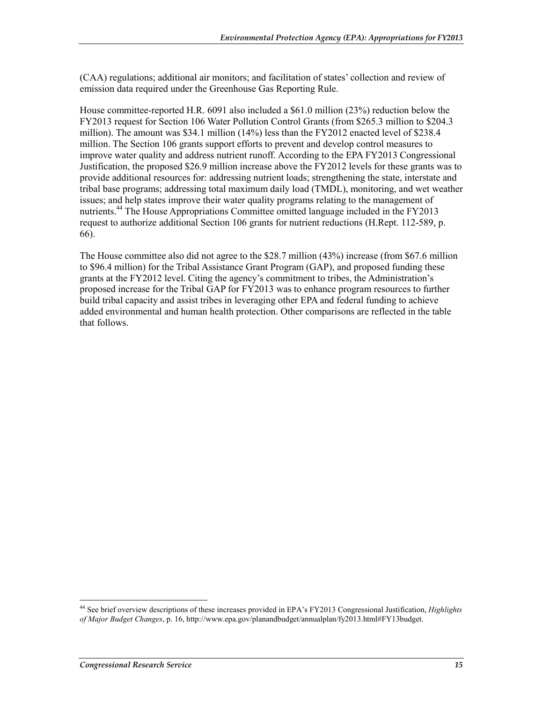(CAA) regulations; additional air monitors; and facilitation of states' collection and review of emission data required under the Greenhouse Gas Reporting Rule.

House committee-reported H.R. 6091 also included a \$61.0 million (23%) reduction below the FY2013 request for Section 106 Water Pollution Control Grants (from \$265.3 million to \$204.3 million). The amount was \$34.1 million (14%) less than the FY2012 enacted level of \$238.4 million. The Section 106 grants support efforts to prevent and develop control measures to improve water quality and address nutrient runoff. According to the EPA FY2013 Congressional Justification, the proposed \$26.9 million increase above the FY2012 levels for these grants was to provide additional resources for: addressing nutrient loads; strengthening the state, interstate and tribal base programs; addressing total maximum daily load (TMDL), monitoring, and wet weather issues; and help states improve their water quality programs relating to the management of nutrients.<sup>44</sup> The House Appropriations Committee omitted language included in the FY2013 request to authorize additional Section 106 grants for nutrient reductions (H.Rept. 112-589, p. 66).

The House committee also did not agree to the \$28.7 million (43%) increase (from \$67.6 million to \$96.4 million) for the Tribal Assistance Grant Program (GAP), and proposed funding these grants at the FY2012 level. Citing the agency's commitment to tribes, the Administration's proposed increase for the Tribal GAP for FY2013 was to enhance program resources to further build tribal capacity and assist tribes in leveraging other EPA and federal funding to achieve added environmental and human health protection. Other comparisons are reflected in the table that follows.

<sup>44</sup> See brief overview descriptions of these increases provided in EPA's FY2013 Congressional Justification, *Highlights of Major Budget Changes*, p. 16, http://www.epa.gov/planandbudget/annualplan/fy2013.html#FY13budget.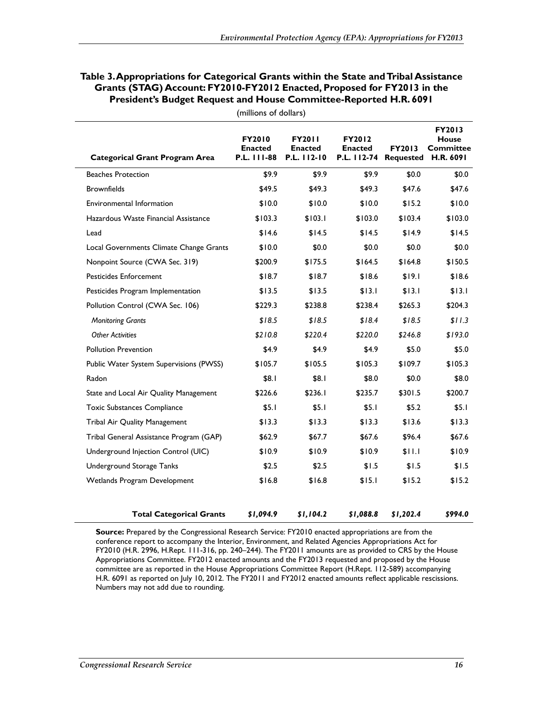| Table 3. Appropriations for Categorical Grants within the State and Tribal Assistance |
|---------------------------------------------------------------------------------------|
| Grants (STAG) Account: FY2010-FY2012 Enacted, Proposed for FY2013 in the              |
| <b>President's Budget Request and House Committee-Reported H.R. 6091</b>              |

| <b>Categorical Grant Program Area</b>   | FY2010<br><b>Enacted</b><br>P.L. 111-88 | <b>FY2011</b><br><b>Enacted</b><br>P.L. 112-10 | FY2012<br><b>Enacted</b><br>P.L. 112-74 | FY2013<br><b>Requested</b> | FY2013<br><b>House</b><br><b>Committee</b><br><b>H.R. 6091</b> |
|-----------------------------------------|-----------------------------------------|------------------------------------------------|-----------------------------------------|----------------------------|----------------------------------------------------------------|
| <b>Beaches Protection</b>               | \$9.9                                   | \$9.9                                          | \$9.9                                   | \$0.0                      | \$0.0\$                                                        |
| <b>Brownfields</b>                      | \$49.5                                  | \$49.3                                         | \$49.3                                  | \$47.6                     | \$47.6                                                         |
| Environmental Information               | \$10.0                                  | \$10.0                                         | \$10.0                                  | \$15.2                     | \$10.0                                                         |
| Hazardous Waste Financial Assistance    | \$103.3                                 | \$103.1                                        | \$103.0                                 | \$103.4                    | \$103.0                                                        |
| Lead                                    | \$14.6                                  | \$14.5                                         | \$14.5                                  | \$14.9                     | \$14.5                                                         |
| Local Governments Climate Change Grants | \$10.0                                  | \$0.0                                          | \$0.0                                   | \$0.0                      | \$0.0                                                          |
| Nonpoint Source (CWA Sec. 319)          | \$200.9                                 | \$175.5                                        | \$164.5                                 | \$164.8                    | \$150.5                                                        |
| <b>Pesticides Enforcement</b>           | \$18.7                                  | \$18.7                                         | \$18.6                                  | \$19.1                     | \$18.6                                                         |
| Pesticides Program Implementation       | \$13.5                                  | \$13.5                                         | \$13.1                                  | \$13.1                     | \$13.1                                                         |
| Pollution Control (CWA Sec. 106)        | \$229.3                                 | \$238.8                                        | \$238.4                                 | \$265.3                    | \$204.3                                                        |
| <b>Monitoring Grants</b>                | \$18.5                                  | \$18.5                                         | \$18.4                                  | \$18.5                     | \$11.3                                                         |
| <b>Other Activities</b>                 | \$210.8                                 | \$220.4                                        | \$220.0                                 | \$246.8                    | \$193.0                                                        |
| <b>Pollution Prevention</b>             | \$4.9                                   | \$4.9                                          | \$4.9                                   | \$5.0                      | \$5.0                                                          |
| Public Water System Supervisions (PWSS) | \$105.7                                 | \$105.5                                        | \$105.3                                 | \$109.7                    | \$105.3                                                        |
| Radon                                   | \$8.1                                   | \$8.1                                          | \$8.0                                   | \$0.0                      | \$8.0                                                          |
| State and Local Air Quality Management  | \$226.6                                 | \$236.I                                        | \$235.7                                 | \$301.5                    | \$200.7                                                        |
| <b>Toxic Substances Compliance</b>      | \$5.1                                   | \$5.1                                          | \$5.1                                   | \$5.2                      | \$5.1                                                          |
| Tribal Air Quality Management           | \$13.3                                  | \$13.3                                         | \$13.3                                  | \$13.6                     | \$13.3                                                         |
| Tribal General Assistance Program (GAP) | \$62.9                                  | \$67.7                                         | \$67.6                                  | \$96.4                     | \$67.6                                                         |
| Underground Injection Control (UIC)     | \$10.9                                  | \$10.9                                         | \$10.9                                  | \$11.1                     | \$10.9                                                         |
| Underground Storage Tanks               | \$2.5                                   | \$2.5                                          | \$1.5                                   | \$1.5                      | \$1.5                                                          |
| Wetlands Program Development            | \$16.8                                  | \$16.8                                         | \$15.1                                  | \$15.2                     | \$15.2                                                         |
| <b>Total Categorical Grants</b>         | \$1,094.9                               | \$1,104.2                                      | \$1,088.8                               | \$1,202.4                  | \$994.0                                                        |

(millions of dollars)

**Source:** Prepared by the Congressional Research Service: FY2010 enacted appropriations are from the conference report to accompany the Interior, Environment, and Related Agencies Appropriations Act for FY2010 (H.R. 2996, H.Rept. 111-316, pp. 240–244). The FY2011 amounts are as provided to CRS by the House Appropriations Committee. FY2012 enacted amounts and the FY2013 requested and proposed by the House committee are as reported in the House Appropriations Committee Report (H.Rept. 112-589) accompanying H.R. 6091 as reported on July 10, 2012. The FY2011 and FY2012 enacted amounts reflect applicable rescissions. Numbers may not add due to rounding.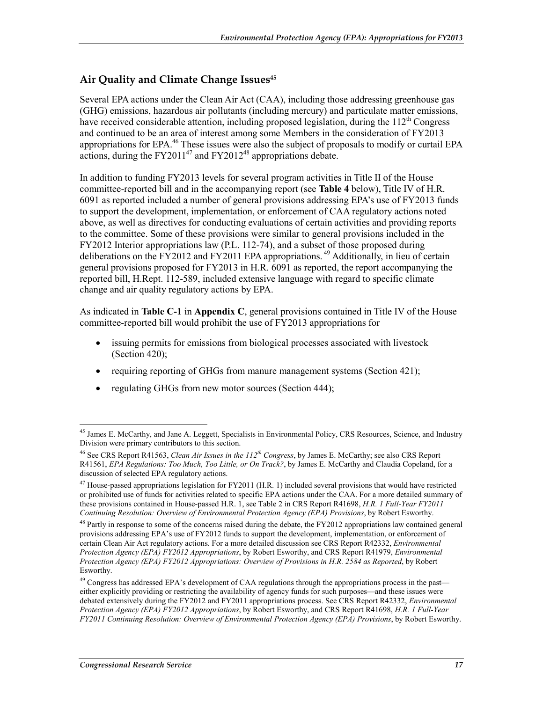## **Air Quality and Climate Change Issues45**

Several EPA actions under the Clean Air Act (CAA), including those addressing greenhouse gas (GHG) emissions, hazardous air pollutants (including mercury) and particulate matter emissions, have received considerable attention, including proposed legislation, during the  $112<sup>th</sup>$  Congress and continued to be an area of interest among some Members in the consideration of FY2013 appropriations for EPA.<sup>46</sup> These issues were also the subject of proposals to modify or curtail EPA actions, during the  $FY2011^{47}$  and  $FY2012^{48}$  appropriations debate.

In addition to funding FY2013 levels for several program activities in Title II of the House committee-reported bill and in the accompanying report (see **Table 4** below), Title IV of H.R. 6091 as reported included a number of general provisions addressing EPA's use of FY2013 funds to support the development, implementation, or enforcement of CAA regulatory actions noted above, as well as directives for conducting evaluations of certain activities and providing reports to the committee. Some of these provisions were similar to general provisions included in the FY2012 Interior appropriations law (P.L. 112-74), and a subset of those proposed during deliberations on the  $\overline{FY2012}$  and  $\overline{FY2011}$  EPA appropriations.<sup>49</sup> Additionally, in lieu of certain general provisions proposed for FY2013 in H.R. 6091 as reported, the report accompanying the reported bill, H.Rept. 112-589, included extensive language with regard to specific climate change and air quality regulatory actions by EPA.

As indicated in **Table C-1** in **Appendix C**, general provisions contained in Title IV of the House committee-reported bill would prohibit the use of FY2013 appropriations for

- issuing permits for emissions from biological processes associated with livestock (Section 420);
- requiring reporting of GHGs from manure management systems (Section 421);
- regulating GHGs from new motor sources (Section 444);

<sup>1</sup> <sup>45</sup> James E. McCarthy, and Jane A. Leggett, Specialists in Environmental Policy, CRS Resources, Science, and Industry Division were primary contributors to this section.

<sup>46</sup> See CRS Report R41563, *Clean Air Issues in the 112th Congress*, by James E. McCarthy; see also CRS Report R41561, *EPA Regulations: Too Much, Too Little, or On Track?*, by James E. McCarthy and Claudia Copeland, for a discussion of selected EPA regulatory actions.

<sup>&</sup>lt;sup>47</sup> House-passed appropriations legislation for FY2011 (H.R. 1) included several provisions that would have restricted or prohibited use of funds for activities related to specific EPA actions under the CAA. For a more detailed summary of these provisions contained in House-passed H.R. 1, see Table 2 in CRS Report R41698, *H.R. 1 Full-Year FY2011 Continuing Resolution: Overview of Environmental Protection Agency (EPA) Provisions*, by Robert Esworthy.

 $^{48}$  Partly in response to some of the concerns raised during the debate, the FY2012 appropriations law contained general provisions addressing EPA's use of FY2012 funds to support the development, implementation, or enforcement of certain Clean Air Act regulatory actions. For a more detailed discussion see CRS Report R42332, *Environmental Protection Agency (EPA) FY2012 Appropriations*, by Robert Esworthy, and CRS Report R41979, *Environmental Protection Agency (EPA) FY2012 Appropriations: Overview of Provisions in H.R. 2584 as Reported*, by Robert Esworthy.

<sup>&</sup>lt;sup>49</sup> Congress has addressed EPA's development of CAA regulations through the appropriations process in the past either explicitly providing or restricting the availability of agency funds for such purposes—and these issues were debated extensively during the FY2012 and FY2011 appropriations process. See CRS Report R42332, *Environmental Protection Agency (EPA) FY2012 Appropriations*, by Robert Esworthy, and CRS Report R41698, *H.R. 1 Full-Year FY2011 Continuing Resolution: Overview of Environmental Protection Agency (EPA) Provisions*, by Robert Esworthy.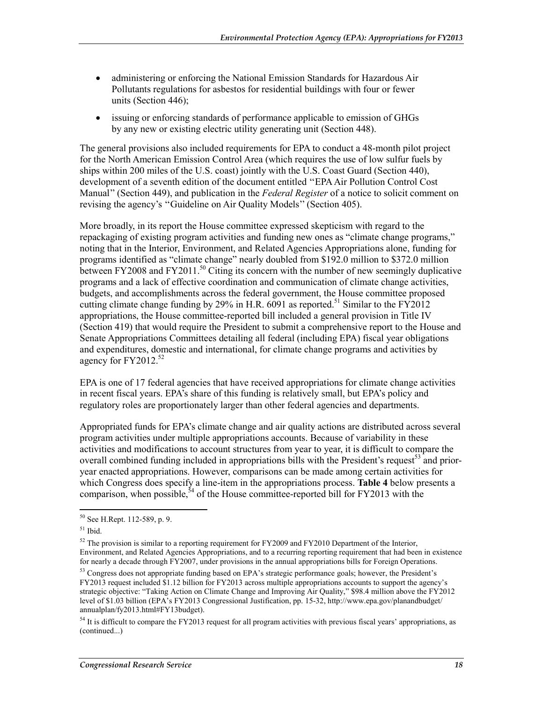- administering or enforcing the National Emission Standards for Hazardous Air Pollutants regulations for asbestos for residential buildings with four or fewer units (Section 446);
- issuing or enforcing standards of performance applicable to emission of GHGs by any new or existing electric utility generating unit (Section 448).

The general provisions also included requirements for EPA to conduct a 48-month pilot project for the North American Emission Control Area (which requires the use of low sulfur fuels by ships within 200 miles of the U.S. coast) jointly with the U.S. Coast Guard (Section 440), development of a seventh edition of the document entitled ''EPA Air Pollution Control Cost Manual'' (Section 449), and publication in the *Federal Register* of a notice to solicit comment on revising the agency's ''Guideline on Air Quality Models'' (Section 405).

More broadly, in its report the House committee expressed skepticism with regard to the repackaging of existing program activities and funding new ones as "climate change programs," noting that in the Interior, Environment, and Related Agencies Appropriations alone, funding for programs identified as "climate change" nearly doubled from \$192.0 million to \$372.0 million between FY2008 and FY2011.<sup>50</sup> Citing its concern with the number of new seemingly duplicative programs and a lack of effective coordination and communication of climate change activities, budgets, and accomplishments across the federal government, the House committee proposed cutting climate change funding by 29% in H.R.  $6091$  as reported.<sup>51</sup> Similar to the FY2012 appropriations, the House committee-reported bill included a general provision in Title IV (Section 419) that would require the President to submit a comprehensive report to the House and Senate Appropriations Committees detailing all federal (including EPA) fiscal year obligations and expenditures, domestic and international, for climate change programs and activities by agency for  $FY2012^{52}$ 

EPA is one of 17 federal agencies that have received appropriations for climate change activities in recent fiscal years. EPA's share of this funding is relatively small, but EPA's policy and regulatory roles are proportionately larger than other federal agencies and departments.

Appropriated funds for EPA's climate change and air quality actions are distributed across several program activities under multiple appropriations accounts. Because of variability in these activities and modifications to account structures from year to year, it is difficult to compare the overall combined funding included in appropriations bills with the President's request<sup>53</sup> and prioryear enacted appropriations. However, comparisons can be made among certain activities for which Congress does specify a line-item in the appropriations process. **Table 4** below presents a comparison, when possible,  $54$  of the House committee-reported bill for FY2013 with the

<u>.</u>

<sup>50</sup> See H.Rept. 112-589, p. 9.

<sup>51</sup> Ibid.

 $52$  The provision is similar to a reporting requirement for FY2009 and FY2010 Department of the Interior, Environment, and Related Agencies Appropriations, and to a recurring reporting requirement that had been in existence for nearly a decade through FY2007, under provisions in the annual appropriations bills for Foreign Operations.

<sup>&</sup>lt;sup>53</sup> Congress does not appropriate funding based on EPA's strategic performance goals; however, the President's FY2013 request included \$1.12 billion for FY2013 across multiple appropriations accounts to support the agency's strategic objective: "Taking Action on Climate Change and Improving Air Quality," \$98.4 million above the FY2012 level of \$1.03 billion (EPA's FY2013 Congressional Justification, pp. 15-32, http://www.epa.gov/planandbudget/ annualplan/fy2013.html#FY13budget).

<sup>&</sup>lt;sup>54</sup> It is difficult to compare the FY2013 request for all program activities with previous fiscal years' appropriations, as (continued...)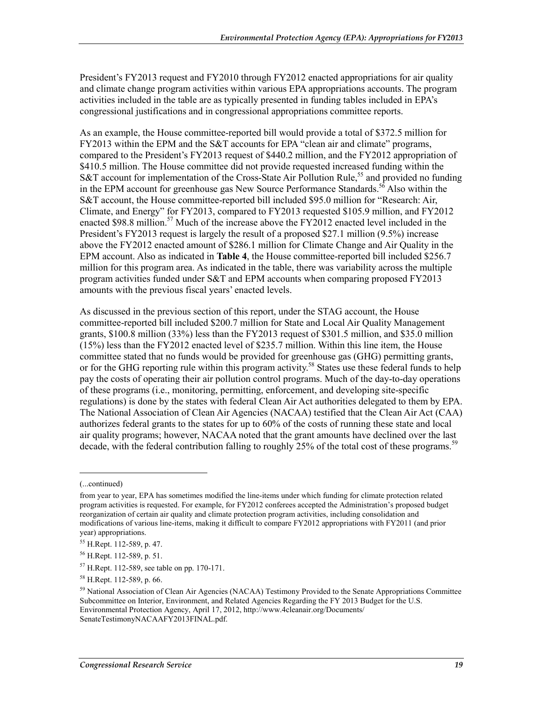President's FY2013 request and FY2010 through FY2012 enacted appropriations for air quality and climate change program activities within various EPA appropriations accounts. The program activities included in the table are as typically presented in funding tables included in EPA's congressional justifications and in congressional appropriations committee reports.

As an example, the House committee-reported bill would provide a total of \$372.5 million for FY2013 within the EPM and the S&T accounts for EPA "clean air and climate" programs, compared to the President's FY2013 request of \$440.2 million, and the FY2012 appropriation of \$410.5 million. The House committee did not provide requested increased funding within the S&T account for implementation of the Cross-State Air Pollution Rule,<sup>55</sup> and provided no funding in the EPM account for greenhouse gas New Source Performance Standards.<sup>56</sup> Also within the S&T account, the House committee-reported bill included \$95.0 million for "Research: Air, Climate, and Energy" for FY2013, compared to FY2013 requested \$105.9 million, and FY2012 enacted \$98.8 million.<sup>57</sup> Much of the increase above the  $FY2012$  enacted level included in the President's FY2013 request is largely the result of a proposed \$27.1 million (9.5%) increase above the FY2012 enacted amount of \$286.1 million for Climate Change and Air Quality in the EPM account. Also as indicated in **Table 4**, the House committee-reported bill included \$256.7 million for this program area. As indicated in the table, there was variability across the multiple program activities funded under S&T and EPM accounts when comparing proposed FY2013 amounts with the previous fiscal years' enacted levels.

As discussed in the previous section of this report, under the STAG account, the House committee-reported bill included \$200.7 million for State and Local Air Quality Management grants, \$100.8 million (33%) less than the FY2013 request of \$301.5 million, and \$35.0 million (15%) less than the FY2012 enacted level of \$235.7 million. Within this line item, the House committee stated that no funds would be provided for greenhouse gas (GHG) permitting grants, or for the GHG reporting rule within this program activity.<sup>58</sup> States use these federal funds to help pay the costs of operating their air pollution control programs. Much of the day-to-day operations of these programs (i.e., monitoring, permitting, enforcement, and developing site-specific regulations) is done by the states with federal Clean Air Act authorities delegated to them by EPA. The National Association of Clean Air Agencies (NACAA) testified that the Clean Air Act (CAA) authorizes federal grants to the states for up to 60% of the costs of running these state and local air quality programs; however, NACAA noted that the grant amounts have declined over the last decade, with the federal contribution falling to roughly 25% of the total cost of these programs.<sup>59</sup>

 $\overline{a}$ 

<sup>(...</sup>continued)

from year to year, EPA has sometimes modified the line-items under which funding for climate protection related program activities is requested. For example, for FY2012 conferees accepted the Administration's proposed budget reorganization of certain air quality and climate protection program activities, including consolidation and modifications of various line-items, making it difficult to compare FY2012 appropriations with FY2011 (and prior year) appropriations.

<sup>55</sup> H.Rept. 112-589, p. 47.

<sup>56</sup> H.Rept. 112-589, p. 51.

<sup>57</sup> H.Rept. 112-589, see table on pp. 170-171.

<sup>58</sup> H.Rept. 112-589, p. 66.

<sup>&</sup>lt;sup>59</sup> National Association of Clean Air Agencies (NACAA) Testimony Provided to the Senate Appropriations Committee Subcommittee on Interior, Environment, and Related Agencies Regarding the FY 2013 Budget for the U.S. Environmental Protection Agency, April 17, 2012, http://www.4cleanair.org/Documents/ SenateTestimonyNACAAFY2013FINAL.pdf.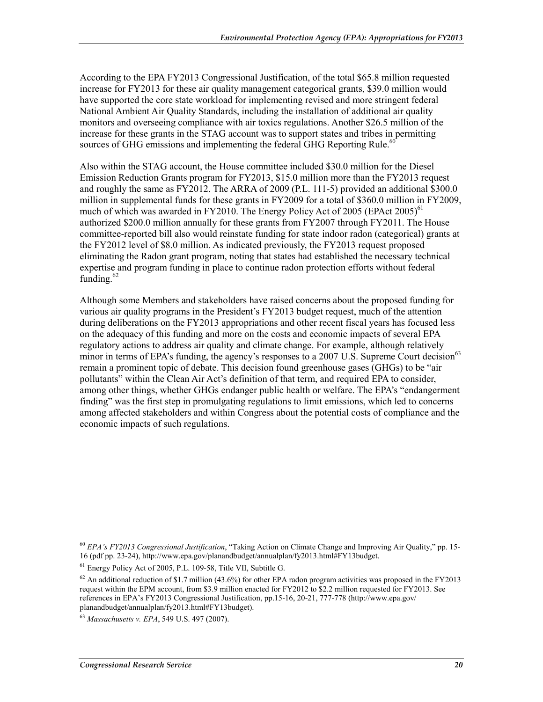According to the EPA FY2013 Congressional Justification, of the total \$65.8 million requested increase for FY2013 for these air quality management categorical grants, \$39.0 million would have supported the core state workload for implementing revised and more stringent federal National Ambient Air Quality Standards, including the installation of additional air quality monitors and overseeing compliance with air toxics regulations. Another \$26.5 million of the increase for these grants in the STAG account was to support states and tribes in permitting sources of GHG emissions and implementing the federal GHG Reporting Rule.<sup>60</sup>

Also within the STAG account, the House committee included \$30.0 million for the Diesel Emission Reduction Grants program for FY2013, \$15.0 million more than the FY2013 request and roughly the same as FY2012. The ARRA of 2009 (P.L. 111-5) provided an additional \$300.0 million in supplemental funds for these grants in FY2009 for a total of \$360.0 million in FY2009, much of which was awarded in FY2010. The Energy Policy Act of 2005 (EPAct 2005)<sup>61</sup> authorized \$200.0 million annually for these grants from FY2007 through FY2011. The House committee-reported bill also would reinstate funding for state indoor radon (categorical) grants at the FY2012 level of \$8.0 million. As indicated previously, the FY2013 request proposed eliminating the Radon grant program, noting that states had established the necessary technical expertise and program funding in place to continue radon protection efforts without federal funding.<sup>62</sup>

Although some Members and stakeholders have raised concerns about the proposed funding for various air quality programs in the President's FY2013 budget request, much of the attention during deliberations on the FY2013 appropriations and other recent fiscal years has focused less on the adequacy of this funding and more on the costs and economic impacts of several EPA regulatory actions to address air quality and climate change. For example, although relatively minor in terms of EPA's funding, the agency's responses to a 2007 U.S. Supreme Court decision<sup>63</sup> remain a prominent topic of debate. This decision found greenhouse gases (GHGs) to be "air pollutants" within the Clean Air Act's definition of that term, and required EPA to consider, among other things, whether GHGs endanger public health or welfare. The EPA's "endangerment finding" was the first step in promulgating regulations to limit emissions, which led to concerns among affected stakeholders and within Congress about the potential costs of compliance and the economic impacts of such regulations.

<sup>60</sup> *EPA's FY2013 Congressional Justification*, "Taking Action on Climate Change and Improving Air Quality," pp. 15- 16 (pdf pp. 23-24), http://www.epa.gov/planandbudget/annualplan/fy2013.html#FY13budget.

<sup>61</sup> Energy Policy Act of 2005, P.L. 109-58, Title VII, Subtitle G.

 $62$  An additional reduction of \$1.7 million (43.6%) for other EPA radon program activities was proposed in the FY2013 request within the EPM account, from \$3.9 million enacted for FY2012 to \$2.2 million requested for FY2013. See references in EPA's FY2013 Congressional Justification, pp.15-16, 20-21, 777-778 (http://www.epa.gov/ planandbudget/annualplan/fy2013.html#FY13budget).

<sup>63</sup> *Massachusetts v. EPA*, 549 U.S. 497 (2007).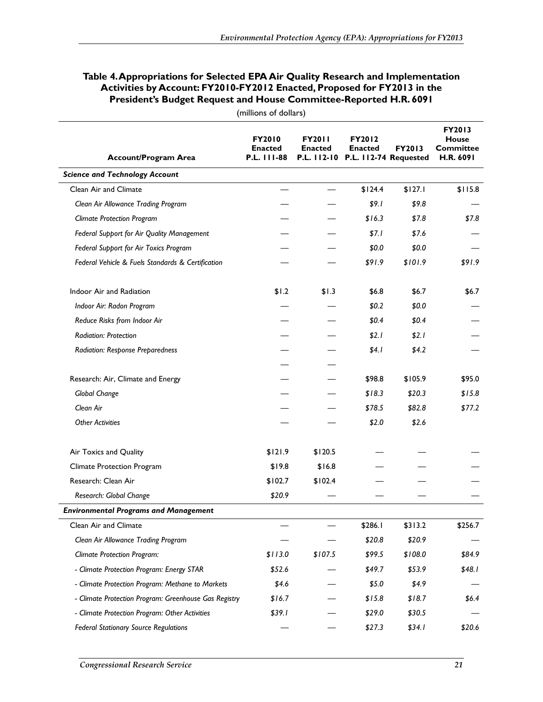#### **Table 4. Appropriations for Selected EPA Air Quality Research and Implementation Activities by Account: FY2010-FY2012 Enacted, Proposed for FY2013 in the President's Budget Request and House Committee-Reported H.R. 6091**

| <b>Account/Program Area</b>                           | <b>FY2010</b><br><b>Enacted</b><br>P.L. 111-88 | <b>FY2011</b><br><b>Enacted</b> | <b>FY2012</b><br><b>Enacted</b><br>P.L. 112-10 P.L. 112-74 Requested | FY2013  | FY2013<br><b>House</b><br><b>Committee</b><br>H.R. 6091 |
|-------------------------------------------------------|------------------------------------------------|---------------------------------|----------------------------------------------------------------------|---------|---------------------------------------------------------|
| <b>Science and Technology Account</b>                 |                                                |                                 |                                                                      |         |                                                         |
| Clean Air and Climate                                 |                                                |                                 | \$124.4                                                              | \$127.1 | \$115.8                                                 |
| Clean Air Allowance Trading Program                   |                                                |                                 | \$9.1                                                                | \$9.8   |                                                         |
| <b>Climate Protection Program</b>                     |                                                |                                 | \$16.3                                                               | \$7.8   | \$7.8                                                   |
| Federal Support for Air Quality Management            |                                                |                                 | \$7.1                                                                | \$7.6   |                                                         |
| Federal Support for Air Toxics Program                |                                                |                                 | \$0.0                                                                | \$0.0   |                                                         |
| Federal Vehicle & Fuels Standards & Certification     |                                                |                                 | \$91.9                                                               | \$101.9 | \$91.9                                                  |
| Indoor Air and Radiation                              | \$1.2                                          | \$1.3                           | \$6.8                                                                | \$6.7   | \$6.7                                                   |
| Indoor Air: Radon Program                             |                                                |                                 | \$0.2\$                                                              | \$0.0   |                                                         |
| Reduce Risks from Indoor Air                          |                                                |                                 | \$0.4\$                                                              | \$0.4   |                                                         |
| Radiation: Protection                                 |                                                |                                 | \$2.1                                                                | \$2.1   |                                                         |
| <b>Radiation: Response Preparedness</b>               |                                                |                                 | \$4.1                                                                | \$4.2   |                                                         |
|                                                       |                                                |                                 |                                                                      |         |                                                         |
| Research: Air, Climate and Energy                     |                                                |                                 | \$98.8                                                               | \$105.9 | \$95.0                                                  |
| Global Change                                         |                                                |                                 | \$18.3                                                               | \$20.3  | \$15.8                                                  |
| Clean Air                                             |                                                |                                 | \$78.5                                                               | \$82.8  | \$77.2                                                  |
| <b>Other Activities</b>                               |                                                |                                 | \$2.0                                                                | \$2.6   |                                                         |
| Air Toxics and Quality                                | \$121.9                                        | \$120.5                         |                                                                      |         |                                                         |
| <b>Climate Protection Program</b>                     | \$19.8                                         | \$16.8                          |                                                                      |         |                                                         |
| Research: Clean Air                                   | \$102.7                                        | \$102.4                         |                                                                      |         |                                                         |
| Research: Global Change                               | \$20.9                                         |                                 |                                                                      |         |                                                         |
| <b>Environmental Programs and Management</b>          |                                                |                                 |                                                                      |         |                                                         |
| Clean Air and Climate                                 |                                                |                                 | \$286.1                                                              | \$313.2 | \$256.7                                                 |
| Clean Air Allowance Trading Program                   |                                                |                                 | \$20.8                                                               | \$20.9  |                                                         |
| <b>Climate Protection Program:</b>                    | \$113.0                                        | \$107.5                         | \$99.5                                                               | \$108.0 | \$84.9                                                  |
| - Climate Protection Program: Energy STAR             | \$52.6                                         |                                 | \$49.7                                                               | \$53.9  | \$48.1                                                  |
| - Climate Protection Program: Methane to Markets      | \$4.6                                          |                                 | \$5.0                                                                | \$4.9   |                                                         |
| - Climate Protection Program: Greenhouse Gas Registry | \$16.7                                         |                                 | \$15.8                                                               | \$18.7  | \$6.4\$                                                 |
| - Climate Protection Program: Other Activities        | \$39.1                                         |                                 | \$29.0                                                               | \$30.5  |                                                         |
| <b>Federal Stationary Source Regulations</b>          |                                                |                                 | \$27.3                                                               | \$34.1  | \$20.6                                                  |

(millions of dollars)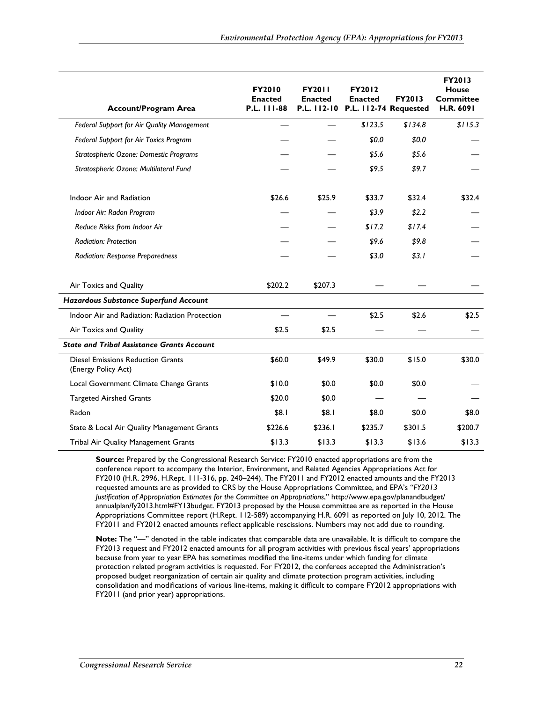| <b>Account/Program Area</b>                                     | <b>FY2010</b><br><b>Enacted</b><br>P.L. 111-88 | <b>FY2011</b><br><b>Enacted</b> | <b>FY2012</b><br><b>Enacted</b><br>P.L. 112-10 P.L. 112-74 Requested | FY2013  | FY2013<br><b>House</b><br><b>Committee</b><br>H.R. 6091 |
|-----------------------------------------------------------------|------------------------------------------------|---------------------------------|----------------------------------------------------------------------|---------|---------------------------------------------------------|
| Federal Support for Air Quality Management                      |                                                |                                 | \$123.5                                                              | \$134.8 | \$115.3                                                 |
| Federal Support for Air Toxics Program                          |                                                |                                 | \$0.0                                                                | \$0.0   |                                                         |
| Stratospheric Ozone: Domestic Programs                          |                                                |                                 | \$5.6                                                                | \$5.6   |                                                         |
| Stratospheric Ozone: Multilateral Fund                          |                                                |                                 | \$9.5                                                                | \$9.7   |                                                         |
| Indoor Air and Radiation                                        | \$26.6                                         | \$25.9                          | \$33.7                                                               | \$32.4  | \$32.4                                                  |
| Indoor Air: Radon Program                                       |                                                |                                 | \$3.9                                                                | \$2.2   |                                                         |
| Reduce Risks from Indoor Air                                    |                                                |                                 | \$17.2                                                               | \$17.4  |                                                         |
| Radiation: Protection                                           |                                                |                                 | \$9.6                                                                | \$9.8   |                                                         |
| <b>Radiation: Response Preparedness</b>                         |                                                |                                 | \$3.0                                                                | \$3.1   |                                                         |
| Air Toxics and Quality                                          | \$202.2                                        | \$207.3                         |                                                                      |         |                                                         |
| Hazardous Substance Superfund Account                           |                                                |                                 |                                                                      |         |                                                         |
| Indoor Air and Radiation: Radiation Protection                  |                                                |                                 | \$2.5                                                                | \$2.6   | \$2.5                                                   |
| Air Toxics and Quality                                          | \$2.5                                          | \$2.5                           |                                                                      |         |                                                         |
| <b>State and Tribal Assistance Grants Account</b>               |                                                |                                 |                                                                      |         |                                                         |
| <b>Diesel Emissions Reduction Grants</b><br>(Energy Policy Act) | \$60.0                                         | \$49.9                          | \$30.0                                                               | \$15.0  | \$30.0                                                  |
| Local Government Climate Change Grants                          | \$10.0                                         | \$0.0                           | \$0.0                                                                | \$0.0   |                                                         |
| <b>Targeted Airshed Grants</b>                                  | \$20.0                                         | \$0.0                           |                                                                      |         |                                                         |
| Radon                                                           | \$8.1                                          | \$8.1                           | \$8.0                                                                | \$0.0   | \$8.0                                                   |
| State & Local Air Quality Management Grants                     | \$226.6                                        | \$236.1                         | \$235.7                                                              | \$301.5 | \$200.7                                                 |
| Tribal Air Quality Management Grants                            | \$13.3                                         | \$13.3                          | \$13.3                                                               | \$13.6  | \$13.3                                                  |

**Source:** Prepared by the Congressional Research Service: FY2010 enacted appropriations are from the conference report to accompany the Interior, Environment, and Related Agencies Appropriations Act for FY2010 (H.R. 2996, H.Rept. 111-316, pp. 240–244). The FY2011 and FY2012 enacted amounts and the FY2013 requested amounts are as provided to CRS by the House Appropriations Committee, and EPA's "*FY2013 Justification of Appropriation Estimates for the Committee on Appropriations*," http://www.epa.gov/planandbudget/ annualplan/fy2013.html#FY13budget. FY2013 proposed by the House committee are as reported in the House Appropriations Committee report (H.Rept. 112-589) accompanying H.R. 6091 as reported on July 10, 2012. The FY2011 and FY2012 enacted amounts reflect applicable rescissions. Numbers may not add due to rounding.

**Note:** The "—" denoted in the table indicates that comparable data are unavailable. It is difficult to compare the FY2013 request and FY2012 enacted amounts for all program activities with previous fiscal years' appropriations because from year to year EPA has sometimes modified the line-items under which funding for climate protection related program activities is requested. For FY2012, the conferees accepted the Administration's proposed budget reorganization of certain air quality and climate protection program activities, including consolidation and modifications of various line-items, making it difficult to compare FY2012 appropriations with FY2011 (and prior year) appropriations.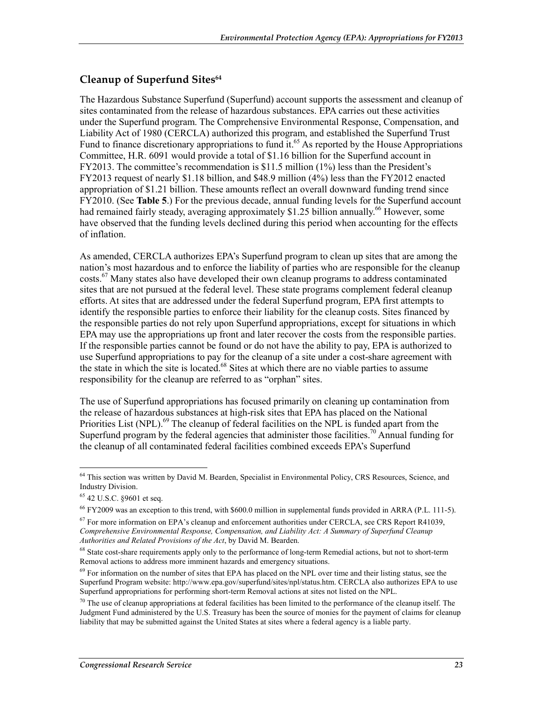## **Cleanup of Superfund Sites64**

The Hazardous Substance Superfund (Superfund) account supports the assessment and cleanup of sites contaminated from the release of hazardous substances. EPA carries out these activities under the Superfund program. The Comprehensive Environmental Response, Compensation, and Liability Act of 1980 (CERCLA) authorized this program, and established the Superfund Trust Fund to finance discretionary appropriations to fund it.<sup>65</sup> As reported by the House Appropriations Committee, H.R. 6091 would provide a total of \$1.16 billion for the Superfund account in FY2013. The committee's recommendation is \$11.5 million (1%) less than the President's FY2013 request of nearly \$1.18 billion, and \$48.9 million (4%) less than the FY2012 enacted appropriation of \$1.21 billion. These amounts reflect an overall downward funding trend since FY2010. (See **Table 5**.) For the previous decade, annual funding levels for the Superfund account had remained fairly steady, averaging approximately \$1.25 billion annually.<sup>66</sup> However, some have observed that the funding levels declined during this period when accounting for the effects of inflation.

As amended, CERCLA authorizes EPA's Superfund program to clean up sites that are among the nation's most hazardous and to enforce the liability of parties who are responsible for the cleanup costs.67 Many states also have developed their own cleanup programs to address contaminated sites that are not pursued at the federal level. These state programs complement federal cleanup efforts. At sites that are addressed under the federal Superfund program, EPA first attempts to identify the responsible parties to enforce their liability for the cleanup costs. Sites financed by the responsible parties do not rely upon Superfund appropriations, except for situations in which EPA may use the appropriations up front and later recover the costs from the responsible parties. If the responsible parties cannot be found or do not have the ability to pay, EPA is authorized to use Superfund appropriations to pay for the cleanup of a site under a cost-share agreement with the state in which the site is located.<sup>68</sup> Sites at which there are no viable parties to assume responsibility for the cleanup are referred to as "orphan" sites.

The use of Superfund appropriations has focused primarily on cleaning up contamination from the release of hazardous substances at high-risk sites that EPA has placed on the National Priorities List (NPL).<sup>69</sup> The cleanup of federal facilities on the NPL is funded apart from the Superfund program by the federal agencies that administer those facilities.<sup>70</sup> Annual funding for the cleanup of all contaminated federal facilities combined exceeds EPA's Superfund

<sup>&</sup>lt;sup>64</sup> This section was written by David M. Bearden, Specialist in Environmental Policy, CRS Resources, Science, and Industry Division.

<sup>65 42</sup> U.S.C. §9601 et seq.

<sup>66</sup> FY2009 was an exception to this trend, with \$600.0 million in supplemental funds provided in ARRA (P.L. 111-5).

 $67$  For more information on EPA's cleanup and enforcement authorities under CERCLA, see CRS Report R41039, *Comprehensive Environmental Response, Compensation, and Liability Act: A Summary of Superfund Cleanup Authorities and Related Provisions of the Act*, by David M. Bearden.

<sup>&</sup>lt;sup>68</sup> State cost-share requirements apply only to the performance of long-term Remedial actions, but not to short-term Removal actions to address more imminent hazards and emergency situations.

<sup>&</sup>lt;sup>69</sup> For information on the number of sites that EPA has placed on the NPL over time and their listing status, see the Superfund Program website: http://www.epa.gov/superfund/sites/npl/status.htm. CERCLA also authorizes EPA to use Superfund appropriations for performing short-term Removal actions at sites not listed on the NPL.

 $70$  The use of cleanup appropriations at federal facilities has been limited to the performance of the cleanup itself. The Judgment Fund administered by the U.S. Treasury has been the source of monies for the payment of claims for cleanup liability that may be submitted against the United States at sites where a federal agency is a liable party.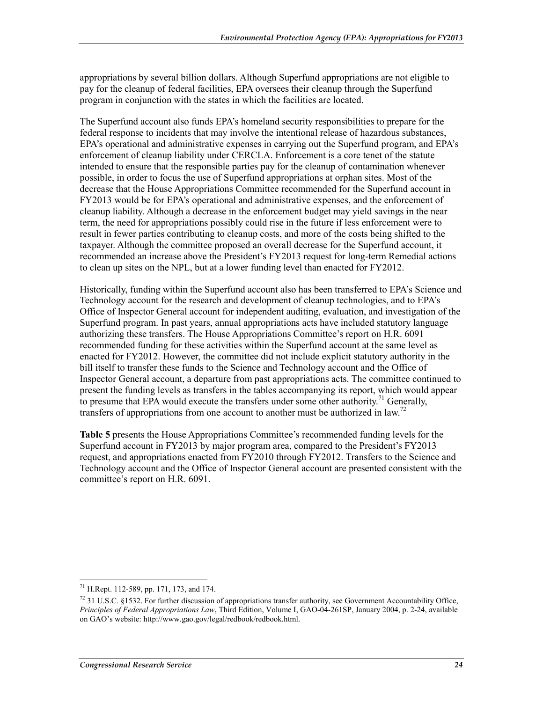appropriations by several billion dollars. Although Superfund appropriations are not eligible to pay for the cleanup of federal facilities, EPA oversees their cleanup through the Superfund program in conjunction with the states in which the facilities are located.

The Superfund account also funds EPA's homeland security responsibilities to prepare for the federal response to incidents that may involve the intentional release of hazardous substances, EPA's operational and administrative expenses in carrying out the Superfund program, and EPA's enforcement of cleanup liability under CERCLA. Enforcement is a core tenet of the statute intended to ensure that the responsible parties pay for the cleanup of contamination whenever possible, in order to focus the use of Superfund appropriations at orphan sites. Most of the decrease that the House Appropriations Committee recommended for the Superfund account in FY2013 would be for EPA's operational and administrative expenses, and the enforcement of cleanup liability. Although a decrease in the enforcement budget may yield savings in the near term, the need for appropriations possibly could rise in the future if less enforcement were to result in fewer parties contributing to cleanup costs, and more of the costs being shifted to the taxpayer. Although the committee proposed an overall decrease for the Superfund account, it recommended an increase above the President's FY2013 request for long-term Remedial actions to clean up sites on the NPL, but at a lower funding level than enacted for FY2012.

Historically, funding within the Superfund account also has been transferred to EPA's Science and Technology account for the research and development of cleanup technologies, and to EPA's Office of Inspector General account for independent auditing, evaluation, and investigation of the Superfund program. In past years, annual appropriations acts have included statutory language authorizing these transfers. The House Appropriations Committee's report on H.R. 6091 recommended funding for these activities within the Superfund account at the same level as enacted for FY2012. However, the committee did not include explicit statutory authority in the bill itself to transfer these funds to the Science and Technology account and the Office of Inspector General account, a departure from past appropriations acts. The committee continued to present the funding levels as transfers in the tables accompanying its report, which would appear to presume that EPA would execute the transfers under some other authority.<sup>71</sup> Generally, transfers of appropriations from one account to another must be authorized in law.<sup>72</sup>

**Table 5** presents the House Appropriations Committee's recommended funding levels for the Superfund account in FY2013 by major program area, compared to the President's FY2013 request, and appropriations enacted from FY2010 through FY2012. Transfers to the Science and Technology account and the Office of Inspector General account are presented consistent with the committee's report on H.R. 6091.

<sup>71</sup> H.Rept. 112-589, pp. 171, 173, and 174.

<sup>72 31</sup> U.S.C. §1532. For further discussion of appropriations transfer authority, see Government Accountability Office, *Principles of Federal Appropriations Law*, Third Edition, Volume I, GAO-04-261SP, January 2004, p. 2-24, available on GAO's website: http://www.gao.gov/legal/redbook/redbook.html.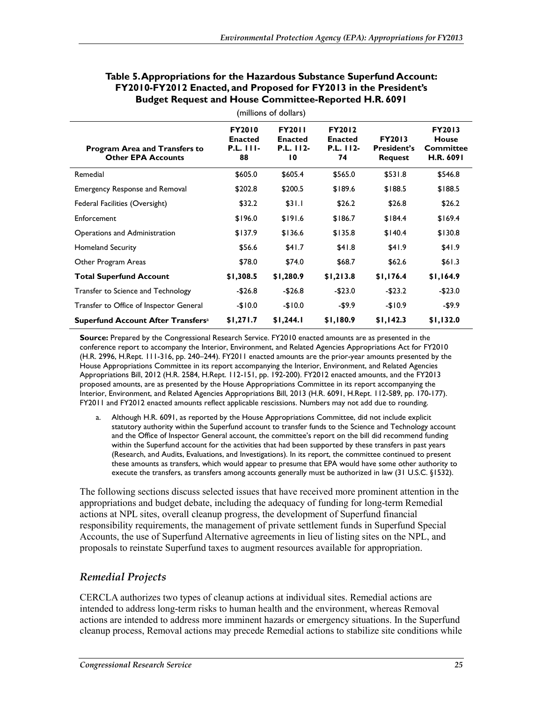| (millions of dollars)                                             |                                                           |                                                    |                                                    |                                                       |                                                  |  |  |  |
|-------------------------------------------------------------------|-----------------------------------------------------------|----------------------------------------------------|----------------------------------------------------|-------------------------------------------------------|--------------------------------------------------|--|--|--|
| <b>Program Area and Transfers to</b><br><b>Other EPA Accounts</b> | <b>FY2010</b><br><b>Enacted</b><br><b>P.L. 111-</b><br>88 | <b>FY2011</b><br><b>Enacted</b><br>P.L. 112-<br>10 | <b>FY2012</b><br><b>Enacted</b><br>P.L. 112-<br>74 | <b>FY2013</b><br><b>President's</b><br><b>Request</b> | FY2013<br>House<br><b>Committee</b><br>H.R. 6091 |  |  |  |
| Remedial                                                          | \$605.0                                                   | \$605.4                                            | \$565.0                                            | \$531.8                                               | \$546.8                                          |  |  |  |
| <b>Emergency Response and Removal</b>                             | \$202.8                                                   | \$200.5                                            | \$189.6                                            | \$188.5                                               | \$188.5                                          |  |  |  |
| Federal Facilities (Oversight)                                    | \$32.2                                                    | \$31.1                                             | \$26.2                                             | \$26.8                                                | \$26.2                                           |  |  |  |
| Enforcement                                                       | \$196.0                                                   | \$191.6                                            | \$186.7                                            | \$184.4                                               | \$169.4                                          |  |  |  |
| Operations and Administration                                     | \$137.9                                                   | \$136.6                                            | \$135.8                                            | \$140.4                                               | \$130.8                                          |  |  |  |
| <b>Homeland Security</b>                                          | \$56.6                                                    | \$41.7                                             | \$41.8                                             | \$41.9                                                | \$41.9                                           |  |  |  |
| Other Program Areas                                               | \$78.0                                                    | \$74.0                                             | \$68.7                                             | \$62.6                                                | \$61.3                                           |  |  |  |
| <b>Total Superfund Account</b>                                    | \$1,308.5                                                 | \$1,280.9                                          | \$1,213.8                                          | \$1,176.4                                             | \$1,164.9                                        |  |  |  |
| Transfer to Science and Technology                                | $-$26.8$                                                  | $-$26.8$                                           | $-$23.0$                                           | $-$23.2$                                              | $-$23.0$                                         |  |  |  |
| Transfer to Office of Inspector General                           | $-$10.0$                                                  | $-$10.0$                                           | -\$9.9                                             | $-$10.9$                                              | -\$9.9                                           |  |  |  |
| Superfund Account After Transfers <sup>a</sup>                    | \$1,271.7                                                 | \$1,244.1                                          | \$1,180.9                                          | \$1,142.3                                             | \$1,132.0                                        |  |  |  |

#### **Table 5. Appropriations for the Hazardous Substance Superfund Account: FY2010-FY2012 Enacted, and Proposed for FY2013 in the President's Budget Request and House Committee-Reported H.R. 6091**

**Source:** Prepared by the Congressional Research Service. FY2010 enacted amounts are as presented in the conference report to accompany the Interior, Environment, and Related Agencies Appropriations Act for FY2010 (H.R. 2996, H.Rept. 111-316, pp. 240–244). FY2011 enacted amounts are the prior-year amounts presented by the House Appropriations Committee in its report accompanying the Interior, Environment, and Related Agencies Appropriations Bill, 2012 (H.R. 2584, H.Rept. 112-151, pp. 192-200). FY2012 enacted amounts, and the FY2013 proposed amounts, are as presented by the House Appropriations Committee in its report accompanying the Interior, Environment, and Related Agencies Appropriations Bill, 2013 (H.R. 6091, H.Rept. 112-589, pp. 170-177). FY2011 and FY2012 enacted amounts reflect applicable rescissions. Numbers may not add due to rounding.

a. Although H.R. 6091, as reported by the House Appropriations Committee, did not include explicit statutory authority within the Superfund account to transfer funds to the Science and Technology account and the Office of Inspector General account, the committee's report on the bill did recommend funding within the Superfund account for the activities that had been supported by these transfers in past years (Research, and Audits, Evaluations, and Investigations). In its report, the committee continued to present these amounts as transfers, which would appear to presume that EPA would have some other authority to execute the transfers, as transfers among accounts generally must be authorized in law (31 U.S.C. §1532).

The following sections discuss selected issues that have received more prominent attention in the appropriations and budget debate, including the adequacy of funding for long-term Remedial actions at NPL sites, overall cleanup progress, the development of Superfund financial responsibility requirements, the management of private settlement funds in Superfund Special Accounts, the use of Superfund Alternative agreements in lieu of listing sites on the NPL, and proposals to reinstate Superfund taxes to augment resources available for appropriation.

## *Remedial Projects*

CERCLA authorizes two types of cleanup actions at individual sites. Remedial actions are intended to address long-term risks to human health and the environment, whereas Removal actions are intended to address more imminent hazards or emergency situations. In the Superfund cleanup process, Removal actions may precede Remedial actions to stabilize site conditions while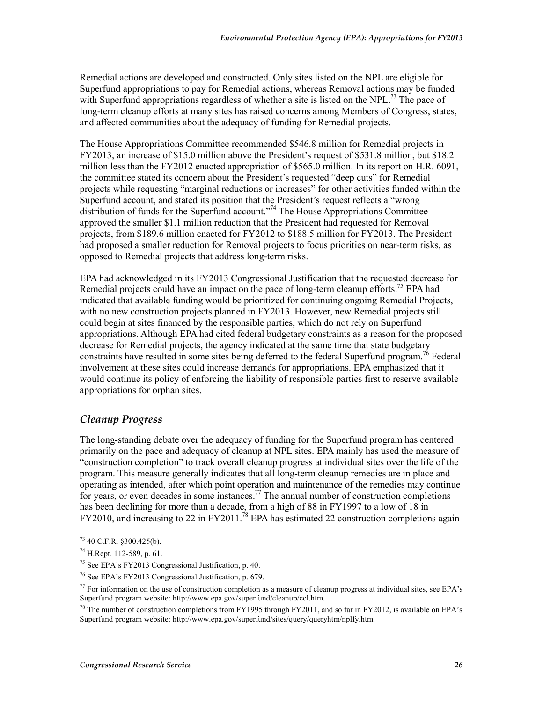Remedial actions are developed and constructed. Only sites listed on the NPL are eligible for Superfund appropriations to pay for Remedial actions, whereas Removal actions may be funded with Superfund appropriations regardless of whether a site is listed on the NPL.<sup>73</sup> The pace of long-term cleanup efforts at many sites has raised concerns among Members of Congress, states, and affected communities about the adequacy of funding for Remedial projects.

The House Appropriations Committee recommended \$546.8 million for Remedial projects in FY2013, an increase of \$15.0 million above the President's request of \$531.8 million, but \$18.2 million less than the FY2012 enacted appropriation of \$565.0 million. In its report on H.R. 6091, the committee stated its concern about the President's requested "deep cuts" for Remedial projects while requesting "marginal reductions or increases" for other activities funded within the Superfund account, and stated its position that the President's request reflects a "wrong distribution of funds for the Superfund account."<sup>74</sup> The House Appropriations Committee approved the smaller \$1.1 million reduction that the President had requested for Removal projects, from \$189.6 million enacted for FY2012 to \$188.5 million for FY2013. The President had proposed a smaller reduction for Removal projects to focus priorities on near-term risks, as opposed to Remedial projects that address long-term risks.

EPA had acknowledged in its FY2013 Congressional Justification that the requested decrease for Remedial projects could have an impact on the pace of long-term cleanup efforts.<sup>75</sup> EPA had indicated that available funding would be prioritized for continuing ongoing Remedial Projects, with no new construction projects planned in FY2013. However, new Remedial projects still could begin at sites financed by the responsible parties, which do not rely on Superfund appropriations. Although EPA had cited federal budgetary constraints as a reason for the proposed decrease for Remedial projects, the agency indicated at the same time that state budgetary constraints have resulted in some sites being deferred to the federal Superfund program.<sup>76</sup> Federal involvement at these sites could increase demands for appropriations. EPA emphasized that it would continue its policy of enforcing the liability of responsible parties first to reserve available appropriations for orphan sites.

### *Cleanup Progress*

The long-standing debate over the adequacy of funding for the Superfund program has centered primarily on the pace and adequacy of cleanup at NPL sites. EPA mainly has used the measure of "construction completion" to track overall cleanup progress at individual sites over the life of the program. This measure generally indicates that all long-term cleanup remedies are in place and operating as intended, after which point operation and maintenance of the remedies may continue for years, or even decades in some instances.<sup>77</sup> The annual number of construction completions has been declining for more than a decade, from a high of 88 in FY1997 to a low of 18 in  $FY2010$ , and increasing to 22 in  $FY2011<sup>78</sup>$  EPA has estimated 22 construction completions again

 $73$  40 C.F.R. §300.425(b).

<sup>74</sup> H.Rept. 112-589, p. 61.

<sup>75</sup> See EPA's FY2013 Congressional Justification, p. 40.

<sup>76</sup> See EPA's FY2013 Congressional Justification, p. 679.

<sup>&</sup>lt;sup>77</sup> For information on the use of construction completion as a measure of cleanup progress at individual sites, see EPA's Superfund program website: http://www.epa.gov/superfund/cleanup/ccl.htm.

<sup>&</sup>lt;sup>78</sup> The number of construction completions from FY1995 through FY2011, and so far in FY2012, is available on EPA's Superfund program website: http://www.epa.gov/superfund/sites/query/queryhtm/nplfy.htm.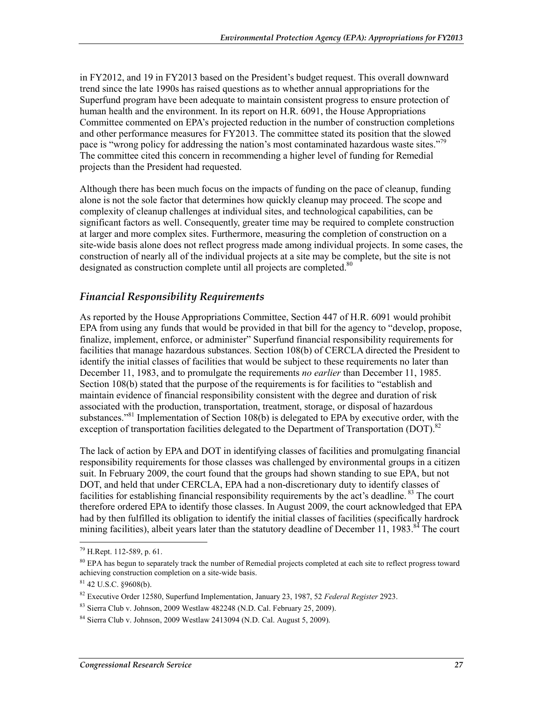in FY2012, and 19 in FY2013 based on the President's budget request. This overall downward trend since the late 1990s has raised questions as to whether annual appropriations for the Superfund program have been adequate to maintain consistent progress to ensure protection of human health and the environment. In its report on H.R. 6091, the House Appropriations Committee commented on EPA's projected reduction in the number of construction completions and other performance measures for FY2013. The committee stated its position that the slowed pace is "wrong policy for addressing the nation's most contaminated hazardous waste sites."<sup>79</sup> The committee cited this concern in recommending a higher level of funding for Remedial projects than the President had requested.

Although there has been much focus on the impacts of funding on the pace of cleanup, funding alone is not the sole factor that determines how quickly cleanup may proceed. The scope and complexity of cleanup challenges at individual sites, and technological capabilities, can be significant factors as well. Consequently, greater time may be required to complete construction at larger and more complex sites. Furthermore, measuring the completion of construction on a site-wide basis alone does not reflect progress made among individual projects. In some cases, the construction of nearly all of the individual projects at a site may be complete, but the site is not designated as construction complete until all projects are completed.<sup>80</sup>

### *Financial Responsibility Requirements*

As reported by the House Appropriations Committee, Section 447 of H.R. 6091 would prohibit EPA from using any funds that would be provided in that bill for the agency to "develop, propose, finalize, implement, enforce, or administer" Superfund financial responsibility requirements for facilities that manage hazardous substances. Section 108(b) of CERCLA directed the President to identify the initial classes of facilities that would be subject to these requirements no later than December 11, 1983, and to promulgate the requirements *no earlier* than December 11, 1985. Section 108(b) stated that the purpose of the requirements is for facilities to "establish and maintain evidence of financial responsibility consistent with the degree and duration of risk associated with the production, transportation, treatment, storage, or disposal of hazardous substances.<sup> $381$ </sup> Implementation of Section 108(b) is delegated to EPA by executive order, with the exception of transportation facilities delegated to the Department of Transportation (DOT).<sup>82</sup>

The lack of action by EPA and DOT in identifying classes of facilities and promulgating financial responsibility requirements for those classes was challenged by environmental groups in a citizen suit. In February 2009, the court found that the groups had shown standing to sue EPA, but not DOT, and held that under CERCLA, EPA had a non-discretionary duty to identify classes of facilities for establishing financial responsibility requirements by the act's deadline. <sup>83</sup> The court therefore ordered EPA to identify those classes. In August 2009, the court acknowledged that EPA had by then fulfilled its obligation to identify the initial classes of facilities (specifically hardrock mining facilities), albeit years later than the statutory deadline of December 11, 1983.<sup>84</sup> The court

<sup>79</sup> H.Rept. 112-589, p. 61.

<sup>&</sup>lt;sup>80</sup> EPA has begun to separately track the number of Remedial projects completed at each site to reflect progress toward achieving construction completion on a site-wide basis.

<sup>81 42</sup> U.S.C. §9608(b).

<sup>82</sup> Executive Order 12580, Superfund Implementation, January 23, 1987, 52 *Federal Register* 2923.

<sup>83</sup> Sierra Club v. Johnson, 2009 Westlaw 482248 (N.D. Cal. February 25, 2009).

<sup>84</sup> Sierra Club v. Johnson, 2009 Westlaw 2413094 (N.D. Cal. August 5, 2009).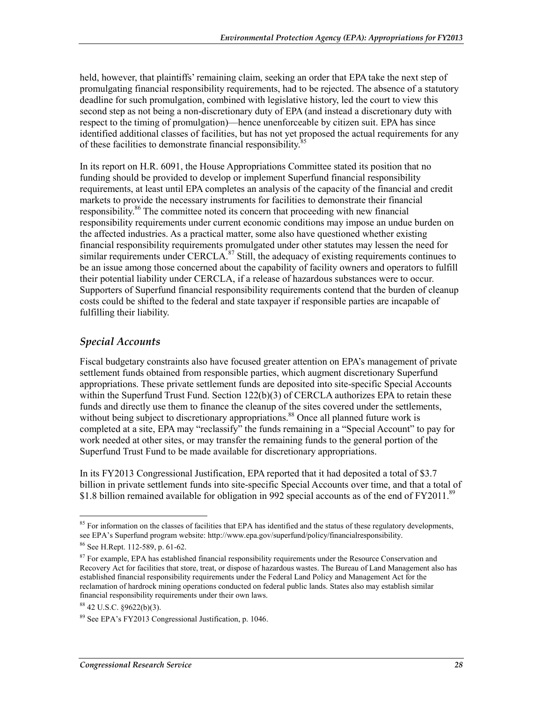held, however, that plaintiffs' remaining claim, seeking an order that EPA take the next step of promulgating financial responsibility requirements, had to be rejected. The absence of a statutory deadline for such promulgation, combined with legislative history, led the court to view this second step as not being a non-discretionary duty of EPA (and instead a discretionary duty with respect to the timing of promulgation)—hence unenforceable by citizen suit. EPA has since identified additional classes of facilities, but has not yet proposed the actual requirements for any of these facilities to demonstrate financial responsibility.<sup>85</sup>

In its report on H.R. 6091, the House Appropriations Committee stated its position that no funding should be provided to develop or implement Superfund financial responsibility requirements, at least until EPA completes an analysis of the capacity of the financial and credit markets to provide the necessary instruments for facilities to demonstrate their financial responsibility.<sup>86</sup> The committee noted its concern that proceeding with new financial responsibility requirements under current economic conditions may impose an undue burden on the affected industries. As a practical matter, some also have questioned whether existing financial responsibility requirements promulgated under other statutes may lessen the need for similar requirements under CERCLA. $^{87}$  Still, the adequacy of existing requirements continues to be an issue among those concerned about the capability of facility owners and operators to fulfill their potential liability under CERCLA, if a release of hazardous substances were to occur. Supporters of Superfund financial responsibility requirements contend that the burden of cleanup costs could be shifted to the federal and state taxpayer if responsible parties are incapable of fulfilling their liability.

#### *Special Accounts*

Fiscal budgetary constraints also have focused greater attention on EPA's management of private settlement funds obtained from responsible parties, which augment discretionary Superfund appropriations. These private settlement funds are deposited into site-specific Special Accounts within the Superfund Trust Fund. Section  $122(b)(3)$  of CERCLA authorizes EPA to retain these funds and directly use them to finance the cleanup of the sites covered under the settlements, without being subject to discretionary appropriations.<sup>88</sup> Once all planned future work is completed at a site, EPA may "reclassify" the funds remaining in a "Special Account" to pay for work needed at other sites, or may transfer the remaining funds to the general portion of the Superfund Trust Fund to be made available for discretionary appropriations.

In its FY2013 Congressional Justification, EPA reported that it had deposited a total of \$3.7 billion in private settlement funds into site-specific Special Accounts over time, and that a total of \$1.8 billion remained available for obligation in 992 special accounts as of the end of FY2011.<sup>89</sup>

<sup>1</sup>  $85$  For information on the classes of facilities that EPA has identified and the status of these regulatory developments, see EPA's Superfund program website: http://www.epa.gov/superfund/policy/financialresponsibility.

<sup>86</sup> See H.Rept. 112-589, p. 61-62.

 $87$  For example, EPA has established financial responsibility requirements under the Resource Conservation and Recovery Act for facilities that store, treat, or dispose of hazardous wastes. The Bureau of Land Management also has established financial responsibility requirements under the Federal Land Policy and Management Act for the reclamation of hardrock mining operations conducted on federal public lands. States also may establish similar financial responsibility requirements under their own laws.

 $8842$  U.S.C.  $$9622(b)(3)$ .

<sup>89</sup> See EPA's FY2013 Congressional Justification, p. 1046.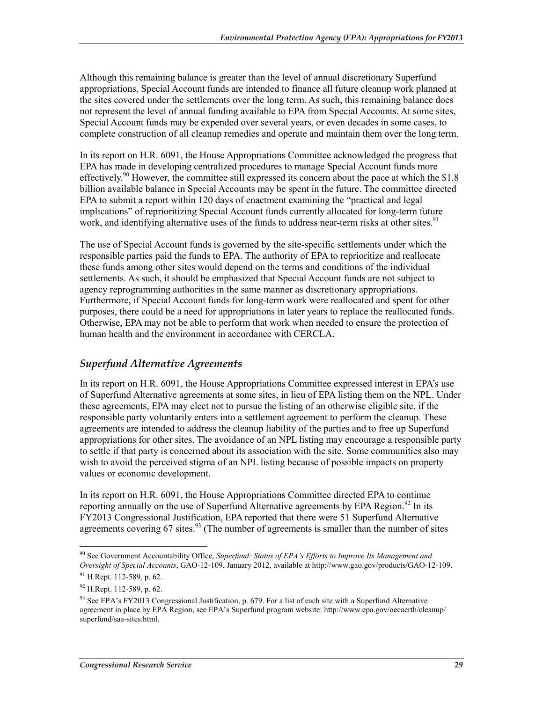Although this remaining balance is greater than the level of annual discretionary Superfund appropriations, Special Account funds are intended to finance all future cleanup work planned at the sites covered under the settlements over the long term. As such, this remaining balance does not represent the level of annual funding available to EPA from Special Accounts. At some sites, Special Account funds may be expended over several years, or even decades in some cases, to complete construction of all cleanup remedies and operate and maintain them over the long term.

In its report on H.R. 6091, the House Appropriations Committee acknowledged the progress that EPA has made in developing centralized procedures to manage Special Account funds more effectively.<sup>90</sup> However, the committee still expressed its concern about the pace at which the \$1.8 billion available balance in Special Accounts may be spent in the future. The committee directed EPA to submit a report within 120 days of enactment examining the "practical and legal implications" of reprioritizing Special Account funds currently allocated for long-term future work, and identifying alternative uses of the funds to address near-term risks at other sites.<sup>91</sup>

The use of Special Account funds is governed by the site-specific settlements under which the responsible parties paid the funds to EPA. The authority of EPA to reprioritize and reallocate these funds among other sites would depend on the terms and conditions of the individual settlements. As such, it should be emphasized that Special Account funds are not subject to agency reprogramming authorities in the same manner as discretionary appropriations. Furthermore, if Special Account funds for long-term work were reallocated and spent for other purposes, there could be a need for appropriations in later years to replace the reallocated funds. Otherwise, EPA may not be able to perform that work when needed to ensure the protection of human health and the environment in accordance with CERCLA.

### *Superfund Alternative Agreements*

In its report on H.R. 6091, the House Appropriations Committee expressed interest in EPA's use of Superfund Alternative agreements at some sites, in lieu of EPA listing them on the NPL. Under these agreements, EPA may elect not to pursue the listing of an otherwise eligible site, if the responsible party voluntarily enters into a settlement agreement to perform the cleanup. These agreements are intended to address the cleanup liability of the parties and to free up Superfund appropriations for other sites. The avoidance of an NPL listing may encourage a responsible party to settle if that party is concerned about its association with the site. Some communities also may wish to avoid the perceived stigma of an NPL listing because of possible impacts on property values or economic development.

In its report on H.R. 6091, the House Appropriations Committee directed EPA to continue reporting annually on the use of Superfund Alternative agreements by EPA Region.<sup>92</sup> In its FY2013 Congressional Justification, EPA reported that there were 51 Superfund Alternative agreements covering  $67$  sites.<sup>93</sup> (The number of agreements is smaller than the number of sites

<sup>1</sup> 90 See Government Accountability Office, *Superfund: Status of EPA's Efforts to Improve Its Management and Oversight of Special Accounts*, GAO-12-109, January 2012, available at http://www.gao.gov/products/GAO-12-109.

 $91$  H.Rept. 112-589, p. 62.

 $92$  H.Rept. 112-589, p. 62.

<sup>93</sup> See EPA's FY2013 Congressional Justification, p. 679. For a list of each site with a Superfund Alternative agreement in place by EPA Region, see EPA's Superfund program website: http://www.epa.gov/oecaerth/cleanup/ superfund/saa-sites.html.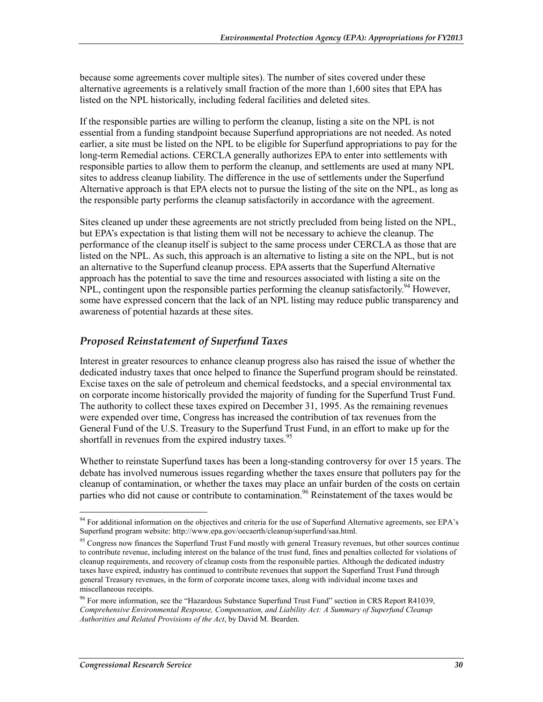because some agreements cover multiple sites). The number of sites covered under these alternative agreements is a relatively small fraction of the more than 1,600 sites that EPA has listed on the NPL historically, including federal facilities and deleted sites.

If the responsible parties are willing to perform the cleanup, listing a site on the NPL is not essential from a funding standpoint because Superfund appropriations are not needed. As noted earlier, a site must be listed on the NPL to be eligible for Superfund appropriations to pay for the long-term Remedial actions. CERCLA generally authorizes EPA to enter into settlements with responsible parties to allow them to perform the cleanup, and settlements are used at many NPL sites to address cleanup liability. The difference in the use of settlements under the Superfund Alternative approach is that EPA elects not to pursue the listing of the site on the NPL, as long as the responsible party performs the cleanup satisfactorily in accordance with the agreement.

Sites cleaned up under these agreements are not strictly precluded from being listed on the NPL, but EPA's expectation is that listing them will not be necessary to achieve the cleanup. The performance of the cleanup itself is subject to the same process under CERCLA as those that are listed on the NPL. As such, this approach is an alternative to listing a site on the NPL, but is not an alternative to the Superfund cleanup process. EPA asserts that the Superfund Alternative approach has the potential to save the time and resources associated with listing a site on the NPL, contingent upon the responsible parties performing the cleanup satisfactorily.<sup>94</sup> However, some have expressed concern that the lack of an NPL listing may reduce public transparency and awareness of potential hazards at these sites.

## *Proposed Reinstatement of Superfund Taxes*

Interest in greater resources to enhance cleanup progress also has raised the issue of whether the dedicated industry taxes that once helped to finance the Superfund program should be reinstated. Excise taxes on the sale of petroleum and chemical feedstocks, and a special environmental tax on corporate income historically provided the majority of funding for the Superfund Trust Fund. The authority to collect these taxes expired on December 31, 1995. As the remaining revenues were expended over time, Congress has increased the contribution of tax revenues from the General Fund of the U.S. Treasury to the Superfund Trust Fund, in an effort to make up for the shortfall in revenues from the expired industry taxes.<sup>95</sup>

Whether to reinstate Superfund taxes has been a long-standing controversy for over 15 years. The debate has involved numerous issues regarding whether the taxes ensure that polluters pay for the cleanup of contamination, or whether the taxes may place an unfair burden of the costs on certain parties who did not cause or contribute to contamination.<sup>96</sup> Reinstatement of the taxes would be

<u>.</u>

<sup>&</sup>lt;sup>94</sup> For additional information on the objectives and criteria for the use of Superfund Alternative agreements, see EPA's Superfund program website: http://www.epa.gov/oecaerth/cleanup/superfund/saa.html.

<sup>&</sup>lt;sup>95</sup> Congress now finances the Superfund Trust Fund mostly with general Treasury revenues, but other sources continue to contribute revenue, including interest on the balance of the trust fund, fines and penalties collected for violations of cleanup requirements, and recovery of cleanup costs from the responsible parties. Although the dedicated industry taxes have expired, industry has continued to contribute revenues that support the Superfund Trust Fund through general Treasury revenues, in the form of corporate income taxes, along with individual income taxes and miscellaneous receipts.

<sup>&</sup>lt;sup>96</sup> For more information, see the "Hazardous Substance Superfund Trust Fund" section in CRS Report R41039, *Comprehensive Environmental Response, Compensation, and Liability Act: A Summary of Superfund Cleanup Authorities and Related Provisions of the Act*, by David M. Bearden.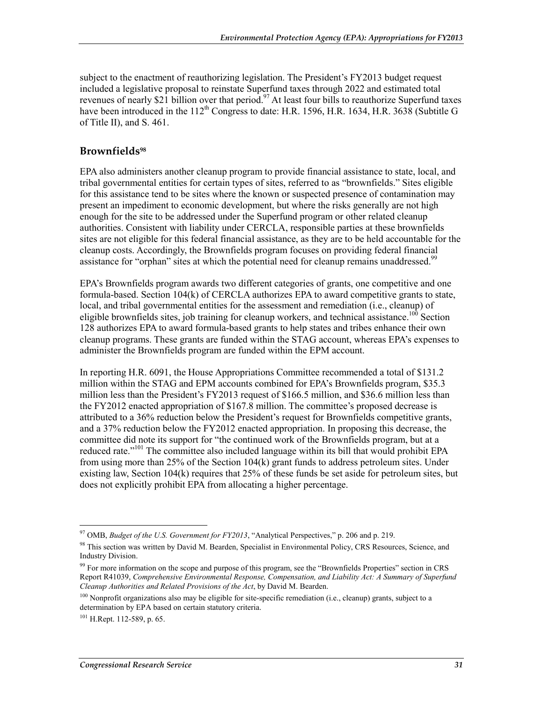subject to the enactment of reauthorizing legislation. The President's FY2013 budget request included a legislative proposal to reinstate Superfund taxes through 2022 and estimated total revenues of nearly \$21 billion over that period.<sup>97</sup> At least four bills to reauthorize Superfund taxes have been introduced in the  $112^{th}$  Congress to date: H.R. 1596, H.R. 1634, H.R. 3638 (Subtitle G of Title II), and S. 461.

#### **Brownfields98**

EPA also administers another cleanup program to provide financial assistance to state, local, and tribal governmental entities for certain types of sites, referred to as "brownfields." Sites eligible for this assistance tend to be sites where the known or suspected presence of contamination may present an impediment to economic development, but where the risks generally are not high enough for the site to be addressed under the Superfund program or other related cleanup authorities. Consistent with liability under CERCLA, responsible parties at these brownfields sites are not eligible for this federal financial assistance, as they are to be held accountable for the cleanup costs. Accordingly, the Brownfields program focuses on providing federal financial assistance for "orphan" sites at which the potential need for cleanup remains unaddressed.<sup>99</sup>

EPA's Brownfields program awards two different categories of grants, one competitive and one formula-based. Section 104(k) of CERCLA authorizes EPA to award competitive grants to state, local, and tribal governmental entities for the assessment and remediation (i.e., cleanup) of eligible brownfields sites, job training for cleanup workers, and technical assistance.<sup>100</sup> Section 128 authorizes EPA to award formula-based grants to help states and tribes enhance their own cleanup programs. These grants are funded within the STAG account, whereas EPA's expenses to administer the Brownfields program are funded within the EPM account.

In reporting H.R. 6091, the House Appropriations Committee recommended a total of \$131.2 million within the STAG and EPM accounts combined for EPA's Brownfields program, \$35.3 million less than the President's FY2013 request of \$166.5 million, and \$36.6 million less than the FY2012 enacted appropriation of \$167.8 million. The committee's proposed decrease is attributed to a 36% reduction below the President's request for Brownfields competitive grants, and a 37% reduction below the FY2012 enacted appropriation. In proposing this decrease, the committee did note its support for "the continued work of the Brownfields program, but at a reduced rate."<sup>101</sup> The committee also included language within its bill that would prohibit EPA from using more than 25% of the Section 104(k) grant funds to address petroleum sites. Under existing law, Section 104(k) requires that 25% of these funds be set aside for petroleum sites, but does not explicitly prohibit EPA from allocating a higher percentage.

<sup>1</sup> 97 OMB, *Budget of the U.S. Government for FY2013*, "Analytical Perspectives," p. 206 and p. 219.

<sup>98</sup> This section was written by David M. Bearden, Specialist in Environmental Policy, CRS Resources, Science, and Industry Division.

<sup>&</sup>lt;sup>99</sup> For more information on the scope and purpose of this program, see the "Brownfields Properties" section in CRS Report R41039, *Comprehensive Environmental Response, Compensation, and Liability Act: A Summary of Superfund Cleanup Authorities and Related Provisions of the Act*, by David M. Bearden.

<sup>&</sup>lt;sup>100</sup> Nonprofit organizations also may be eligible for site-specific remediation (i.e., cleanup) grants, subject to a determination by EPA based on certain statutory criteria.

 $101$  H.Rept. 112-589, p. 65.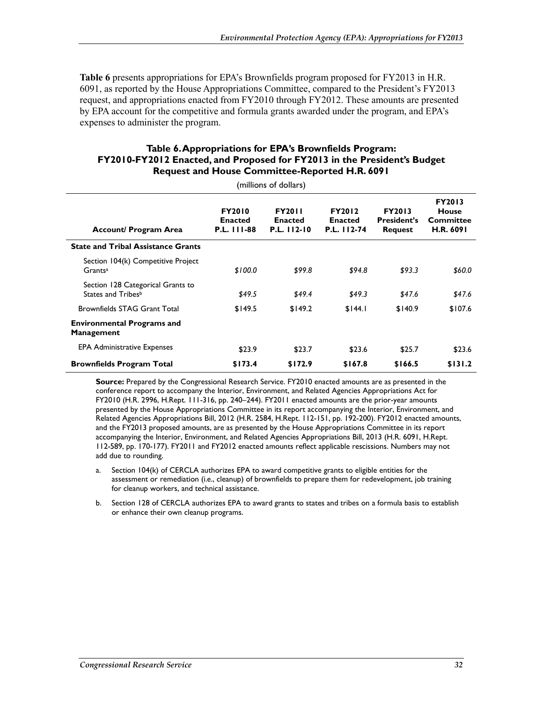**Table 6** presents appropriations for EPA's Brownfields program proposed for FY2013 in H.R. 6091, as reported by the House Appropriations Committee, compared to the President's FY2013 request, and appropriations enacted from FY2010 through FY2012. These amounts are presented by EPA account for the competitive and formula grants awarded under the program, and EPA's expenses to administer the program.

#### **Table 6. Appropriations for EPA's Brownfields Program: FY2010-FY2012 Enacted, and Proposed for FY2013 in the President's Budget Request and House Committee-Reported H.R. 6091**

(millions of dollars)

| Account/ Program Area                                     | <b>FY2010</b><br><b>Enacted</b><br><b>P.L. 111-88</b> | <b>FY2011</b><br><b>Enacted</b><br>P.L. 112-10 | <b>FY2012</b><br><b>Enacted</b><br>P.L. 112-74 | <b>FY2013</b><br><b>President's</b><br>Request | <b>FY2013</b><br>House<br>Committee<br><b>H.R. 6091</b> |
|-----------------------------------------------------------|-------------------------------------------------------|------------------------------------------------|------------------------------------------------|------------------------------------------------|---------------------------------------------------------|
| <b>State and Tribal Assistance Grants</b>                 |                                                       |                                                |                                                |                                                |                                                         |
| Section 104(k) Competitive Project<br>Grants <sup>a</sup> | \$100.0                                               | \$99.8                                         | \$94.8                                         | \$93.3                                         | \$60.0                                                  |
| Section 128 Categorical Grants to<br>States and Tribesb   | \$49.5                                                | \$49.4                                         | \$49.3                                         | \$47.6                                         | \$47.6                                                  |
| <b>Brownfields STAG Grant Total</b>                       | \$149.5                                               | \$149.2                                        | \$144.1                                        | \$140.9                                        | \$107.6                                                 |
| <b>Environmental Programs and</b><br><b>Management</b>    |                                                       |                                                |                                                |                                                |                                                         |
| <b>EPA Administrative Expenses</b>                        | \$23.9                                                | \$23.7                                         | \$23.6                                         | \$25.7                                         | \$23.6                                                  |
| <b>Brownfields Program Total</b>                          | \$173.4                                               | \$172.9                                        | \$167.8                                        | \$166.5                                        | \$131.2                                                 |

**Source:** Prepared by the Congressional Research Service. FY2010 enacted amounts are as presented in the conference report to accompany the Interior, Environment, and Related Agencies Appropriations Act for FY2010 (H.R. 2996, H.Rept. 111-316, pp. 240–244). FY2011 enacted amounts are the prior-year amounts presented by the House Appropriations Committee in its report accompanying the Interior, Environment, and Related Agencies Appropriations Bill, 2012 (H.R. 2584, H.Rept. 112-151, pp. 192-200). FY2012 enacted amounts, and the FY2013 proposed amounts, are as presented by the House Appropriations Committee in its report accompanying the Interior, Environment, and Related Agencies Appropriations Bill, 2013 (H.R. 6091, H.Rept. 112-589, pp. 170-177). FY2011 and FY2012 enacted amounts reflect applicable rescissions. Numbers may not add due to rounding.

- a. Section 104(k) of CERCLA authorizes EPA to award competitive grants to eligible entities for the assessment or remediation (i.e., cleanup) of brownfields to prepare them for redevelopment, job training for cleanup workers, and technical assistance.
- b. Section 128 of CERCLA authorizes EPA to award grants to states and tribes on a formula basis to establish or enhance their own cleanup programs.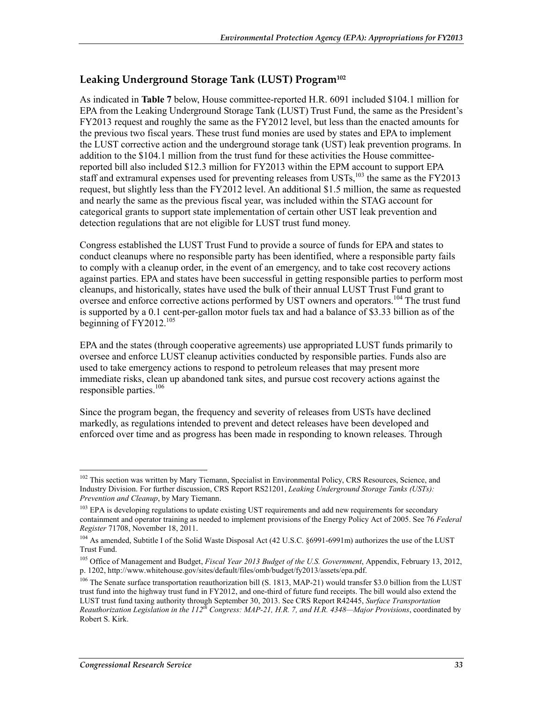## **Leaking Underground Storage Tank (LUST) Program102**

As indicated in **Table 7** below, House committee-reported H.R. 6091 included \$104.1 million for EPA from the Leaking Underground Storage Tank (LUST) Trust Fund, the same as the President's FY2013 request and roughly the same as the FY2012 level, but less than the enacted amounts for the previous two fiscal years. These trust fund monies are used by states and EPA to implement the LUST corrective action and the underground storage tank (UST) leak prevention programs. In addition to the \$104.1 million from the trust fund for these activities the House committeereported bill also included \$12.3 million for FY2013 within the EPM account to support EPA staff and extramural expenses used for preventing releases from USTs,  $^{103}$  the same as the FY2013 request, but slightly less than the FY2012 level. An additional \$1.5 million, the same as requested and nearly the same as the previous fiscal year, was included within the STAG account for categorical grants to support state implementation of certain other UST leak prevention and detection regulations that are not eligible for LUST trust fund money.

Congress established the LUST Trust Fund to provide a source of funds for EPA and states to conduct cleanups where no responsible party has been identified, where a responsible party fails to comply with a cleanup order, in the event of an emergency, and to take cost recovery actions against parties. EPA and states have been successful in getting responsible parties to perform most cleanups, and historically, states have used the bulk of their annual LUST Trust Fund grant to oversee and enforce corrective actions performed by UST owners and operators.<sup>104</sup> The trust fund is supported by a 0.1 cent-per-gallon motor fuels tax and had a balance of \$3.33 billion as of the beginning of  $FY2012^{105}$ 

EPA and the states (through cooperative agreements) use appropriated LUST funds primarily to oversee and enforce LUST cleanup activities conducted by responsible parties. Funds also are used to take emergency actions to respond to petroleum releases that may present more immediate risks, clean up abandoned tank sites, and pursue cost recovery actions against the responsible parties. $106$ 

Since the program began, the frequency and severity of releases from USTs have declined markedly, as regulations intended to prevent and detect releases have been developed and enforced over time and as progress has been made in responding to known releases. Through

<sup>1</sup> <sup>102</sup> This section was written by Mary Tiemann, Specialist in Environmental Policy, CRS Resources, Science, and Industry Division. For further discussion, CRS Report RS21201, *Leaking Underground Storage Tanks (USTs): Prevention and Cleanup*, by Mary Tiemann.

<sup>&</sup>lt;sup>103</sup> EPA is developing regulations to update existing UST requirements and add new requirements for secondary containment and operator training as needed to implement provisions of the Energy Policy Act of 2005. See 76 *Federal Register* 71708, November 18, 2011.

<sup>&</sup>lt;sup>104</sup> As amended, Subtitle I of the Solid Waste Disposal Act (42 U.S.C. §6991-6991m) authorizes the use of the LUST Trust Fund.

<sup>105</sup> Office of Management and Budget, *Fiscal Year 2013 Budget of the U.S. Government*, Appendix, February 13, 2012, p. 1202, http://www.whitehouse.gov/sites/default/files/omb/budget/fy2013/assets/epa.pdf.

<sup>&</sup>lt;sup>106</sup> The Senate surface transportation reauthorization bill (S. 1813, MAP-21) would transfer \$3.0 billion from the LUST trust fund into the highway trust fund in FY2012, and one-third of future fund receipts. The bill would also extend the LUST trust fund taxing authority through September 30, 2013. See CRS Report R42445, *Surface Transportation Reauthorization Legislation in the 112th Congress: MAP-21, H.R. 7, and H.R. 4348—Major Provisions*, coordinated by Robert S. Kirk.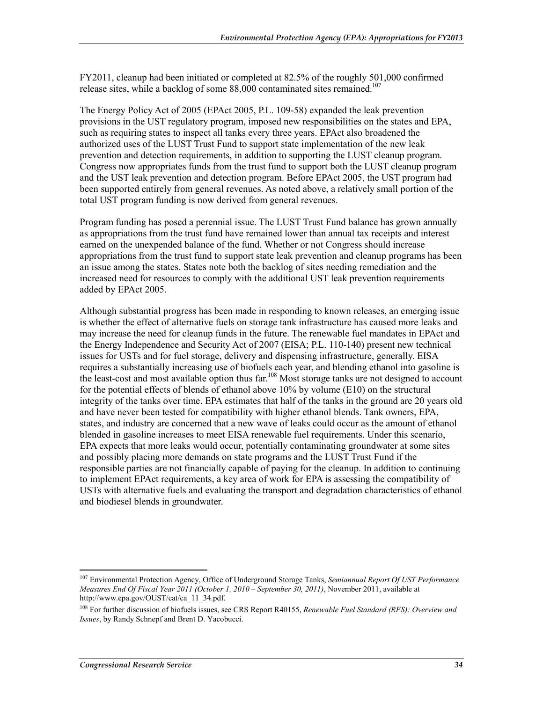FY2011, cleanup had been initiated or completed at 82.5% of the roughly 501,000 confirmed release sites, while a backlog of some  $88,000$  contaminated sites remained.<sup>107</sup>

The Energy Policy Act of 2005 (EPAct 2005, P.L. 109-58) expanded the leak prevention provisions in the UST regulatory program, imposed new responsibilities on the states and EPA, such as requiring states to inspect all tanks every three years. EPAct also broadened the authorized uses of the LUST Trust Fund to support state implementation of the new leak prevention and detection requirements, in addition to supporting the LUST cleanup program. Congress now appropriates funds from the trust fund to support both the LUST cleanup program and the UST leak prevention and detection program. Before EPAct 2005, the UST program had been supported entirely from general revenues. As noted above, a relatively small portion of the total UST program funding is now derived from general revenues.

Program funding has posed a perennial issue. The LUST Trust Fund balance has grown annually as appropriations from the trust fund have remained lower than annual tax receipts and interest earned on the unexpended balance of the fund. Whether or not Congress should increase appropriations from the trust fund to support state leak prevention and cleanup programs has been an issue among the states. States note both the backlog of sites needing remediation and the increased need for resources to comply with the additional UST leak prevention requirements added by EPAct 2005.

Although substantial progress has been made in responding to known releases, an emerging issue is whether the effect of alternative fuels on storage tank infrastructure has caused more leaks and may increase the need for cleanup funds in the future. The renewable fuel mandates in EPAct and the Energy Independence and Security Act of 2007 (EISA; P.L. 110-140) present new technical issues for USTs and for fuel storage, delivery and dispensing infrastructure, generally. EISA requires a substantially increasing use of biofuels each year, and blending ethanol into gasoline is the least-cost and most available option thus far.<sup>108</sup> Most storage tanks are not designed to account for the potential effects of blends of ethanol above 10% by volume (E10) on the structural integrity of the tanks over time. EPA estimates that half of the tanks in the ground are 20 years old and have never been tested for compatibility with higher ethanol blends. Tank owners, EPA, states, and industry are concerned that a new wave of leaks could occur as the amount of ethanol blended in gasoline increases to meet EISA renewable fuel requirements. Under this scenario, EPA expects that more leaks would occur, potentially contaminating groundwater at some sites and possibly placing more demands on state programs and the LUST Trust Fund if the responsible parties are not financially capable of paying for the cleanup. In addition to continuing to implement EPAct requirements, a key area of work for EPA is assessing the compatibility of USTs with alternative fuels and evaluating the transport and degradation characteristics of ethanol and biodiesel blends in groundwater.

<sup>107</sup> Environmental Protection Agency, Office of Underground Storage Tanks, *Semiannual Report Of UST Performance Measures End Of Fiscal Year 2011 (October 1, 2010 – September 30, 2011)*, November 2011, available at http://www.epa.gov/OUST/cat/ca\_11\_34.pdf.

<sup>108</sup> For further discussion of biofuels issues, see CRS Report R40155, *Renewable Fuel Standard (RFS): Overview and Issues*, by Randy Schnepf and Brent D. Yacobucci.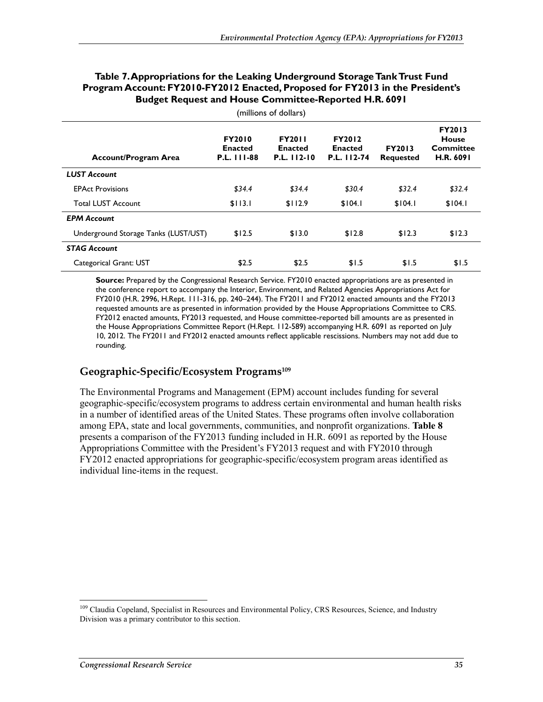| <b>Account/Program Area</b>          | <b>FY2010</b><br><b>Enacted</b><br>P.L. 111-88 | <b>FY2011</b><br><b>Enacted</b><br>P.L. 112-10 | <b>FY2012</b><br><b>Enacted</b><br>P.L. 112-74 | <b>FY2013</b><br><b>Requested</b> | <b>FY2013</b><br><b>House</b><br><b>Committee</b><br>H.R. 6091 |
|--------------------------------------|------------------------------------------------|------------------------------------------------|------------------------------------------------|-----------------------------------|----------------------------------------------------------------|
| <b>LUST Account</b>                  |                                                |                                                |                                                |                                   |                                                                |
| <b>EPAct Provisions</b>              | \$34.4                                         | \$34.4                                         | \$30.4                                         | \$32.4                            | \$32.4                                                         |
| <b>Total LUST Account</b>            | \$113.1                                        | \$112.9                                        | \$104.1                                        | \$104.1                           | \$104.1                                                        |
| <b>EPM Account</b>                   |                                                |                                                |                                                |                                   |                                                                |
| Underground Storage Tanks (LUST/UST) | \$12.5                                         | \$13.0                                         | \$12.8                                         | \$12.3                            | \$12.3                                                         |
| <b>STAG Account</b>                  |                                                |                                                |                                                |                                   |                                                                |
| Categorical Grant: UST               | \$2.5                                          | \$2.5                                          | \$1.5                                          | \$1.5                             | \$1.5                                                          |

#### **Table 7. Appropriations for the Leaking Underground Storage Tank Trust Fund Program Account: FY2010-FY2012 Enacted, Proposed for FY2013 in the President's Budget Request and House Committee-Reported H.R. 6091**

(millions of dollars)

**Source:** Prepared by the Congressional Research Service. FY2010 enacted appropriations are as presented in the conference report to accompany the Interior, Environment, and Related Agencies Appropriations Act for FY2010 (H.R. 2996, H.Rept. 111-316, pp. 240–244). The FY2011 and FY2012 enacted amounts and the FY2013 requested amounts are as presented in information provided by the House Appropriations Committee to CRS. FY2012 enacted amounts, FY2013 requested, and House committee-reported bill amounts are as presented in the House Appropriations Committee Report (H.Rept. 112-589) accompanying H.R. 6091 as reported on July 10, 2012. The FY2011 and FY2012 enacted amounts reflect applicable rescissions. Numbers may not add due to rounding.

#### **Geographic-Specific/Ecosystem Programs109**

The Environmental Programs and Management (EPM) account includes funding for several geographic-specific/ecosystem programs to address certain environmental and human health risks in a number of identified areas of the United States. These programs often involve collaboration among EPA, state and local governments, communities, and nonprofit organizations. **Table 8** presents a comparison of the FY2013 funding included in H.R. 6091 as reported by the House Appropriations Committee with the President's FY2013 request and with FY2010 through FY2012 enacted appropriations for geographic-specific/ecosystem program areas identified as individual line-items in the request.

<sup>&</sup>lt;sup>109</sup> Claudia Copeland, Specialist in Resources and Environmental Policy, CRS Resources, Science, and Industry Division was a primary contributor to this section.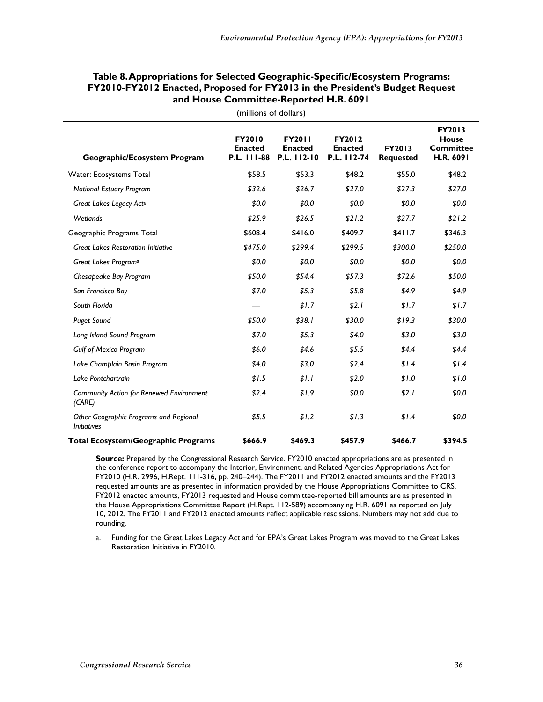| Geographic/Ecosystem Program                                 | <b>FY2010</b><br><b>Enacted</b><br>P.L. 111-88 | <b>FY2011</b><br><b>Enacted</b><br>P.L. 112-10 | <b>FY2012</b><br><b>Enacted</b><br>P.L. 112-74 | FY2013<br><b>Requested</b> | FY2013<br><b>House</b><br><b>Committee</b><br>H.R. 6091 |
|--------------------------------------------------------------|------------------------------------------------|------------------------------------------------|------------------------------------------------|----------------------------|---------------------------------------------------------|
| Water: Ecosystems Total                                      | \$58.5                                         | \$53.3                                         | \$48.2                                         | \$55.0                     | \$48.2                                                  |
| <b>National Estuary Program</b>                              | \$32.6                                         | \$26.7                                         | \$27.0                                         | \$27.3                     | \$27.0                                                  |
| Great Lakes Legacy Acta                                      | \$0.0                                          | \$0.0                                          | \$0.0                                          | \$0.0                      | \$0.0                                                   |
| Wetlands                                                     | \$25.9                                         | \$26.5                                         | \$21.2                                         | \$27.7                     | \$21.2                                                  |
| Geographic Programs Total                                    | \$608.4                                        | \$416.0                                        | \$409.7                                        | \$411.7                    | \$346.3                                                 |
| <b>Great Lakes Restoration Initiative</b>                    | \$475.0                                        | \$299.4                                        | \$299.5                                        | \$300.0                    | \$250.0                                                 |
| Great Lakes Program <sup>a</sup>                             | \$0.0                                          | \$0.0                                          | \$0.0                                          | \$0.0                      | \$0.0                                                   |
| Chesapeake Bay Program                                       | \$50.0                                         | \$54.4                                         | \$57.3                                         | \$72.6                     | \$50.0                                                  |
| San Francisco Bay                                            | \$7.0                                          | \$5.3                                          | \$5.8\$                                        | \$4.9                      | \$4.9                                                   |
| South Florida                                                |                                                | \$1.7                                          | \$2.1                                          | \$1.7                      | \$1.7                                                   |
| <b>Puget Sound</b>                                           | \$50.0                                         | \$38.1                                         | \$30.0                                         | \$19.3                     | \$30.0                                                  |
| Long Island Sound Program                                    | \$7.0                                          | \$5.3                                          | \$4.0                                          | \$3.0                      | \$3.0                                                   |
| <b>Gulf of Mexico Program</b>                                | \$6.0                                          | \$4.6                                          | \$5.5                                          | \$4.4                      | \$4.4\$                                                 |
| Lake Champlain Basin Program                                 | \$4.0                                          | \$3.0                                          | \$2.4                                          | \$1.4                      | \$1.4                                                   |
| Lake Pontchartrain                                           | \$1.5                                          | \$1.1                                          | \$2.0                                          | \$1.0                      | \$1.0                                                   |
| Community Action for Renewed Environment<br>(CARE)           | \$2.4                                          | \$1.9                                          | \$0.0                                          | \$2.1                      | \$0.0                                                   |
| Other Geographic Programs and Regional<br><b>Initiatives</b> | \$5.5                                          | \$1.2                                          | \$1.3                                          | \$1.4                      | \$0.0                                                   |
| <b>Total Ecosystem/Geographic Programs</b>                   | \$666.9                                        | \$469.3                                        | \$457.9                                        | \$466.7                    | \$394.5                                                 |

#### **Table 8. Appropriations for Selected Geographic-Specific/Ecosystem Programs: FY2010-FY2012 Enacted, Proposed for FY2013 in the President's Budget Request and House Committee-Reported H.R. 6091**

(millions of dollars)

**Source:** Prepared by the Congressional Research Service. FY2010 enacted appropriations are as presented in the conference report to accompany the Interior, Environment, and Related Agencies Appropriations Act for FY2010 (H.R. 2996, H.Rept. 111-316, pp. 240–244). The FY2011 and FY2012 enacted amounts and the FY2013 requested amounts are as presented in information provided by the House Appropriations Committee to CRS. FY2012 enacted amounts, FY2013 requested and House committee-reported bill amounts are as presented in the House Appropriations Committee Report (H.Rept. 112-589) accompanying H.R. 6091 as reported on July 10, 2012. The FY2011 and FY2012 enacted amounts reflect applicable rescissions. Numbers may not add due to rounding.

a. Funding for the Great Lakes Legacy Act and for EPA's Great Lakes Program was moved to the Great Lakes Restoration Initiative in FY2010.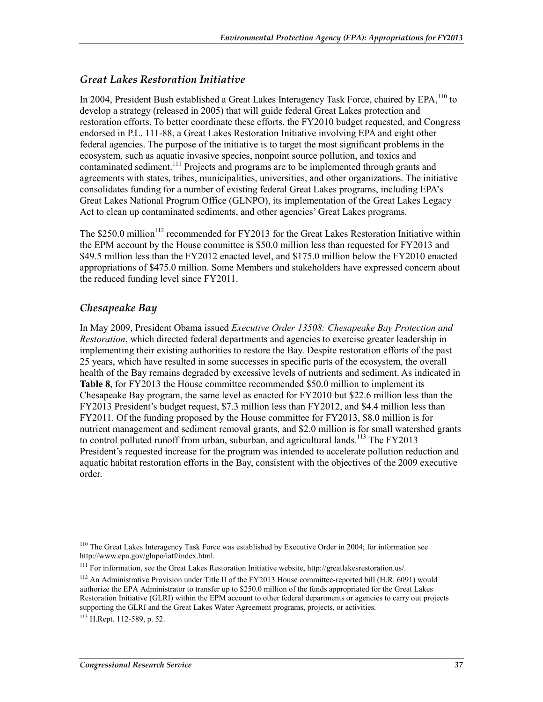### *Great Lakes Restoration Initiative*

In 2004, President Bush established a Great Lakes Interagency Task Force, chaired by EPA, <sup>110</sup> to develop a strategy (released in 2005) that will guide federal Great Lakes protection and restoration efforts. To better coordinate these efforts, the FY2010 budget requested, and Congress endorsed in P.L. 111-88, a Great Lakes Restoration Initiative involving EPA and eight other federal agencies. The purpose of the initiative is to target the most significant problems in the ecosystem, such as aquatic invasive species, nonpoint source pollution, and toxics and contaminated sediment.<sup>111</sup> Projects and programs are to be implemented through grants and agreements with states, tribes, municipalities, universities, and other organizations. The initiative consolidates funding for a number of existing federal Great Lakes programs, including EPA's Great Lakes National Program Office (GLNPO), its implementation of the Great Lakes Legacy Act to clean up contaminated sediments, and other agencies' Great Lakes programs.

The  $$250.0$  million<sup>112</sup> recommended for FY2013 for the Great Lakes Restoration Initiative within the EPM account by the House committee is \$50.0 million less than requested for FY2013 and \$49.5 million less than the FY2012 enacted level, and \$175.0 million below the FY2010 enacted appropriations of \$475.0 million. Some Members and stakeholders have expressed concern about the reduced funding level since FY2011.

### *Chesapeake Bay*

In May 2009, President Obama issued *Executive Order 13508: Chesapeake Bay Protection and Restoration*, which directed federal departments and agencies to exercise greater leadership in implementing their existing authorities to restore the Bay. Despite restoration efforts of the past 25 years, which have resulted in some successes in specific parts of the ecosystem, the overall health of the Bay remains degraded by excessive levels of nutrients and sediment. As indicated in **Table 8**, for FY2013 the House committee recommended \$50.0 million to implement its Chesapeake Bay program, the same level as enacted for FY2010 but \$22.6 million less than the FY2013 President's budget request, \$7.3 million less than FY2012, and \$4.4 million less than FY2011. Of the funding proposed by the House committee for FY2013, \$8.0 million is for nutrient management and sediment removal grants, and \$2.0 million is for small watershed grants to control polluted runoff from urban, suburban, and agricultural lands.<sup>113</sup> The FY2013 President's requested increase for the program was intended to accelerate pollution reduction and aquatic habitat restoration efforts in the Bay, consistent with the objectives of the 2009 executive order.

<sup>&</sup>lt;sup>110</sup> The Great Lakes Interagency Task Force was established by Executive Order in 2004; for information see http://www.epa.gov/glnpo/iatf/index.html.

<sup>111</sup> For information, see the Great Lakes Restoration Initiative website, http://greatlakesrestoration.us/.

<sup>&</sup>lt;sup>112</sup> An Administrative Provision under Title II of the FY2013 House committee-reported bill (H.R. 6091) would authorize the EPA Administrator to transfer up to \$250.0 million of the funds appropriated for the Great Lakes Restoration Initiative (GLRI) within the EPM account to other federal departments or agencies to carry out projects supporting the GLRI and the Great Lakes Water Agreement programs, projects, or activities.

<sup>113</sup> H.Rept. 112-589, p. 52.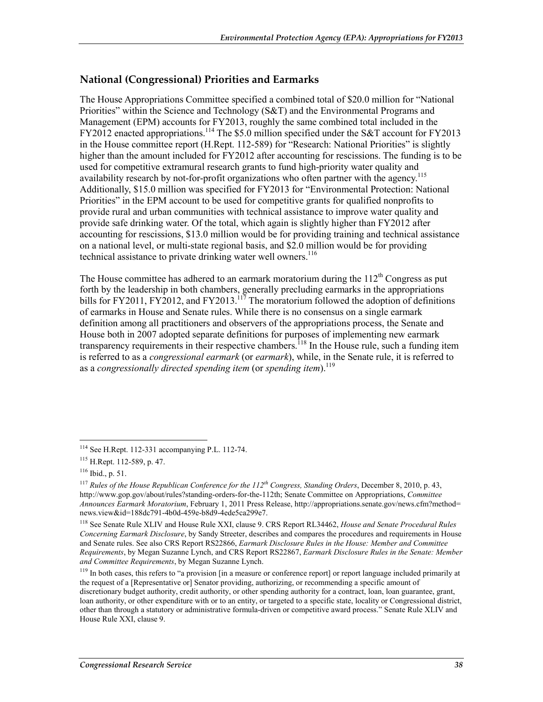### **National (Congressional) Priorities and Earmarks**

The House Appropriations Committee specified a combined total of \$20.0 million for "National Priorities" within the Science and Technology (S&T) and the Environmental Programs and Management (EPM) accounts for FY2013, roughly the same combined total included in the  $FY2012$  enacted appropriations.<sup>114</sup> The \$5.0 million specified under the S&T account for FY2013 in the House committee report (H.Rept. 112-589) for "Research: National Priorities" is slightly higher than the amount included for FY2012 after accounting for rescissions. The funding is to be used for competitive extramural research grants to fund high-priority water quality and availability research by not-for-profit organizations who often partner with the agency.<sup>115</sup> Additionally, \$15.0 million was specified for FY2013 for "Environmental Protection: National Priorities" in the EPM account to be used for competitive grants for qualified nonprofits to provide rural and urban communities with technical assistance to improve water quality and provide safe drinking water. Of the total, which again is slightly higher than FY2012 after accounting for rescissions, \$13.0 million would be for providing training and technical assistance on a national level, or multi-state regional basis, and \$2.0 million would be for providing technical assistance to private drinking water well owners.<sup>116</sup>

The House committee has adhered to an earmark moratorium during the  $112<sup>th</sup>$  Congress as put forth by the leadership in both chambers, generally precluding earmarks in the appropriations bills for FY2011, FY2012, and FY2013.<sup>117</sup> The moratorium followed the adoption of definitions of earmarks in House and Senate rules. While there is no consensus on a single earmark definition among all practitioners and observers of the appropriations process, the Senate and House both in 2007 adopted separate definitions for purposes of implementing new earmark transparency requirements in their respective chambers.<sup>118</sup> In the House rule, such a funding item is referred to as a *congressional earmark* (or *earmark*), while, in the Senate rule, it is referred to as a *congressionally directed spending item* (or *spending item*).<sup>119</sup>

<sup>114</sup> See H.Rept. 112-331 accompanying P.L. 112-74.

<sup>115</sup> H.Rept. 112-589, p. 47.

 $116$  Ibid., p. 51.

<sup>117</sup> *Rules of the House Republican Conference for the 112th Congress, Standing Orders*, December 8, 2010, p. 43, http://www.gop.gov/about/rules?standing-orders-for-the-112th; Senate Committee on Appropriations, *Committee Announces Earmark Moratorium*, February 1, 2011 Press Release, http://appropriations.senate.gov/news.cfm?method= news.view&id=188dc791-4b0d-459e-b8d9-4ede5ca299e7.

<sup>118</sup> See Senate Rule XLIV and House Rule XXI, clause 9. CRS Report RL34462, *House and Senate Procedural Rules Concerning Earmark Disclosure*, by Sandy Streeter, describes and compares the procedures and requirements in House and Senate rules. See also CRS Report RS22866, *Earmark Disclosure Rules in the House: Member and Committee Requirements*, by Megan Suzanne Lynch, and CRS Report RS22867, *Earmark Disclosure Rules in the Senate: Member and Committee Requirements*, by Megan Suzanne Lynch.

 $119$  In both cases, this refers to "a provision [in a measure or conference report] or report language included primarily at the request of a [Representative or] Senator providing, authorizing, or recommending a specific amount of discretionary budget authority, credit authority, or other spending authority for a contract, loan, loan guarantee, grant, loan authority, or other expenditure with or to an entity, or targeted to a specific state, locality or Congressional district, other than through a statutory or administrative formula-driven or competitive award process." Senate Rule XLIV and House Rule XXI, clause 9.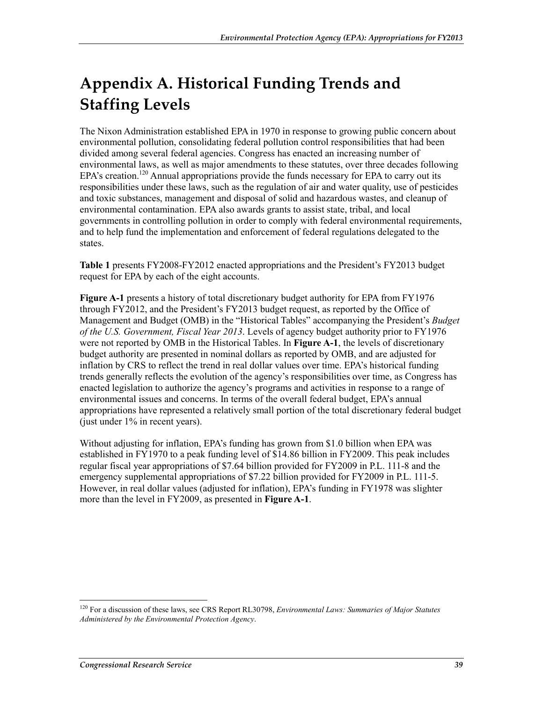# **Appendix A. Historical Funding Trends and Staffing Levels**

The Nixon Administration established EPA in 1970 in response to growing public concern about environmental pollution, consolidating federal pollution control responsibilities that had been divided among several federal agencies. Congress has enacted an increasing number of environmental laws, as well as major amendments to these statutes, over three decades following EPA's creation.<sup>120</sup> Annual appropriations provide the funds necessary for EPA to carry out its responsibilities under these laws, such as the regulation of air and water quality, use of pesticides and toxic substances, management and disposal of solid and hazardous wastes, and cleanup of environmental contamination. EPA also awards grants to assist state, tribal, and local governments in controlling pollution in order to comply with federal environmental requirements, and to help fund the implementation and enforcement of federal regulations delegated to the states.

**Table 1** presents FY2008-FY2012 enacted appropriations and the President's FY2013 budget request for EPA by each of the eight accounts.

**Figure A-1** presents a history of total discretionary budget authority for EPA from FY1976 through FY2012, and the President's FY2013 budget request, as reported by the Office of Management and Budget (OMB) in the "Historical Tables" accompanying the President's *Budget of the U.S. Government, Fiscal Year 2013*. Levels of agency budget authority prior to FY1976 were not reported by OMB in the Historical Tables. In **Figure A-1**, the levels of discretionary budget authority are presented in nominal dollars as reported by OMB, and are adjusted for inflation by CRS to reflect the trend in real dollar values over time. EPA's historical funding trends generally reflects the evolution of the agency's responsibilities over time, as Congress has enacted legislation to authorize the agency's programs and activities in response to a range of environmental issues and concerns. In terms of the overall federal budget, EPA's annual appropriations have represented a relatively small portion of the total discretionary federal budget (just under  $1\%$  in recent years).

Without adjusting for inflation, EPA's funding has grown from \$1.0 billion when EPA was established in FY1970 to a peak funding level of \$14.86 billion in FY2009. This peak includes regular fiscal year appropriations of \$7.64 billion provided for FY2009 in P.L. 111-8 and the emergency supplemental appropriations of \$7.22 billion provided for FY2009 in P.L. 111-5. However, in real dollar values (adjusted for inflation), EPA's funding in FY1978 was slighter more than the level in FY2009, as presented in **Figure A-1**.

<sup>120</sup> For a discussion of these laws, see CRS Report RL30798, *Environmental Laws: Summaries of Major Statutes Administered by the Environmental Protection Agency*.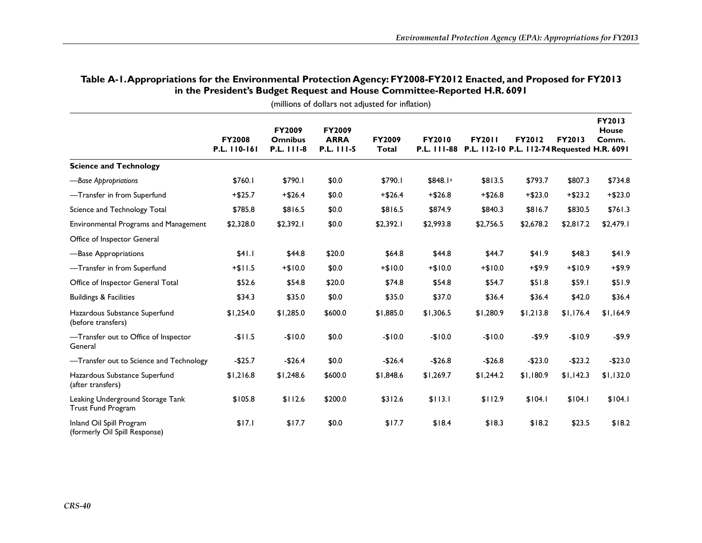|                                                           | <b>FY2008</b><br>P.L. 110-161 | FY2009<br><b>Omnibus</b><br>P.L. 111-8 | <b>FY2009</b><br><b>ARRA</b><br>P.L. 111-5 | <b>FY2009</b><br>Total | <b>FY2010</b> | <b>FY2011</b><br>P.L. 111-88 P.L. 112-10 P.L. 112-74 Requested H.R. 6091 | <b>FY2012</b> | <b>FY2013</b> | <b>FY2013</b><br><b>House</b><br>Comm. |
|-----------------------------------------------------------|-------------------------------|----------------------------------------|--------------------------------------------|------------------------|---------------|--------------------------------------------------------------------------|---------------|---------------|----------------------------------------|
| <b>Science and Technology</b>                             |                               |                                        |                                            |                        |               |                                                                          |               |               |                                        |
| -Base Appropriations                                      | \$760.1                       | \$790.1                                | \$0.0                                      | \$790.1                | \$848.1ª      | \$813.5                                                                  | \$793.7       | \$807.3       | \$734.8                                |
| -Transfer in from Superfund                               | $+ $25.7$                     | $+ $26.4$                              | \$0.0                                      | $+ $26.4$              | $+ $26.8$     | $+ $26.8$                                                                | $+ $23.0$     | $+ $23.2$     | $+ $23.0$                              |
| Science and Technology Total                              | \$785.8                       | \$816.5                                | \$0.0                                      | \$816.5                | \$874.9       | \$840.3                                                                  | \$816.7       | \$830.5       | \$761.3                                |
| Environmental Programs and Management                     | \$2,328.0                     | \$2,392.1                              | \$0.0                                      | \$2,392.1              | \$2,993.8     | \$2,756.5                                                                | \$2,678.2     | \$2,817.2     | \$2,479.1                              |
| Office of Inspector General                               |                               |                                        |                                            |                        |               |                                                                          |               |               |                                        |
| -Base Appropriations                                      | \$41.1                        | \$44.8                                 | \$20.0                                     | \$64.8                 | \$44.8        | \$44.7                                                                   | \$41.9        | \$48.3        | \$41.9                                 |
| -Transfer in from Superfund                               | $+ $11.5$                     | $+$10.0$                               | \$0.0                                      | $+$10.0$               | $+$10.0$      | $+$10.0$                                                                 | $+ $9.9$      | $+ $10.9$     | $+ $9.9$                               |
| Office of Inspector General Total                         | \$52.6                        | \$54.8                                 | \$20.0                                     | \$74.8                 | \$54.8        | \$54.7                                                                   | \$51.8        | \$59.1        | \$51.9                                 |
| <b>Buildings &amp; Facilities</b>                         | \$34.3                        | \$35.0                                 | \$0.0                                      | \$35.0                 | \$37.0        | \$36.4                                                                   | \$36.4        | \$42.0        | \$36.4                                 |
| Hazardous Substance Superfund<br>(before transfers)       | \$1,254.0                     | \$1,285.0                              | \$600.0                                    | \$1,885.0              | \$1,306.5     | \$1,280.9                                                                | \$1,213.8     | \$1,176.4     | \$1,164.9                              |
| -Transfer out to Office of Inspector<br>General           | $-$11.5$                      | $-$10.0$                               | \$0.0                                      | $-$10.0$               | $-$10.0$      | $-$10.0$                                                                 | $-$9.9$       | $-$10.9$      | $-$ \$9.9                              |
| -Transfer out to Science and Technology                   | $-$25.7$                      | $-$26.4$                               | \$0.0                                      | $-$26.4$               | $-$26.8$      | $-$26.8$                                                                 | $-$23.0$      | $-$23.2$      | $-$23.0$                               |
| Hazardous Substance Superfund<br>(after transfers)        | \$1,216.8                     | \$1,248.6                              | \$600.0                                    | \$1,848.6              | \$1,269.7     | \$1,244.2                                                                | \$1,180.9     | \$1,142.3     | \$1,132.0                              |
| Leaking Underground Storage Tank<br>Trust Fund Program    | \$105.8                       | \$112.6                                | \$200.0                                    | \$312.6                | \$113.1       | \$112.9                                                                  | \$104.1       | \$104.1       | \$104.1                                |
| Inland Oil Spill Program<br>(formerly Oil Spill Response) | \$17.1                        | \$17.7                                 | \$0.0                                      | \$17.7                 | \$18.4        | \$18.3                                                                   | \$18.2        | \$23.5        | \$18.2                                 |

#### **Table A-1. Appropriations for the Environmental Protection Agency: FY2008-FY2012 Enacted, and Proposed for FY2013 in the President's Budget Request and House Committee-Reported H.R. 6091**

(millions of dollars not adjusted for inflation)

*CRS-40*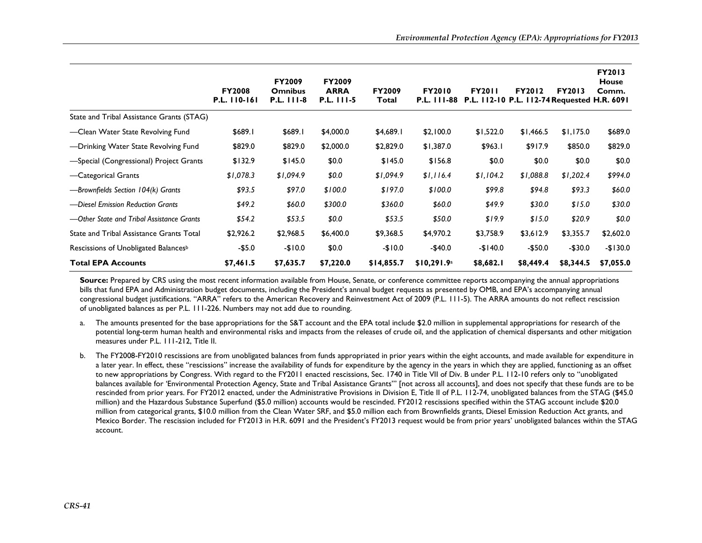|                                                  | <b>FY2008</b><br>P.L. 110-161 | <b>FY2009</b><br><b>Omnibus</b><br><b>P.L. 111-8</b> | <b>FY2009</b><br><b>ARRA</b><br>P.L. 111-5 | <b>FY2009</b><br>Total | <b>FY2010</b> | <b>FY2011</b><br>P.L. 111-88 P.L. 112-10 P.L. 112-74 Requested H.R. 6091 | <b>FY2012</b> | <b>FY2013</b> | <b>FY2013</b><br><b>House</b><br>Comm. |
|--------------------------------------------------|-------------------------------|------------------------------------------------------|--------------------------------------------|------------------------|---------------|--------------------------------------------------------------------------|---------------|---------------|----------------------------------------|
| State and Tribal Assistance Grants (STAG)        |                               |                                                      |                                            |                        |               |                                                                          |               |               |                                        |
| -Clean Water State Revolving Fund                | \$689.1                       | \$689.1                                              | \$4,000.0                                  | \$4,689.1              | \$2,100.0     | \$1,522.0                                                                | \$1,466.5     | \$1,175.0     | \$689.0                                |
| -Drinking Water State Revolving Fund             | \$829.0                       | \$829.0                                              | \$2,000.0                                  | \$2,829.0              | \$1,387.0     | \$963.1                                                                  | \$917.9       | \$850.0       | \$829.0                                |
| -Special (Congressional) Project Grants          | \$132.9                       | \$145.0                                              | \$0.0                                      | \$145.0                | \$156.8       | \$0.0                                                                    | \$0.0         | \$0.0\$       | \$0.0                                  |
| -Categorical Grants                              | \$1,078.3                     | \$1,094.9                                            | \$0.0                                      | \$1,094.9              | \$1,116.4     | \$1,104.2                                                                | \$1,088.8     | \$1,202.4     | \$994.0                                |
| -Brownfields Section 104(k) Grants               | \$93.5                        | \$97.0                                               | \$100.0                                    | \$197.0                | \$100.0       | \$99.8                                                                   | \$94.8        | \$93.3        | \$60.0                                 |
| -Diesel Emission Reduction Grants                | \$49.2\$                      | \$60.0                                               | \$300.0                                    | \$360.0                | \$60.0        | \$49.9                                                                   | \$30.0        | \$15.0        | \$30.0                                 |
| —Other State and Tribal Assistance Grants        | \$54.2                        | \$53.5                                               | \$0.0                                      | \$53.5                 | \$50.0        | \$19.9                                                                   | \$15.0        | \$20.9        | \$0.0                                  |
| State and Tribal Assistance Grants Total         | \$2,926.2                     | \$2,968.5                                            | \$6,400.0                                  | \$9,368.5              | \$4,970.2     | \$3,758.9                                                                | \$3,612.9     | \$3,355.7     | \$2,602.0                              |
| Rescissions of Unobligated Balances <sup>b</sup> | $-$5.0$                       | $-$10.0$                                             | \$0.0                                      | $-$10.0$               | $-$40.0$      | $-$140.0$                                                                | $-$50.0$      | $-$30.0$      | $-$130.0$                              |
| <b>Total EPA Accounts</b>                        | \$7,461.5                     | \$7,635.7                                            | \$7,220.0                                  | \$14,855.7             | \$10,291.9a   | \$8,682.1                                                                | \$8,449.4     | \$8,344.5     | \$7,055.0                              |

Source: Prepared by CRS using the most recent information available from House, Senate, or conference committee reports accompanying the annual appropriations bills that fund EPA and Administration budget documents, including the President's annual budget requests as presented by OMB, and EPA's accompanying annual congressional budget justifications. "ARRA" refers to the American Recovery and Reinvestment Act of 2009 (P.L. 111-5). The ARRA amounts do not reflect rescission of unobligated balances as per P.L. 111-226. Numbers may not add due to rounding.

- a. The amounts presented for the base appropriations for the S&T account and the EPA total include \$2.0 million in supplemental appropriations for research of the potential long-term human health and environmental risks and impacts from the releases of crude oil, and the application of chemical dispersants and other mitigation measures under P.L. 111-212, Title II.
- b. The FY2008-FY2010 rescissions are from unobligated balances from funds appropriated in prior years within the eight accounts, and made available for expenditure in a later year. In effect, these "rescissions" increase the availability of funds for expenditure by the agency in the years in which they are applied, functioning as an offset to new appropriations by Congress. With regard to the FY2011 enacted rescissions, Sec. 1740 in Title VII of Div. B under P.L. 112-10 refers only to "unobligated balances available for 'Environmental Protection Agency, State and Tribal Assistance Grants'" [not across all accounts], and does not specify that these funds are to be rescinded from prior years. For FY2012 enacted, under the Administrative Provisions in Division E, Title II of P.L. 112-74, unobligated balances from the STAG (\$45.0 million) and the Hazardous Substance Superfund (\$5.0 million) accounts would be rescinded. FY2012 rescissions specified within the STAG account include \$20.0 million from categorical grants, \$10.0 million from the Clean Water SRF, and \$5.0 million each from Brownfields grants, Diesel Emission Reduction Act grants, and Mexico Border. The rescission included for FY2013 in H.R. 6091 and the President's FY2013 request would be from prior years' unobligated balances within the STAG account.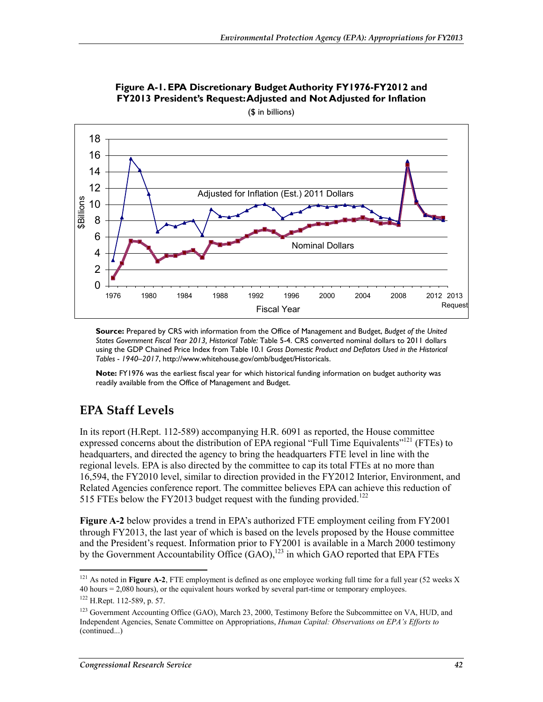

**Figure A-1. EPA Discretionary Budget Authority FY1976-FY2012 and FY2013 President's Request: Adjusted and Not Adjusted for Inflation** 

(\$ in billions)

**Source:** Prepared by CRS with information from the Office of Management and Budget, *Budget of the United States Government Fiscal Year 2013, Historical Table:* Table 5-4. CRS converted nominal dollars to 2011 dollars using the GDP Chained Price Index from Table 10.1 *Gross Domestic Product and Deflators Used in the Historical Tables - 1940–2017*, http://www.whitehouse.gov/omb/budget/Historicals.

**Note:** FY1976 was the earliest fiscal year for which historical funding information on budget authority was readily available from the Office of Management and Budget.

## **EPA Staff Levels**

In its report (H.Rept. 112-589) accompanying H.R. 6091 as reported, the House committee expressed concerns about the distribution of EPA regional "Full Time Equivalents"<sup>121</sup> (FTEs) to headquarters, and directed the agency to bring the headquarters FTE level in line with the regional levels. EPA is also directed by the committee to cap its total FTEs at no more than 16,594, the FY2010 level, similar to direction provided in the FY2012 Interior, Environment, and Related Agencies conference report. The committee believes EPA can achieve this reduction of 515 FTEs below the FY2013 budget request with the funding provided.<sup>122</sup>

**Figure A-2** below provides a trend in EPA's authorized FTE employment ceiling from FY2001 through FY2013, the last year of which is based on the levels proposed by the House committee and the President's request. Information prior to FY2001 is available in a March 2000 testimony by the Government Accountability Office  $(GAO)$ ,<sup>123</sup> in which GAO reported that EPA FTEs

<sup>1</sup>  $121$  As noted in **Figure A-2**, FTE employment is defined as one employee working full time for a full year (52 weeks X) 40 hours = 2,080 hours), or the equivalent hours worked by several part-time or temporary employees.

<sup>122</sup> H.Rept. 112-589, p. 57.

<sup>&</sup>lt;sup>123</sup> Government Accounting Office (GAO), March 23, 2000, Testimony Before the Subcommittee on VA, HUD, and Independent Agencies, Senate Committee on Appropriations, *Human Capital: Observations on EPA's Efforts to*  (continued...)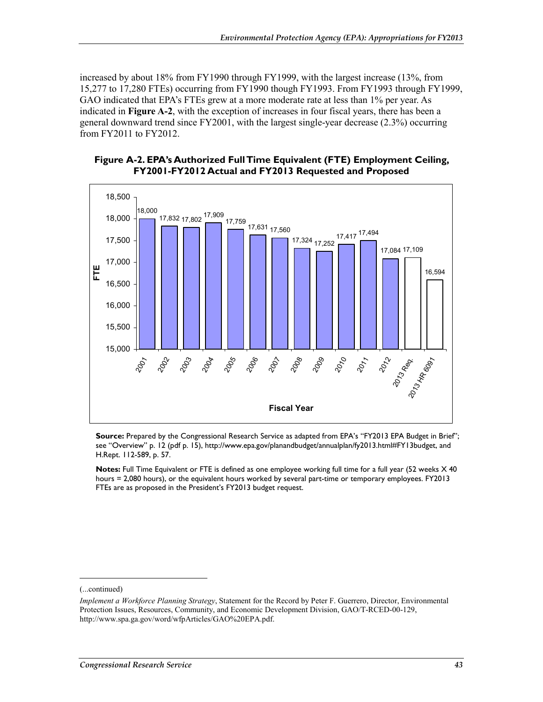increased by about 18% from FY1990 through FY1999, with the largest increase (13%, from 15,277 to 17,280 FTEs) occurring from FY1990 though FY1993. From FY1993 through FY1999, GAO indicated that EPA's FTEs grew at a more moderate rate at less than 1% per year. As indicated in **Figure A-2**, with the exception of increases in four fiscal years, there has been a general downward trend since FY2001, with the largest single-year decrease (2.3%) occurring from FY2011 to FY2012.

#### **Figure A-2. EPA's Authorized Full Time Equivalent (FTE) Employment Ceiling, FY2001-FY2012 Actual and FY2013 Requested and Proposed**



Source: Prepared by the Congressional Research Service as adapted from EPA's "FY2013 EPA Budget in Brief"; see "Overview" p. 12 (pdf p. 15), http://www.epa.gov/planandbudget/annualplan/fy2013.html#FY13budget, and H.Rept. 112-589, p. 57.

**Notes:** Full Time Equivalent or FTE is defined as one employee working full time for a full year (52 weeks X 40 hours = 2,080 hours), or the equivalent hours worked by several part-time or temporary employees. FY2013 FTEs are as proposed in the President's FY2013 budget request.

-

<sup>(...</sup>continued)

*Implement a Workforce Planning Strategy*, Statement for the Record by Peter F. Guerrero, Director, Environmental Protection Issues, Resources, Community, and Economic Development Division, GAO/T-RCED-00-129, http://www.spa.ga.gov/word/wfpArticles/GAO%20EPA.pdf.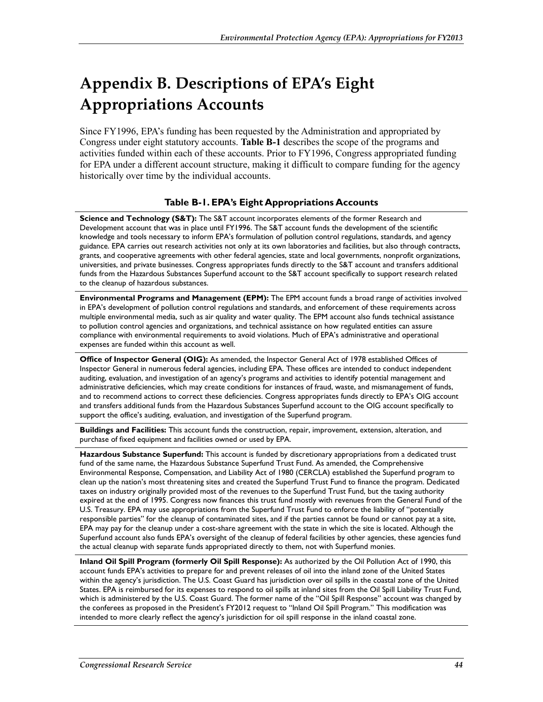# **Appendix B. Descriptions of EPA's Eight Appropriations Accounts**

Since FY1996, EPA's funding has been requested by the Administration and appropriated by Congress under eight statutory accounts. **Table B-1** describes the scope of the programs and activities funded within each of these accounts. Prior to FY1996, Congress appropriated funding for EPA under a different account structure, making it difficult to compare funding for the agency historically over time by the individual accounts.

#### **Table B-1. EPA's Eight Appropriations Accounts**

**Science and Technology (S&T):** The S&T account incorporates elements of the former Research and Development account that was in place until FY1996. The S&T account funds the development of the scientific knowledge and tools necessary to inform EPA's formulation of pollution control regulations, standards, and agency guidance. EPA carries out research activities not only at its own laboratories and facilities, but also through contracts, grants, and cooperative agreements with other federal agencies, state and local governments, nonprofit organizations, universities, and private businesses. Congress appropriates funds directly to the S&T account and transfers additional funds from the Hazardous Substances Superfund account to the S&T account specifically to support research related to the cleanup of hazardous substances.

**Environmental Programs and Management (EPM):** The EPM account funds a broad range of activities involved in EPA's development of pollution control regulations and standards, and enforcement of these requirements across multiple environmental media, such as air quality and water quality. The EPM account also funds technical assistance to pollution control agencies and organizations, and technical assistance on how regulated entities can assure compliance with environmental requirements to avoid violations. Much of EPA's administrative and operational expenses are funded within this account as well.

**Office of Inspector General (OIG):** As amended, the Inspector General Act of 1978 established Offices of Inspector General in numerous federal agencies, including EPA. These offices are intended to conduct independent auditing, evaluation, and investigation of an agency's programs and activities to identify potential management and administrative deficiencies, which may create conditions for instances of fraud, waste, and mismanagement of funds, and to recommend actions to correct these deficiencies. Congress appropriates funds directly to EPA's OIG account and transfers additional funds from the Hazardous Substances Superfund account to the OIG account specifically to support the office's auditing, evaluation, and investigation of the Superfund program.

**Buildings and Facilities:** This account funds the construction, repair, improvement, extension, alteration, and purchase of fixed equipment and facilities owned or used by EPA.

**Hazardous Substance Superfund:** This account is funded by discretionary appropriations from a dedicated trust fund of the same name, the Hazardous Substance Superfund Trust Fund. As amended, the Comprehensive Environmental Response, Compensation, and Liability Act of 1980 (CERCLA) established the Superfund program to clean up the nation's most threatening sites and created the Superfund Trust Fund to finance the program. Dedicated taxes on industry originally provided most of the revenues to the Superfund Trust Fund, but the taxing authority expired at the end of 1995. Congress now finances this trust fund mostly with revenues from the General Fund of the U.S. Treasury. EPA may use appropriations from the Superfund Trust Fund to enforce the liability of "potentially responsible parties" for the cleanup of contaminated sites, and if the parties cannot be found or cannot pay at a site, EPA may pay for the cleanup under a cost-share agreement with the state in which the site is located. Although the Superfund account also funds EPA's oversight of the cleanup of federal facilities by other agencies, these agencies fund the actual cleanup with separate funds appropriated directly to them, not with Superfund monies.

**Inland Oil Spill Program (formerly Oil Spill Response):** As authorized by the Oil Pollution Act of 1990, this account funds EPA's activities to prepare for and prevent releases of oil into the inland zone of the United States within the agency's jurisdiction. The U.S. Coast Guard has jurisdiction over oil spills in the coastal zone of the United States. EPA is reimbursed for its expenses to respond to oil spills at inland sites from the Oil Spill Liability Trust Fund, which is administered by the U.S. Coast Guard. The former name of the "Oil Spill Response" account was changed by the conferees as proposed in the President's FY2012 request to "Inland Oil Spill Program." This modification was intended to more clearly reflect the agency's jurisdiction for oil spill response in the inland coastal zone.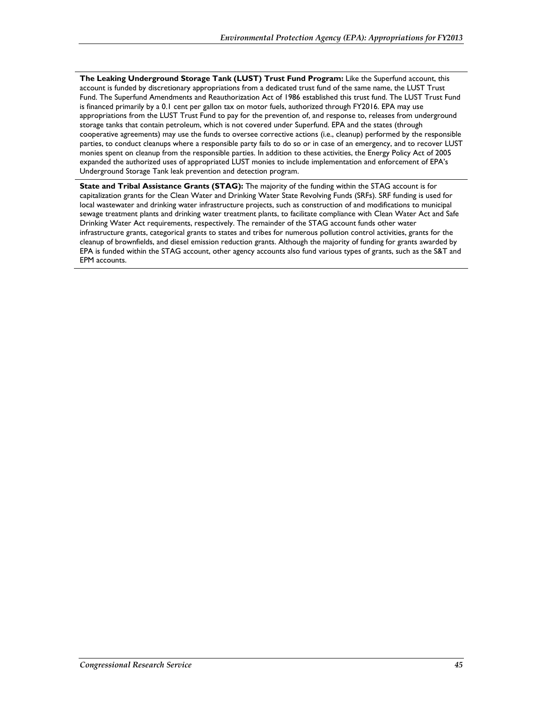**The Leaking Underground Storage Tank (LUST) Trust Fund Program:** Like the Superfund account, this account is funded by discretionary appropriations from a dedicated trust fund of the same name, the LUST Trust Fund. The Superfund Amendments and Reauthorization Act of 1986 established this trust fund. The LUST Trust Fund is financed primarily by a 0.1 cent per gallon tax on motor fuels, authorized through FY2016. EPA may use appropriations from the LUST Trust Fund to pay for the prevention of, and response to, releases from underground storage tanks that contain petroleum, which is not covered under Superfund. EPA and the states (through cooperative agreements) may use the funds to oversee corrective actions (i.e., cleanup) performed by the responsible parties, to conduct cleanups where a responsible party fails to do so or in case of an emergency, and to recover LUST monies spent on cleanup from the responsible parties. In addition to these activities, the Energy Policy Act of 2005 expanded the authorized uses of appropriated LUST monies to include implementation and enforcement of EPA's Underground Storage Tank leak prevention and detection program.

**State and Tribal Assistance Grants (STAG):** The majority of the funding within the STAG account is for capitalization grants for the Clean Water and Drinking Water State Revolving Funds (SRFs). SRF funding is used for local wastewater and drinking water infrastructure projects, such as construction of and modifications to municipal sewage treatment plants and drinking water treatment plants, to facilitate compliance with Clean Water Act and Safe Drinking Water Act requirements, respectively. The remainder of the STAG account funds other water infrastructure grants, categorical grants to states and tribes for numerous pollution control activities, grants for the cleanup of brownfields, and diesel emission reduction grants. Although the majority of funding for grants awarded by EPA is funded within the STAG account, other agency accounts also fund various types of grants, such as the S&T and EPM accounts.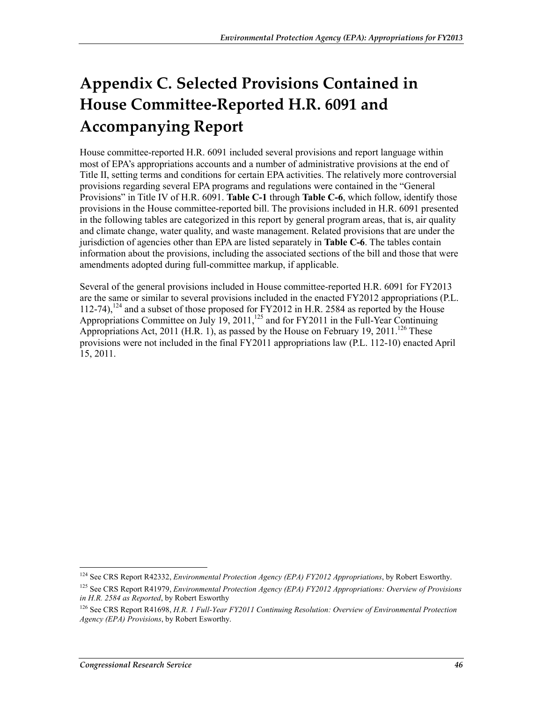# **Appendix C. Selected Provisions Contained in House Committee-Reported H.R. 6091 and Accompanying Report**

House committee-reported H.R. 6091 included several provisions and report language within most of EPA's appropriations accounts and a number of administrative provisions at the end of Title II, setting terms and conditions for certain EPA activities. The relatively more controversial provisions regarding several EPA programs and regulations were contained in the "General Provisions" in Title IV of H.R. 6091. **Table C-1** through **Table C-6**, which follow, identify those provisions in the House committee-reported bill. The provisions included in H.R. 6091 presented in the following tables are categorized in this report by general program areas, that is, air quality and climate change, water quality, and waste management. Related provisions that are under the jurisdiction of agencies other than EPA are listed separately in **Table C-6**. The tables contain information about the provisions, including the associated sections of the bill and those that were amendments adopted during full-committee markup, if applicable.

Several of the general provisions included in House committee-reported H.R. 6091 for FY2013 are the same or similar to several provisions included in the enacted FY2012 appropriations (P.L. 112-74),<sup>124</sup> and a subset of those proposed for FY2012 in H.R. 2584 as reported by the House Appropriations Committee on July 19, 2011,<sup>125</sup> and for FY2011 in the Full-Year Continuing Appropriations Act, 2011 (H.R. 1), as passed by the House on February 19, 2011.<sup>126</sup> These provisions were not included in the final FY2011 appropriations law (P.L. 112-10) enacted April 15, 2011.

<sup>124</sup> See CRS Report R42332, *Environmental Protection Agency (EPA) FY2012 Appropriations*, by Robert Esworthy.

<sup>125</sup> See CRS Report R41979, *Environmental Protection Agency (EPA) FY2012 Appropriations: Overview of Provisions in H.R. 2584 as Reported*, by Robert Esworthy

<sup>126</sup> See CRS Report R41698, *H.R. 1 Full-Year FY2011 Continuing Resolution: Overview of Environmental Protection Agency (EPA) Provisions*, by Robert Esworthy.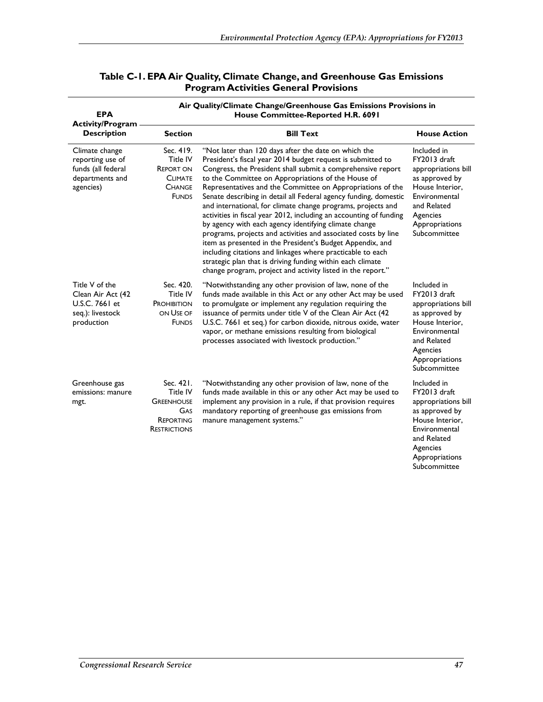| <b>EPA</b>                                                                               | Air Quality/Climate Change/Greenhouse Gas Emissions Provisions in<br>House Committee-Reported H.R. 6091 |                                                                                                                                                                                                                                                                                                                                                                                                                                                                                                                                                                                                                                                                                                                                                                                                                                                                                                     |                                                                                                                                                                       |  |  |  |  |
|------------------------------------------------------------------------------------------|---------------------------------------------------------------------------------------------------------|-----------------------------------------------------------------------------------------------------------------------------------------------------------------------------------------------------------------------------------------------------------------------------------------------------------------------------------------------------------------------------------------------------------------------------------------------------------------------------------------------------------------------------------------------------------------------------------------------------------------------------------------------------------------------------------------------------------------------------------------------------------------------------------------------------------------------------------------------------------------------------------------------------|-----------------------------------------------------------------------------------------------------------------------------------------------------------------------|--|--|--|--|
| <b>Activity/Program</b><br><b>Description</b>                                            | <b>Section</b>                                                                                          | <b>House Action</b>                                                                                                                                                                                                                                                                                                                                                                                                                                                                                                                                                                                                                                                                                                                                                                                                                                                                                 |                                                                                                                                                                       |  |  |  |  |
| Climate change<br>reporting use of<br>funds (all federal<br>departments and<br>agencies) | Sec. 419.<br>Title IV<br><b>REPORT ON</b><br><b>CLIMATE</b><br><b>CHANGE</b><br><b>FUNDS</b>            | "Not later than 120 days after the date on which the<br>President's fiscal year 2014 budget request is submitted to<br>Congress, the President shall submit a comprehensive report<br>to the Committee on Appropriations of the House of<br>Representatives and the Committee on Appropriations of the<br>Senate describing in detail all Federal agency funding, domestic<br>and international, for climate change programs, projects and<br>activities in fiscal year 2012, including an accounting of funding<br>by agency with each agency identifying climate change<br>programs, projects and activities and associated costs by line<br>item as presented in the President's Budget Appendix, and<br>including citations and linkages where practicable to each<br>strategic plan that is driving funding within each climate<br>change program, project and activity listed in the report." | Included in<br>FY2013 draft<br>appropriations bill<br>as approved by<br>House Interior,<br>Environmental<br>and Related<br>Agencies<br>Appropriations<br>Subcommittee |  |  |  |  |
| Title V of the<br>Clean Air Act (42<br>U.S.C. 7661 et<br>seq.): livestock<br>production  | Sec. 420.<br><b>Title IV</b><br>PROHIBITION<br>ON USE OF<br><b>FUNDS</b>                                | "Notwithstanding any other provision of law, none of the<br>funds made available in this Act or any other Act may be used<br>to promulgate or implement any regulation requiring the<br>issuance of permits under title V of the Clean Air Act (42<br>U.S.C. 7661 et seq.) for carbon dioxide, nitrous oxide, water<br>vapor, or methane emissions resulting from biological<br>processes associated with livestock production."                                                                                                                                                                                                                                                                                                                                                                                                                                                                    | Included in<br>FY2013 draft<br>appropriations bill<br>as approved by<br>House Interior,<br>Environmental<br>and Related<br>Agencies<br>Appropriations<br>Subcommittee |  |  |  |  |
| Greenhouse gas<br>emissions: manure<br>mgt.                                              | Sec. 421.<br>Title IV<br><b>GREENHOUSE</b><br>GAS<br><b>REPORTING</b><br><b>RESTRICTIONS</b>            | "Notwithstanding any other provision of law, none of the<br>funds made available in this or any other Act may be used to<br>implement any provision in a rule, if that provision requires<br>mandatory reporting of greenhouse gas emissions from<br>manure management systems."                                                                                                                                                                                                                                                                                                                                                                                                                                                                                                                                                                                                                    | Included in<br>FY2013 draft<br>appropriations bill<br>as approved by<br>House Interior,<br>Environmental<br>and Related<br>Agencies<br>Appropriations<br>Subcommittee |  |  |  |  |

#### **Table C-1. EPA Air Quality, Climate Change, and Greenhouse Gas Emissions Program Activities General Provisions**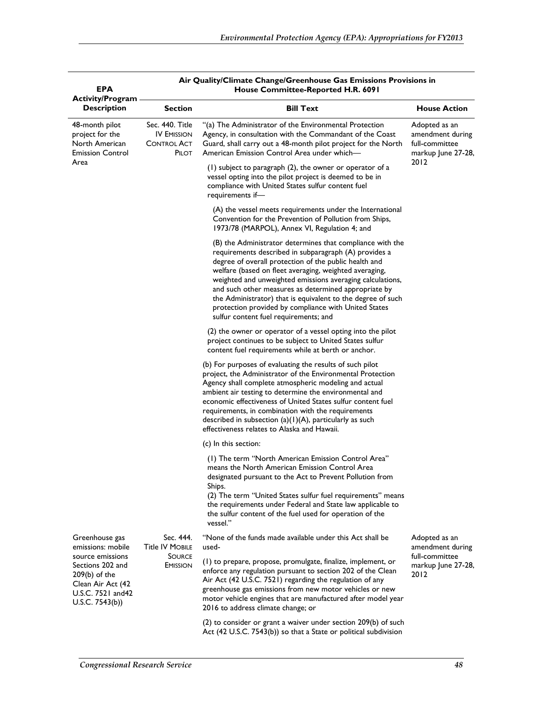| EPA                                                                                                                   |                                                                      |                                                                                                                                                                                                                                                                                                                                                                                                                                                                                                                            |                                                                           |
|-----------------------------------------------------------------------------------------------------------------------|----------------------------------------------------------------------|----------------------------------------------------------------------------------------------------------------------------------------------------------------------------------------------------------------------------------------------------------------------------------------------------------------------------------------------------------------------------------------------------------------------------------------------------------------------------------------------------------------------------|---------------------------------------------------------------------------|
| <b>Activity/Program</b><br><b>Description</b>                                                                         | Section                                                              | <b>Bill Text</b>                                                                                                                                                                                                                                                                                                                                                                                                                                                                                                           | <b>House Action</b>                                                       |
| 48-month pilot<br>project for the<br>North American<br><b>Emission Control</b>                                        | Sec. 440. Title<br><b>IV EMISSION</b><br><b>CONTROL ACT</b><br>PILOT | "(a) The Administrator of the Environmental Protection<br>Agency, in consultation with the Commandant of the Coast<br>Guard, shall carry out a 48-month pilot project for the North<br>American Emission Control Area under which—                                                                                                                                                                                                                                                                                         | Adopted as an<br>amendment during<br>full-committee<br>markup June 27-28, |
| Area                                                                                                                  |                                                                      | $(1)$ subject to paragraph $(2)$ , the owner or operator of a<br>vessel opting into the pilot project is deemed to be in<br>compliance with United States sulfur content fuel<br>requirements if-                                                                                                                                                                                                                                                                                                                          | 2012                                                                      |
|                                                                                                                       |                                                                      | (A) the vessel meets requirements under the International<br>Convention for the Prevention of Pollution from Ships,<br>1973/78 (MARPOL), Annex VI, Regulation 4; and                                                                                                                                                                                                                                                                                                                                                       |                                                                           |
|                                                                                                                       |                                                                      | (B) the Administrator determines that compliance with the<br>requirements described in subparagraph (A) provides a<br>degree of overall protection of the public health and<br>welfare (based on fleet averaging, weighted averaging,<br>weighted and unweighted emissions averaging calculations,<br>and such other measures as determined appropriate by<br>the Administrator) that is equivalent to the degree of such<br>protection provided by compliance with United States<br>sulfur content fuel requirements; and |                                                                           |
|                                                                                                                       |                                                                      | (2) the owner or operator of a vessel opting into the pilot<br>project continues to be subject to United States sulfur<br>content fuel requirements while at berth or anchor.                                                                                                                                                                                                                                                                                                                                              |                                                                           |
|                                                                                                                       |                                                                      | (b) For purposes of evaluating the results of such pilot<br>project, the Administrator of the Environmental Protection<br>Agency shall complete atmospheric modeling and actual<br>ambient air testing to determine the environmental and<br>economic effectiveness of United States sulfur content fuel<br>requirements, in combination with the requirements<br>described in subsection $(a)(1)(A)$ , particularly as such<br>effectiveness relates to Alaska and Hawaii.                                                |                                                                           |
|                                                                                                                       |                                                                      | (c) In this section:                                                                                                                                                                                                                                                                                                                                                                                                                                                                                                       |                                                                           |
|                                                                                                                       |                                                                      | (1) The term "North American Emission Control Area"<br>means the North American Emission Control Area<br>designated pursuant to the Act to Prevent Pollution from<br>Ships.<br>(2) The term "United States sulfur fuel requirements" means<br>the requirements under Federal and State law applicable to<br>the sulfur content of the fuel used for operation of the<br>vessel."                                                                                                                                           |                                                                           |
| Greenhouse gas<br>emissions: mobile                                                                                   | Sec. 444.<br><b>Title IV MOBILE</b>                                  | "None of the funds made available under this Act shall be<br>used-                                                                                                                                                                                                                                                                                                                                                                                                                                                         | Adopted as an<br>amendment during                                         |
| source emissions<br>Sections 202 and<br>$209(b)$ of the<br>Clean Air Act (42<br>U.S.C. 7521 and 42<br>U.S.C. 7543(b)) | <b>SOURCE</b><br><b>EMISSION</b>                                     | (1) to prepare, propose, promulgate, finalize, implement, or<br>enforce any regulation pursuant to section 202 of the Clean<br>Air Act (42 U.S.C. 7521) regarding the regulation of any<br>greenhouse gas emissions from new motor vehicles or new<br>motor vehicle engines that are manufactured after model year<br>2016 to address climate change; or                                                                                                                                                                   | full-committee<br>markup June 27-28,<br>2012                              |
|                                                                                                                       |                                                                      | $(2)$ to consider or grant a waiver under section 209 $(b)$ of such<br>Act (42 U.S.C. 7543(b)) so that a State or political subdivision                                                                                                                                                                                                                                                                                                                                                                                    |                                                                           |

## **Air Quality/Climate Change/Greenhouse Gas Emissions Provisions in**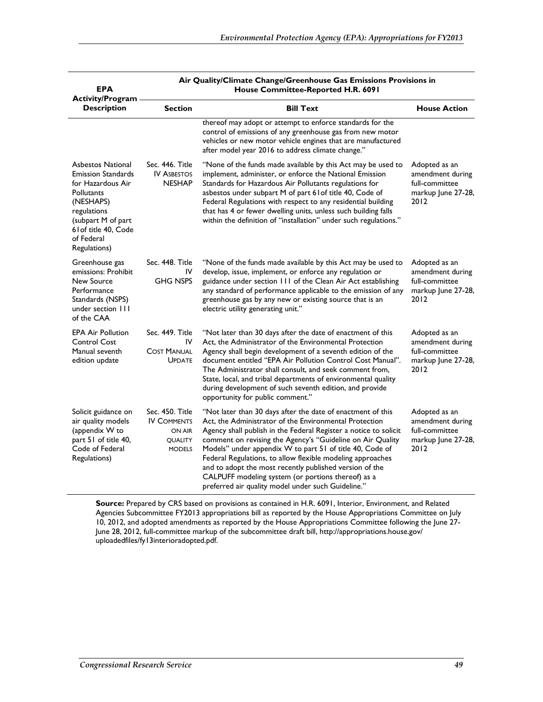| <b>EPA</b><br><b>Activity/Program</b>                                                                                                                                                            | Air Quality/Climate Change/Greenhouse Gas Emissions Provisions in<br>House Committee-Reported H.R. 6091 |                                                                                                                                                                                                                                                                                                                                                                                                                                                                                                                                                          |                                                                                   |  |  |  |  |
|--------------------------------------------------------------------------------------------------------------------------------------------------------------------------------------------------|---------------------------------------------------------------------------------------------------------|----------------------------------------------------------------------------------------------------------------------------------------------------------------------------------------------------------------------------------------------------------------------------------------------------------------------------------------------------------------------------------------------------------------------------------------------------------------------------------------------------------------------------------------------------------|-----------------------------------------------------------------------------------|--|--|--|--|
| <b>Description</b>                                                                                                                                                                               | <b>Section</b>                                                                                          | <b>Bill Text</b>                                                                                                                                                                                                                                                                                                                                                                                                                                                                                                                                         | <b>House Action</b>                                                               |  |  |  |  |
|                                                                                                                                                                                                  |                                                                                                         | thereof may adopt or attempt to enforce standards for the<br>control of emissions of any greenhouse gas from new motor<br>vehicles or new motor vehicle engines that are manufactured<br>after model year 2016 to address climate change."                                                                                                                                                                                                                                                                                                               |                                                                                   |  |  |  |  |
| <b>Asbestos National</b><br><b>Emission Standards</b><br>for Hazardous Air<br>Pollutants<br>(NESHAPS)<br>regulations<br>(subpart M of part<br>61 of title 40, Code<br>of Federal<br>Regulations) | Sec. 446. Title<br><b>IV ASBESTOS</b><br><b>NESHAP</b>                                                  | "None of the funds made available by this Act may be used to<br>implement, administer, or enforce the National Emission<br>Standards for Hazardous Air Pollutants regulations for<br>asbestos under subpart M of part 61 of title 40, Code of<br>Federal Regulations with respect to any residential building<br>that has 4 or fewer dwelling units, unless such building falls<br>within the definition of "installation" under such regulations."                                                                                                      | Adopted as an<br>amendment during<br>full-committee<br>markup June 27-28,<br>2012 |  |  |  |  |
| Greenhouse gas<br>emissions: Prohibit<br>New Source<br>Performance<br>Standards (NSPS)<br>under section 111<br>of the CAA                                                                        | Sec. 448. Title<br>IV<br><b>GHG NSPS</b>                                                                | "None of the funds made available by this Act may be used to<br>develop, issue, implement, or enforce any regulation or<br>guidance under section 111 of the Clean Air Act establishing<br>any standard of performance applicable to the emission of any<br>greenhouse gas by any new or existing source that is an<br>electric utility generating unit."                                                                                                                                                                                                | Adopted as an<br>amendment during<br>full-committee<br>markup June 27-28,<br>2012 |  |  |  |  |
| <b>EPA Air Pollution</b><br><b>Control Cost</b><br>Manual seventh<br>edition update                                                                                                              | Sec. 449. Title<br>IV<br><b>COST MANUAL</b><br><b>UPDATE</b>                                            | "Not later than 30 days after the date of enactment of this<br>Act, the Administrator of the Environmental Protection<br>Agency shall begin development of a seventh edition of the<br>document entitled "EPA Air Pollution Control Cost Manual".<br>The Administrator shall consult, and seek comment from,<br>State, local, and tribal departments of environmental quality<br>during development of such seventh edition, and provide<br>opportunity for public comment."                                                                             | Adopted as an<br>amendment during<br>full-committee<br>markup June 27-28,<br>2012 |  |  |  |  |
| Solicit guidance on<br>air quality models<br>(appendix W to<br>part 51 of title 40,<br>Code of Federal<br>Regulations)                                                                           | Sec. 450. Title<br><b>IV COMMENTS</b><br>ON AIR<br><b>QUALITY</b><br><b>MODELS</b>                      | "Not later than 30 days after the date of enactment of this<br>Act, the Administrator of the Environmental Protection<br>Agency shall publish in the Federal Register a notice to solicit<br>comment on revising the Agency's "Guideline on Air Quality<br>Models" under appendix W to part 51 of title 40, Code of<br>Federal Regulations, to allow flexible modeling approaches<br>and to adopt the most recently published version of the<br>CALPUFF modeling system (or portions thereof) as a<br>preferred air quality model under such Guideline." | Adopted as an<br>amendment during<br>full-committee<br>markup June 27-28,<br>2012 |  |  |  |  |

Source: Prepared by CRS based on provisions as contained in H.R. 6091, Interior, Environment, and Related Agencies Subcommittee FY2013 appropriations bill as reported by the House Appropriations Committee on July 10, 2012, and adopted amendments as reported by the House Appropriations Committee following the June 27- June 28, 2012, full-committee markup of the subcommittee draft bill, http://appropriations.house.gov/ uploadedfiles/fy13interioradopted.pdf.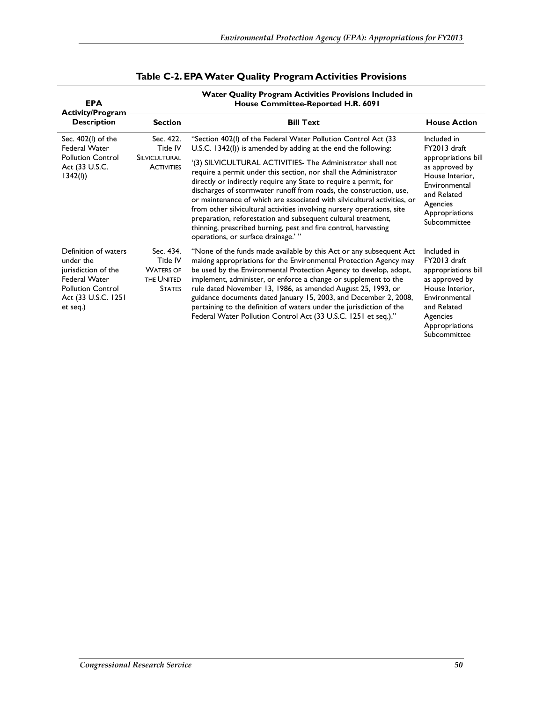| <b>EPA</b><br><b>Activity/Program</b>                                                                                                           | Water Quality Program Activities Provisions Included in<br>House Committee-Reported H.R. 6091 |                                                                                                                                                                                                                                                                                                                                                                                                                                                                                                                                                                                                                                                                                                                                               |                                                                                                                                                                       |  |  |  |
|-------------------------------------------------------------------------------------------------------------------------------------------------|-----------------------------------------------------------------------------------------------|-----------------------------------------------------------------------------------------------------------------------------------------------------------------------------------------------------------------------------------------------------------------------------------------------------------------------------------------------------------------------------------------------------------------------------------------------------------------------------------------------------------------------------------------------------------------------------------------------------------------------------------------------------------------------------------------------------------------------------------------------|-----------------------------------------------------------------------------------------------------------------------------------------------------------------------|--|--|--|
| <b>Description</b>                                                                                                                              | <b>Section</b>                                                                                | <b>Bill Text</b>                                                                                                                                                                                                                                                                                                                                                                                                                                                                                                                                                                                                                                                                                                                              | <b>House Action</b>                                                                                                                                                   |  |  |  |
| Sec. 402(I) of the<br><b>Federal Water</b><br><b>Pollution Control</b><br>Act (33 U.S.C.<br>1342(l)                                             | Sec. 422.<br>Title IV<br>SILVICULTURAL<br><b>ACTIVITIES</b>                                   | "Section 402(I) of the Federal Water Pollution Control Act (33<br>U.S.C. 1342(I)) is amended by adding at the end the following:<br>'(3) SILVICULTURAL ACTIVITIES- The Administrator shall not<br>require a permit under this section, nor shall the Administrator<br>directly or indirectly require any State to require a permit, for<br>discharges of stormwater runoff from roads, the construction, use,<br>or maintenance of which are associated with silvicultural activities, or<br>from other silvicultural activities involving nursery operations, site<br>preparation, reforestation and subsequent cultural treatment,<br>thinning, prescribed burning, pest and fire control, harvesting<br>operations, or surface drainage.'" | Included in<br>FY2013 draft<br>appropriations bill<br>as approved by<br>House Interior,<br>Environmental<br>and Related<br>Agencies<br>Appropriations<br>Subcommittee |  |  |  |
| Definition of waters<br>under the<br>jurisdiction of the<br><b>Federal Water</b><br><b>Pollution Control</b><br>Act (33 U.S.C. 1251<br>et seq.) | Sec. 434.<br>Title IV<br><b>WATERS OF</b><br>THE UNITED<br><b>STATES</b>                      | "None of the funds made available by this Act or any subsequent Act<br>making appropriations for the Environmental Protection Agency may<br>be used by the Environmental Protection Agency to develop, adopt,<br>implement, administer, or enforce a change or supplement to the<br>rule dated November 13, 1986, as amended August 25, 1993, or<br>guidance documents dated January 15, 2003, and December 2, 2008,<br>pertaining to the definition of waters under the jurisdiction of the<br>Federal Water Pollution Control Act (33 U.S.C. 1251 et seq.)."                                                                                                                                                                                | Included in<br>FY2013 draft<br>appropriations bill<br>as approved by<br>House Interior,<br>Environmental<br>and Related<br>Agencies<br>Appropriations<br>Subcommittee |  |  |  |

### **Table C-2. EPA Water Quality Program Activities Provisions**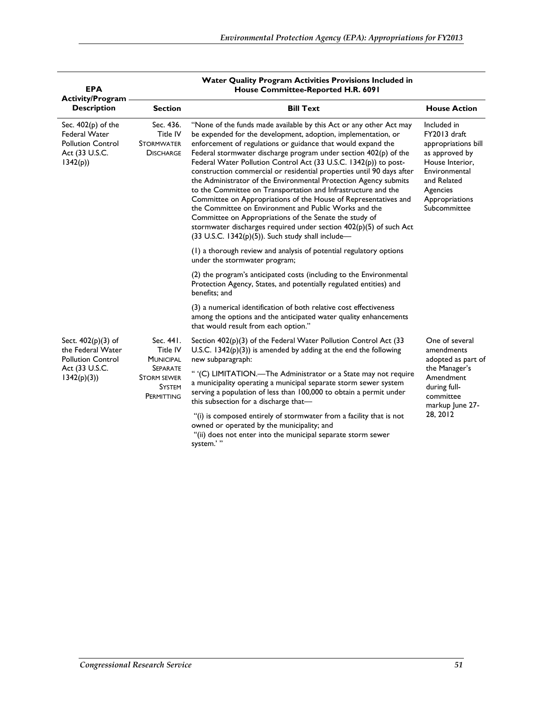| <b>EPA</b>                                                                                            | <b>Water Quality Program Activities Provisions Included in</b><br>House Committee-Reported H.R. 6091 |                                                                                                                                                                                                                                                                                                                                                                                                                                                                                                                                                                                                                                                                                                                                                                                                                                                                                |                                                                                                                                                                       |  |  |  |  |
|-------------------------------------------------------------------------------------------------------|------------------------------------------------------------------------------------------------------|--------------------------------------------------------------------------------------------------------------------------------------------------------------------------------------------------------------------------------------------------------------------------------------------------------------------------------------------------------------------------------------------------------------------------------------------------------------------------------------------------------------------------------------------------------------------------------------------------------------------------------------------------------------------------------------------------------------------------------------------------------------------------------------------------------------------------------------------------------------------------------|-----------------------------------------------------------------------------------------------------------------------------------------------------------------------|--|--|--|--|
| <b>Activity/Program</b><br><b>Description</b>                                                         | <b>Section</b>                                                                                       | <b>Bill Text</b>                                                                                                                                                                                                                                                                                                                                                                                                                                                                                                                                                                                                                                                                                                                                                                                                                                                               | <b>House Action</b>                                                                                                                                                   |  |  |  |  |
| Sec. $402(p)$ of the<br><b>Federal Water</b><br><b>Pollution Control</b><br>Act (33 U.S.C.<br>1342(p) | Sec. 436.<br>Title IV<br><b>STORMWATER</b><br><b>DISCHARGE</b>                                       | "None of the funds made available by this Act or any other Act may<br>be expended for the development, adoption, implementation, or<br>enforcement of regulations or guidance that would expand the<br>Federal stormwater discharge program under section $402(p)$ of the<br>Federal Water Pollution Control Act (33 U.S.C. 1342(p)) to post-<br>construction commercial or residential properties until 90 days after<br>the Administrator of the Environmental Protection Agency submits<br>to the Committee on Transportation and Infrastructure and the<br>Committee on Appropriations of the House of Representatives and<br>the Committee on Environment and Public Works and the<br>Committee on Appropriations of the Senate the study of<br>stormwater discharges required under section 402(p)(5) of such Act<br>$(33$ U.S.C. 1342(p)(5)). Such study shall include- | Included in<br>FY2013 draft<br>appropriations bill<br>as approved by<br>House Interior,<br>Environmental<br>and Related<br>Agencies<br>Appropriations<br>Subcommittee |  |  |  |  |
|                                                                                                       |                                                                                                      | (1) a thorough review and analysis of potential regulatory options<br>under the stormwater program;                                                                                                                                                                                                                                                                                                                                                                                                                                                                                                                                                                                                                                                                                                                                                                            |                                                                                                                                                                       |  |  |  |  |
|                                                                                                       |                                                                                                      | (2) the program's anticipated costs (including to the Environmental<br>Protection Agency, States, and potentially regulated entities) and<br>benefits; and                                                                                                                                                                                                                                                                                                                                                                                                                                                                                                                                                                                                                                                                                                                     |                                                                                                                                                                       |  |  |  |  |
|                                                                                                       |                                                                                                      | (3) a numerical identification of both relative cost effectiveness<br>among the options and the anticipated water quality enhancements<br>that would result from each option."                                                                                                                                                                                                                                                                                                                                                                                                                                                                                                                                                                                                                                                                                                 |                                                                                                                                                                       |  |  |  |  |
| Sect. $402(p)(3)$ of<br>the Federal Water<br><b>Pollution Control</b>                                 | Sec. 441.<br>Title IV<br><b>MUNICIPAL</b>                                                            | Section $402(p)(3)$ of the Federal Water Pollution Control Act (33<br>U.S.C. $1342(p)(3)$ ) is amended by adding at the end the following<br>new subparagraph:                                                                                                                                                                                                                                                                                                                                                                                                                                                                                                                                                                                                                                                                                                                 | One of several<br>amendments<br>adopted as part of                                                                                                                    |  |  |  |  |
| Act (33 U.S.C.<br>1342(p)(3)                                                                          | <b>SEPARATE</b><br><b>STORM SEWER</b><br><b>SYSTEM</b><br>PERMITTING                                 | " '(C) LIMITATION.-The Administrator or a State may not require<br>a municipality operating a municipal separate storm sewer system<br>serving a population of less than 100,000 to obtain a permit under<br>this subsection for a discharge that-                                                                                                                                                                                                                                                                                                                                                                                                                                                                                                                                                                                                                             | the Manager's<br>Amendment<br>during full-<br>committee<br>markup June 27-                                                                                            |  |  |  |  |
|                                                                                                       |                                                                                                      | "(i) is composed entirely of stormwater from a facility that is not<br>owned or operated by the municipality; and<br>"(ii) does not enter into the municipal separate storm sewer<br>system.'"                                                                                                                                                                                                                                                                                                                                                                                                                                                                                                                                                                                                                                                                                 | 28, 2012                                                                                                                                                              |  |  |  |  |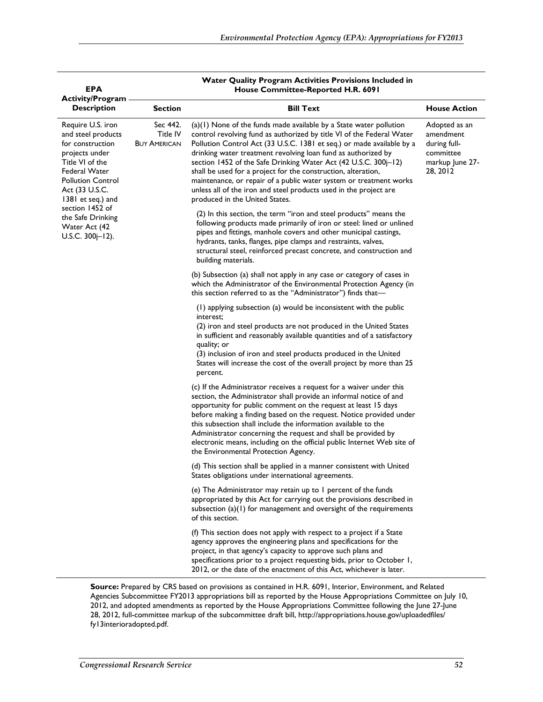| <b>EPA</b><br><b>Activity/Program</b>                                                                                                                                                                                                                                |                                             | Water Quality Program Activities Provisions included in<br>House Committee-Reported H.R. 6091                                                                                                                                                                                                                                                                                                                                                                                                                                                                                                            |                                                                                        |
|----------------------------------------------------------------------------------------------------------------------------------------------------------------------------------------------------------------------------------------------------------------------|---------------------------------------------|----------------------------------------------------------------------------------------------------------------------------------------------------------------------------------------------------------------------------------------------------------------------------------------------------------------------------------------------------------------------------------------------------------------------------------------------------------------------------------------------------------------------------------------------------------------------------------------------------------|----------------------------------------------------------------------------------------|
| <b>Description</b>                                                                                                                                                                                                                                                   | <b>Section</b>                              | <b>Bill Text</b>                                                                                                                                                                                                                                                                                                                                                                                                                                                                                                                                                                                         | <b>House Action</b>                                                                    |
| Require U.S. iron<br>and steel products<br>for construction<br>projects under<br>Title VI of the<br>Federal Water<br><b>Pollution Control</b><br>Act (33 U.S.C.<br>1381 et seq.) and<br>section 1452 of<br>the Safe Drinking<br>Water Act (42<br>U.S.C. $300j-12$ ). | Sec 442.<br>Title IV<br><b>BUY AMERICAN</b> | $(a)(1)$ None of the funds made available by a State water pollution<br>control revolving fund as authorized by title VI of the Federal Water<br>Pollution Control Act (33 U.S.C. 1381 et seq.) or made available by a<br>drinking water treatment revolving loan fund as authorized by<br>section 1452 of the Safe Drinking Water Act (42 U.S.C. 300j-12)<br>shall be used for a project for the construction, alteration,<br>maintenance, or repair of a public water system or treatment works<br>unless all of the iron and steel products used in the project are<br>produced in the United States. | Adopted as an<br>amendment<br>during full-<br>committee<br>markup June 27-<br>28, 2012 |
|                                                                                                                                                                                                                                                                      |                                             | (2) In this section, the term "iron and steel products" means the<br>following products made primarily of iron or steel: lined or unlined<br>pipes and fittings, manhole covers and other municipal castings,<br>hydrants, tanks, flanges, pipe clamps and restraints, valves,<br>structural steel, reinforced precast concrete, and construction and<br>building materials.                                                                                                                                                                                                                             |                                                                                        |
|                                                                                                                                                                                                                                                                      |                                             | (b) Subsection (a) shall not apply in any case or category of cases in<br>which the Administrator of the Environmental Protection Agency (in<br>this section referred to as the "Administrator") finds that-                                                                                                                                                                                                                                                                                                                                                                                             |                                                                                        |
|                                                                                                                                                                                                                                                                      |                                             | (1) applying subsection (a) would be inconsistent with the public<br>interest;<br>(2) iron and steel products are not produced in the United States<br>in sufficient and reasonably available quantities and of a satisfactory<br>quality; or<br>(3) inclusion of iron and steel products produced in the United<br>States will increase the cost of the overall project by more than 25<br>percent.                                                                                                                                                                                                     |                                                                                        |
|                                                                                                                                                                                                                                                                      |                                             | (c) If the Administrator receives a request for a waiver under this<br>section, the Administrator shall provide an informal notice of and<br>opportunity for public comment on the request at least 15 days<br>before making a finding based on the request. Notice provided under<br>this subsection shall include the information available to the<br>Administrator concerning the request and shall be provided by<br>electronic means, including on the official public Internet Web site of<br>the Environmental Protection Agency.                                                                 |                                                                                        |
|                                                                                                                                                                                                                                                                      |                                             | (d) This section shall be applied in a manner consistent with United<br>States obligations under international agreements.                                                                                                                                                                                                                                                                                                                                                                                                                                                                               |                                                                                        |
|                                                                                                                                                                                                                                                                      |                                             | (e) The Administrator may retain up to I percent of the funds<br>appropriated by this Act for carrying out the provisions described in<br>subsection (a)(1) for management and oversight of the requirements<br>of this section.                                                                                                                                                                                                                                                                                                                                                                         |                                                                                        |
|                                                                                                                                                                                                                                                                      |                                             | (f) This section does not apply with respect to a project if a State<br>agency approves the engineering plans and specifications for the<br>project, in that agency's capacity to approve such plans and<br>specifications prior to a project requesting bids, prior to October 1,<br>2012, or the date of the enactment of this Act, whichever is later.                                                                                                                                                                                                                                                |                                                                                        |

**Water Quality Program Activities Provisions Included in** 

**Source:** Prepared by CRS based on provisions as contained in H.R. 6091, Interior, Environment, and Related Agencies Subcommittee FY2013 appropriations bill as reported by the House Appropriations Committee on July 10, 2012, and adopted amendments as reported by the House Appropriations Committee following the June 27-June 28, 2012, full-committee markup of the subcommittee draft bill, http://appropriations.house.gov/uploadedfiles/ fy13interioradopted.pdf.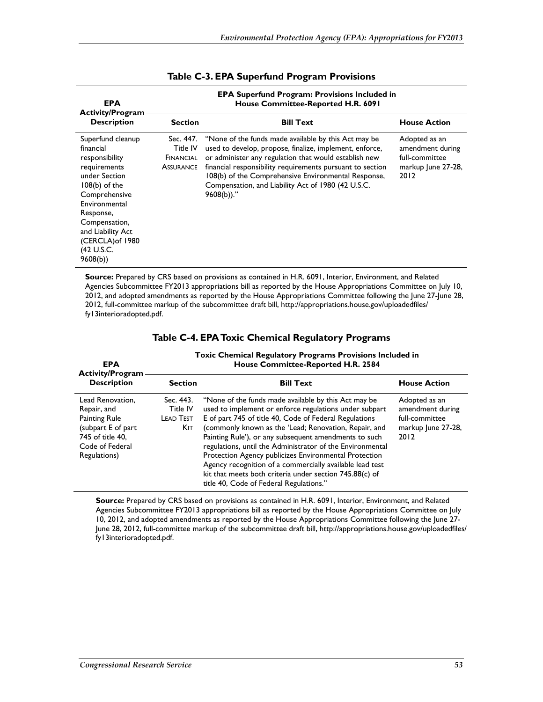| <b>EPA</b><br><b>Activity/Program</b>                                                                                                                                                                                                  |                                                        | <b>EPA Superfund Program: Provisions Included in</b><br>House Committee-Reported H.R. 6091                                                                                                                                                                                                                                                                         |                                                                                   |
|----------------------------------------------------------------------------------------------------------------------------------------------------------------------------------------------------------------------------------------|--------------------------------------------------------|--------------------------------------------------------------------------------------------------------------------------------------------------------------------------------------------------------------------------------------------------------------------------------------------------------------------------------------------------------------------|-----------------------------------------------------------------------------------|
| <b>Description</b>                                                                                                                                                                                                                     | <b>Section</b>                                         | <b>Bill Text</b>                                                                                                                                                                                                                                                                                                                                                   | <b>House Action</b>                                                               |
| Superfund cleanup<br>financial<br>responsibility<br>requirements<br>under Section<br>$108(b)$ of the<br>Comprehensive<br>Environmental<br>Response,<br>Compensation,<br>and Liability Act<br>(CERCLA) of 1980<br>(42 U.S.C.<br>9608(b) | Sec. 447.<br>Title IV<br>FINANCIAL<br><b>ASSURANCE</b> | "None of the funds made available by this Act may be<br>used to develop, propose, finalize, implement, enforce,<br>or administer any regulation that would establish new<br>financial responsibility requirements pursuant to section<br>108(b) of the Comprehensive Environmental Response,<br>Compensation, and Liability Act of 1980 (42 U.S.C.<br>$9608(b)$ ." | Adopted as an<br>amendment during<br>full-committee<br>markup June 27-28,<br>2012 |

#### **Table C-3. EPA Superfund Program Provisions**

**Source:** Prepared by CRS based on provisions as contained in H.R. 6091, Interior, Environment, and Related Agencies Subcommittee FY2013 appropriations bill as reported by the House Appropriations Committee on July 10, 2012, and adopted amendments as reported by the House Appropriations Committee following the June 27-June 28, 2012, full-committee markup of the subcommittee draft bill, http://appropriations.house.gov/uploadedfiles/ fy13interioradopted.pdf.

| <b>EPA</b><br><b>Activity/Program</b>                                                                                                | <b>Toxic Chemical Regulatory Programs Provisions Included in</b><br>House Committee-Reported H.R. 2584 |                                                                                                                                                                                                                                                                                                                                                                                                                                                                                                                                                                                    |                                                                                   |
|--------------------------------------------------------------------------------------------------------------------------------------|--------------------------------------------------------------------------------------------------------|------------------------------------------------------------------------------------------------------------------------------------------------------------------------------------------------------------------------------------------------------------------------------------------------------------------------------------------------------------------------------------------------------------------------------------------------------------------------------------------------------------------------------------------------------------------------------------|-----------------------------------------------------------------------------------|
| <b>Description</b>                                                                                                                   | <b>Section</b>                                                                                         | <b>Bill Text</b>                                                                                                                                                                                                                                                                                                                                                                                                                                                                                                                                                                   | <b>House Action</b>                                                               |
| Lead Renovation.<br>Repair, and<br><b>Painting Rule</b><br>(subpart E of part<br>745 of title 40.<br>Code of Federal<br>Regulations) | Sec. 443.<br>Title IV<br><b>LEAD TEST</b><br>Kıt.                                                      | "None of the funds made available by this Act may be<br>used to implement or enforce regulations under subpart<br>E of part 745 of title 40, Code of Federal Regulations<br>(commonly known as the 'Lead; Renovation, Repair, and<br>Painting Rule'), or any subsequent amendments to such<br>regulations, until the Administrator of the Environmental<br>Protection Agency publicizes Environmental Protection<br>Agency recognition of a commercially available lead test<br>kit that meets both criteria under section 745.88(c) of<br>title 40, Code of Federal Regulations." | Adopted as an<br>amendment during<br>full-committee<br>markup June 27-28,<br>2012 |

#### **Table C-4. EPA Toxic Chemical Regulatory Programs**

**Source:** Prepared by CRS based on provisions as contained in H.R. 6091, Interior, Environment, and Related Agencies Subcommittee FY2013 appropriations bill as reported by the House Appropriations Committee on July 10, 2012, and adopted amendments as reported by the House Appropriations Committee following the June 27- June 28, 2012, full-committee markup of the subcommittee draft bill, http://appropriations.house.gov/uploadedfiles/ fy13interioradopted.pdf.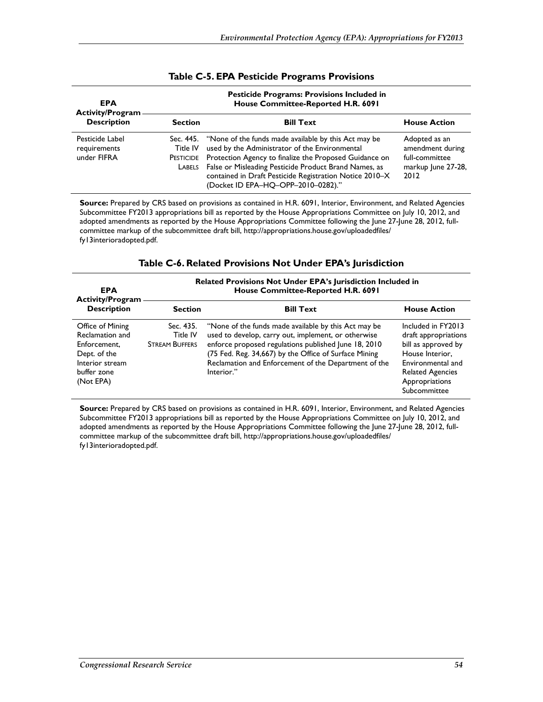| <b>EPA</b><br><b>Activity/Program-</b>         |                                        | <b>Pesticide Programs: Provisions Included in</b><br>House Committee-Reported H.R. 6091                                                                                                                                                                                                                                              |                                                                                   |
|------------------------------------------------|----------------------------------------|--------------------------------------------------------------------------------------------------------------------------------------------------------------------------------------------------------------------------------------------------------------------------------------------------------------------------------------|-----------------------------------------------------------------------------------|
| <b>Description</b>                             | <b>Section</b>                         | <b>Bill Text</b>                                                                                                                                                                                                                                                                                                                     | <b>House Action</b>                                                               |
| Pesticide Label<br>requirements<br>under FIFRA | Title IV<br><b>PESTICIDE</b><br>LABELS | Sec. 445. "None of the funds made available by this Act may be<br>used by the Administrator of the Environmental<br>Protection Agency to finalize the Proposed Guidance on<br>False or Misleading Pesticide Product Brand Names, as<br>contained in Draft Pesticide Registration Notice 2010-X<br>(Docket ID EPA-HQ-OPP-2010-0282)." | Adopted as an<br>amendment during<br>full-committee<br>markup June 27-28,<br>2012 |

#### **Table C-5. EPA Pesticide Programs Provisions**

**Source:** Prepared by CRS based on provisions as contained in H.R. 6091, Interior, Environment, and Related Agencies Subcommittee FY2013 appropriations bill as reported by the House Appropriations Committee on July 10, 2012, and adopted amendments as reported by the House Appropriations Committee following the June 27-June 28, 2012, fullcommittee markup of the subcommittee draft bill, http://appropriations.house.gov/uploadedfiles/ fy13interioradopted.pdf.

#### **Table C-6. Related Provisions Not Under EPA's Jurisdiction**

| <b>EPA</b><br><b>Activity/Program</b>                                                                              | Related Provisions Not Under EPA's Jurisdiction Included in<br>House Committee-Reported H.R. 6091 |                                                                                                                                                                                                                                                                                                    |                                                                                                                                                                        |  |
|--------------------------------------------------------------------------------------------------------------------|---------------------------------------------------------------------------------------------------|----------------------------------------------------------------------------------------------------------------------------------------------------------------------------------------------------------------------------------------------------------------------------------------------------|------------------------------------------------------------------------------------------------------------------------------------------------------------------------|--|
| <b>Description</b>                                                                                                 | <b>Section</b>                                                                                    | <b>Bill Text</b>                                                                                                                                                                                                                                                                                   | <b>House Action</b>                                                                                                                                                    |  |
| Office of Mining<br>Reclamation and<br>Enforcement,<br>Dept. of the<br>Interior stream<br>buffer zone<br>(Not EPA) | Sec. 435.<br>Title IV<br><b>STREAM BUFFERS</b>                                                    | "None of the funds made available by this Act may be<br>used to develop, carry out, implement, or otherwise<br>enforce proposed regulations published June 18, 2010<br>(75 Fed. Reg. 34,667) by the Office of Surface Mining<br>Reclamation and Enforcement of the Department of the<br>Interior." | Included in FY2013<br>draft appropriations<br>bill as approved by<br>House Interior.<br>Environmental and<br><b>Related Agencies</b><br>Appropriations<br>Subcommittee |  |

**Source:** Prepared by CRS based on provisions as contained in H.R. 6091, Interior, Environment, and Related Agencies Subcommittee FY2013 appropriations bill as reported by the House Appropriations Committee on July 10, 2012, and adopted amendments as reported by the House Appropriations Committee following the June 27-June 28, 2012, fullcommittee markup of the subcommittee draft bill, http://appropriations.house.gov/uploadedfiles/ fy13interioradopted.pdf.